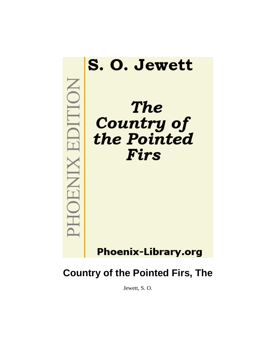

# **Country of the Pointed Firs, The**

Jewett, S. O.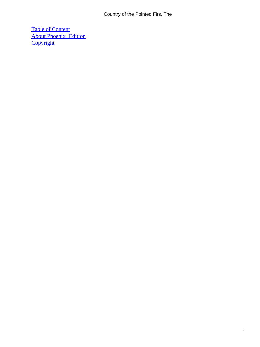[Table of Content](#page-91-0) [About Phoenix−Edition](#page-93-0) **[Copyright](#page-94-0)**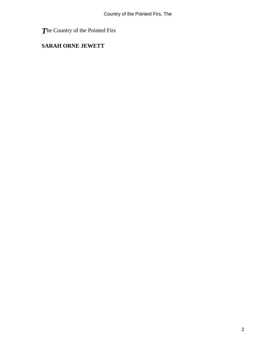*T*he Country of the Pointed Firs

### **SARAH ORNE JEWETT**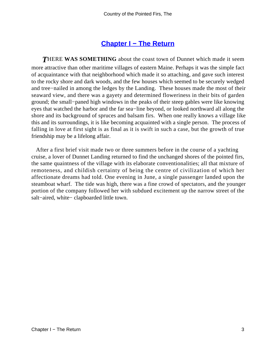# **[Chapter I − The Return](#page-91-0)**

**THERE WAS SOMETHING** about the coast town of Dunnet which made it seem more attractive than other maritime villages of eastern Maine. Perhaps it was the simple fact of acquaintance with that neighborhood which made it so attaching, and gave such interest to the rocky shore and dark woods, and the few houses which seemed to be securely wedged and tree−nailed in among the ledges by the Landing. These houses made the most of their seaward view, and there was a gayety and determined floweriness in their bits of garden ground; the small−paned high windows in the peaks of their steep gables were like knowing eyes that watched the harbor and the far sea−line beyond, or looked northward all along the shore and its background of spruces and balsam firs. When one really knows a village like this and its surroundings, it is like becoming acquainted with a single person. The process of falling in love at first sight is as final as it is swift in such a case, but the growth of true friendship may be a lifelong affair.

 After a first brief visit made two or three summers before in the course of a yachting cruise, a lover of Dunnet Landing returned to find the unchanged shores of the pointed firs, the same quaintness of the village with its elaborate conventionalities; all that mixture of remoteness, and childish certainty of being the centre of civilization of which her affectionate dreams had told. One evening in June, a single passenger landed upon the steamboat wharf. The tide was high, there was a fine crowd of spectators, and the younger portion of the company followed her with subdued excitement up the narrow street of the salt−aired, white− clapboarded little town.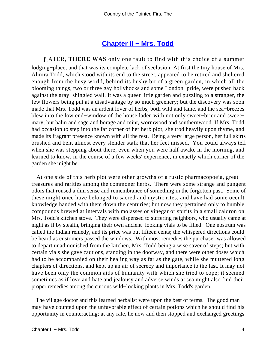#### **[Chapter II − Mrs. Todd](#page-91-0)**

*L*ATER, **THERE WAS** only one fault to find with this choice of a summer lodging−place, and that was its complete lack of seclusion. At first the tiny house of Mrs. Almira Todd, which stood with its end to the street, appeared to be retired and sheltered enough from the busy world, behind its bushy bit of a green garden, in which all the blooming things, two or three gay hollyhocks and some London−pride, were pushed back against the gray−shingled wall. It was a queer little garden and puzzling to a stranger, the few flowers being put at a disadvantage by so much greenery; but the discovery was soon made that Mrs. Todd was an ardent lover of herbs, both wild and tame, and the sea−breezes blew into the low end−window of the house laden with not only sweet−brier and sweet− mary, but balm and sage and borage and mint, wormwood and southernwood. If Mrs. Todd had occasion to step into the far corner of her herb plot, she trod heavily upon thyme, and made its fragrant presence known with all the rest. Being a very large person, her full skirts brushed and bent almost every slender stalk that her feet missed. You could always tell when she was stepping about there, even when you were half awake in the morning, and learned to know, in the course of a few weeks' experience, in exactly which corner of the garden she might be.

 At one side of this herb plot were other growths of a rustic pharmacopoeia, great treasures and rarities among the commoner herbs. There were some strange and pungent odors that roused a dim sense and remembrance of something in the forgotten past. Some of these might once have belonged to sacred and mystic rites, and have had some occult knowledge handed with them down the centuries; but now they pertained only to humble compounds brewed at intervals with molasses or vinegar or spirits in a small caldron on Mrs. Todd's kitchen stove. They were dispensed to suffering neighbors, who usually came at night as if by stealth, bringing their own ancient−looking vials to be filled. One nostrum was called the Indian remedy, and its price was but fifteen cents; the whispered directions could be heard as customers passed the windows. With most remedies the purchaser was allowed to depart unadmonished from the kitchen, Mrs. Todd being a wise saver of steps; but with certain vials she gave cautions, standing in the doorway, and there were other doses which had to be accompanied on their healing way as far as the gate, while she muttered long chapters of directions, and kept up an air of secrecy and importance to the last. It may not have been only the common aids of humanity with which she tried to cope; it seemed sometimes as if love and hate and jealousy and adverse winds at sea might also find their proper remedies among the curious wild−looking plants in Mrs. Todd's garden.

 The village doctor and this learned herbalist were upon the best of terms. The good man may have counted upon the unfavorable effect of certain potions which he should find his opportunity in counteracting; at any rate, he now and then stopped and exchanged greetings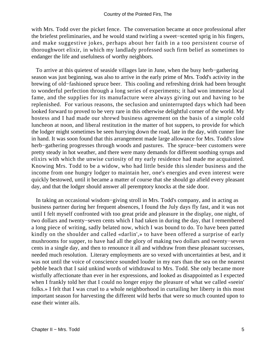with Mrs. Todd over the picket fence. The conversation became at once professional after the briefest preliminaries, and he would stand twirling a sweet−scented sprig in his fingers, and make suggestive jokes, perhaps about her faith in a too persistent course of thoroughwort elixir, in which my landlady professed such firm belief as sometimes to endanger the life and usefulness of worthy neighbors.

 To arrive at this quietest of seaside villages late in June, when the busy herb−gathering season was just beginning, was also to arrive in the early prime of Mrs. Todd's activity in the brewing of old−fashioned spruce beer. This cooling and refreshing drink had been brought to wonderful perfection through a long series of experiments; it had won immense local fame, and the supplies for its manufacture were always giving out and having to be replenished. For various reasons, the seclusion and uninterrupted days which had been looked forward to proved to be very rare in this otherwise delightful corner of the world. My hostess and I had made our shrewd business agreement on the basis of a simple cold luncheon at noon, and liberal restitution in the matter of hot suppers, to provide for which the lodger might sometimes be seen hurrying down the road, late in the day, with cunner line in hand. It was soon found that this arrangement made large allowance for Mrs. Todd's slow herb−gathering progresses through woods and pastures. The spruce−beer customers were pretty steady in hot weather, and there were many demands for different soothing syrups and elixirs with which the unwise curiosity of my early residence had made me acquainted. Knowing Mrs. Todd to be a widow, who had little beside this slender business and the income from one hungry lodger to maintain her, one's energies and even interest were quickly bestowed, until it became a matter of course that she should go afield every pleasant day, and that the lodger should answer all peremptory knocks at the side door.

 In taking an occasional wisdom−giving stroll in Mrs. Todd's company, and in acting as business partner during her frequent absences, I found the July days fly fast, and it was not until I felt myself confronted with too great pride and pleasure in the display, one night, of two dollars and twenty−seven cents which I had taken in during the day, that I remembered a long piece of writing, sadly belated now, which I was bound to do. To have been patted kindly on the shoulder and called «darlin',» to have been offered a surprise of early mushrooms for supper, to have had all the glory of making two dollars and twenty−seven cents in a single day, and then to renounce it all and withdraw from these pleasant successes, needed much resolution. Literary employments are so vexed with uncertainties at best, and it was not until the voice of conscience sounded louder in my ears than the sea on the nearest pebble beach that I said unkind words of withdrawal to Mrs. Todd. She only became more wistfully affectionate than ever in her expressions, and looked as disappointed as I expected when I frankly told her that I could no longer enjoy the pleasure of what we called «seein' folks.» I felt that I was cruel to a whole neighborhood in curtailing her liberty in this most important season for harvesting the different wild herbs that were so much counted upon to ease their winter ails.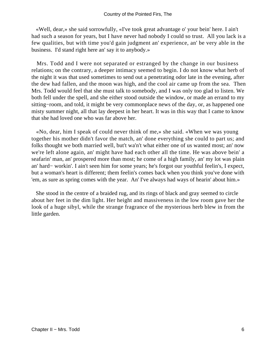«Well, dear,» she said sorrowfully, «I've took great advantage o' your bein' here. I ain't had such a season for years, but I have never had nobody I could so trust. All you lack is a few qualities, but with time you'd gain judgment an' experience, an' be very able in the business. I'd stand right here an' say it to anybody.»

 Mrs. Todd and I were not separated or estranged by the change in our business relations; on the contrary, a deeper intimacy seemed to begin. I do not know what herb of the night it was that used sometimes to send out a penetrating odor late in the evening, after the dew had fallen, and the moon was high, and the cool air came up from the sea. Then Mrs. Todd would feel that she must talk to somebody, and I was only too glad to listen. We both fell under the spell, and she either stood outside the window, or made an errand to my sitting−room, and told, it might be very commonplace news of the day, or, as happened one misty summer night, all that lay deepest in her heart. It was in this way that I came to know that she had loved one who was far above her.

 «No, dear, him I speak of could never think of me,» she said. «When we was young together his mother didn't favor the match, an' done everything she could to part us; and folks thought we both married well, but't wa'n't what either one of us wanted most; an' now we're left alone again, an' might have had each other all the time. He was above bein' a seafarin' man, an' prospered more than most; he come of a high family, an' my lot was plain an' hard− workin'. I ain't seen him for some years; he's forgot our youthful feelin's, I expect, but a woman's heart is different; them feelin's comes back when you think you've done with 'em, as sure as spring comes with the year. An' I've always had ways of hearin' about him.»

 She stood in the centre of a braided rug, and its rings of black and gray seemed to circle about her feet in the dim light. Her height and massiveness in the low room gave her the look of a huge sibyl, while the strange fragrance of the mysterious herb blew in from the little garden.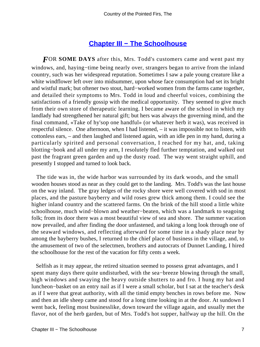## **[Chapter III − The Schoolhouse](#page-91-0)**

*F*OR **SOME DAYS** after this, Mrs. Todd's customers came and went past my windows, and, haying−time being nearly over, strangers began to arrive from the inland country, such was her widespread reputation. Sometimes I saw a pale young creature like a white windflower left over into midsummer, upon whose face consumption had set its bright and wistful mark; but oftener two stout, hard−worked women from the farms came together, and detailed their symptoms to Mrs. Todd in loud and cheerful voices, combining the satisfactions of a friendly gossip with the medical opportunity. They seemed to give much from their own store of therapeutic learning. I became aware of the school in which my landlady had strengthened her natural gift; but hers was always the governing mind, and the final command, «Take of hy'sop one handful» (or whatever herb it was), was received in respectful silence. One afternoon, when I had listened, – it was impossible not to listen, with cottonless ears, – and then laughed and listened again, with an idle pen in my hand, during a particularly spirited and personal conversation, I reached for my hat, and, taking blotting−book and all under my arm, I resolutely fled further temptation, and walked out past the fragrant green garden and up the dusty road. The way went straight uphill, and presently I stopped and turned to look back.

 The tide was in, the wide harbor was surrounded by its dark woods, and the small wooden houses stood as near as they could get to the landing. Mrs. Todd's was the last house on the way inland. The gray ledges of the rocky shore were well covered with sod in most places, and the pasture bayberry and wild roses grew thick among them. I could see the higher inland country and the scattered farms. On the brink of the hill stood a little white schoolhouse, much wind−blown and weather−beaten, which was a landmark to seagoing folk; from its door there was a most beautiful view of sea and shore. The summer vacation now prevailed, and after finding the door unfastened, and taking a long look through one of the seaward windows, and reflecting afterward for some time in a shady place near by among the bayberry bushes, I returned to the chief place of business in the village, and, to the amusement of two of the selectmen, brothers and autocrats of Dunnet Landing, I hired the schoolhouse for the rest of the vacation for fifty cents a week.

 Selfish as it may appear, the retired situation seemed to possess great advantages, and I spent many days there quite undisturbed, with the sea−breeze blowing through the small, high windows and swaying the heavy outside shutters to and fro. I hung my hat and luncheon−basket on an entry nail as if I were a small scholar, but I sat at the teacher's desk as if I were that great authority, with all the timid empty benches in rows before me. Now and then an idle sheep came and stood for a long time looking in at the door. At sundown I went back, feeling most businesslike, down toward the village again, and usually met the flavor, not of the herb garden, but of Mrs. Todd's hot supper, halfway up the hill. On the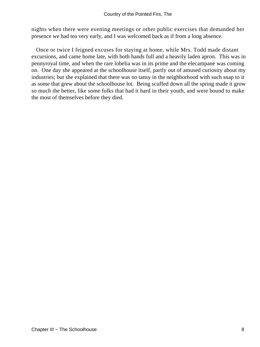nights when there were evening meetings or other public exercises that demanded her presence we had tea very early, and I was welcomed back as if from a long absence.

 Once or twice I feigned excuses for staying at home, while Mrs. Todd made distant excursions, and came home late, with both hands full and a heavily laden apron. This was in pennyroyal time, and when the rare lobelia was in its prime and the elecampane was coming on. One day she appeared at the schoolhouse itself, partly out of amused curiosity about my industries; but she explained that there was no tansy in the neighborhood with such snap to it as some that grew about the schoolhouse lot. Being scuffed down all the spring made it grow so much the better, like some folks that had it hard in their youth, and were bound to make the most of themselves before they died.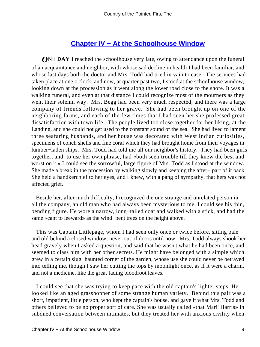# **[Chapter IV − At the Schoolhouse Window](#page-91-0)**

*ONE DAY I* reached the schoolhouse very late, owing to attendance upon the funeral of an acquaintance and neighbor, with whose sad decline in health I had been familiar, and whose last days both the doctor and Mrs. Todd had tried in vain to ease. The services had taken place at one o'clock, and now, at quarter past two, I stood at the schoolhouse window, looking down at the procession as it went along the lower road close to the shore. It was a walking funeral, and even at that distance I could recognize most of the mourners as they went their solemn way. Mrs. Begg had been very much respected, and there was a large company of friends following to her grave. She had been brought up on one of the neighboring farms, and each of the few times that I had seen her she professed great dissatisfaction with town life. The people lived too close together for her liking, at the Landing, and she could not get used to the constant sound of the sea. She had lived to lament three seafaring husbands, and her house was decorated with West Indian curiosities, specimens of conch shells and fine coral which they had brought home from their voyages in lumber−laden ships. Mrs. Todd had told me all our neighbor's history. They had been girls together, and, to use her own phrase, had «both seen trouble till they knew the best and worst on 't.» I could see the sorrowful, large figure of Mrs. Todd as I stood at the window. She made a break in the procession by walking slowly and keeping the after− part of it back. She held a handkerchief to her eyes, and I knew, with a pang of sympathy, that hers was not affected grief.

 Beside her, after much difficulty, I recognized the one strange and unrelated person in all the company, an old man who had always been mysterious to me. I could see his thin, bending figure. He wore a narrow, long−tailed coat and walked with a stick, and had the same «cant to leeward» as the wind−bent trees on the height above.

 This was Captain Littlepage, whom I had seen only once or twice before, sitting pale and old behind a closed window; never out of doors until now. Mrs. Todd always shook her head gravely when I asked a question, and said that he wasn't what he had been once, and seemed to class him with her other secrets. He might have belonged with a simple which grew in a certain slug−haunted corner of the garden, whose use she could never be betrayed into telling me, though I saw her cutting the tops by moonlight once, as if it were a charm, and not a medicine, like the great fading bloodroot leaves.

 I could see that she was trying to keep pace with the old captain's lighter steps. He looked like an aged grasshopper of some strange human variety. Behind this pair was a short, impatient, little person, who kept the captain's house, and gave it what Mrs. Todd and others believed to be no proper sort of care. She was usually called «that Mari' Harris» in subdued conversation between intimates, but they treated her with anxious civility when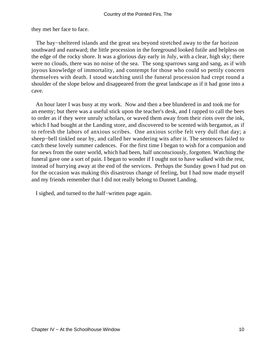they met her face to face.

 The bay−sheltered islands and the great sea beyond stretched away to the far horizon southward and eastward; the little procession in the foreground looked futile and helpless on the edge of the rocky shore. It was a glorious day early in July, with a clear, high sky; there were no clouds, there was no noise of the sea. The song sparrows sang and sang, as if with joyous knowledge of immortality, and contempt for those who could so pettily concern themselves with death. I stood watching until the funeral procession had crept round a shoulder of the slope below and disappeared from the great landscape as if it had gone into a cave.

 An hour later I was busy at my work. Now and then a bee blundered in and took me for an enemy; but there was a useful stick upon the teacher's desk, and I rapped to call the bees to order as if they were unruly scholars, or waved them away from their riots over the ink, which I had bought at the Landing store, and discovered to be scented with bergamot, as if to refresh the labors of anxious scribes. One anxious scribe felt very dull that day; a sheep−bell tinkled near by, and called her wandering wits after it. The sentences failed to catch these lovely summer cadences. For the first time I began to wish for a companion and for news from the outer world, which had been, half unconsciously, forgotten. Watching the funeral gave one a sort of pain. I began to wonder if I ought not to have walked with the rest, instead of hurrying away at the end of the services. Perhaps the Sunday gown I had put on for the occasion was making this disastrous change of feeling, but I had now made myself and my friends remember that I did not really belong to Dunnet Landing.

I sighed, and turned to the half−written page again.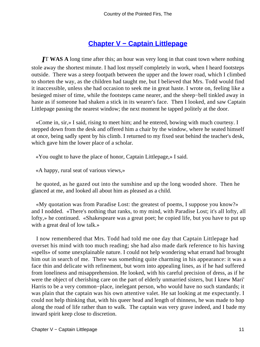# **[Chapter V − Captain Littlepage](#page-91-0)**

*I*T **WAS A** long time after this; an hour was very long in that coast town where nothing stole away the shortest minute. I had lost myself completely in work, when I heard footsteps outside. There was a steep footpath between the upper and the lower road, which I climbed to shorten the way, as the children had taught me, but I believed that Mrs. Todd would find it inaccessible, unless she had occasion to seek me in great haste. I wrote on, feeling like a besieged miser of time, while the footsteps came nearer, and the sheep−bell tinkled away in haste as if someone had shaken a stick in its wearer's face. Then I looked, and saw Captain Littlepage passing the nearest window; the next moment he tapped politely at the door.

 «Come in, sir,» I said, rising to meet him; and he entered, bowing with much courtesy. I stepped down from the desk and offered him a chair by the window, where he seated himself at once, being sadly spent by his climb. I returned to my fixed seat behind the teacher's desk, which gave him the lower place of a scholar.

«You ought to have the place of honor, Captain Littlepage,» I said.

«A happy, rural seat of various views,»

 he quoted, as he gazed out into the sunshine and up the long wooded shore. Then he glanced at me, and looked all about him as pleased as a child.

 «My quotation was from Paradise Lost: the greatest of poems, I suppose you know?» and I nodded. «There's nothing that ranks, to my mind, with Paradise Lost; it's all lofty, all lofty,» he continued. «Shakespeare was a great poet; he copied life, but you have to put up with a great deal of low talk.»

 I now remembered that Mrs. Todd had told me one day that Captain Littlepage had overset his mind with too much reading; she had also made dark reference to his having «spells» of some unexplainable nature. I could not help wondering what errand had brought him out in search of me. There was something quite charming in his appearance: it was a face thin and delicate with refinement, but worn into appealing lines, as if he had suffered from loneliness and misapprehension. He looked, with his careful precision of dress, as if he were the object of cherishing care on the part of elderly unmarried sisters, but I knew Mari' Harris to be a very common−place, inelegant person, who would have no such standards; it was plain that the captain was his own attentive valet. He sat looking at me expectantly. I could not help thinking that, with his queer head and length of thinness, he was made to hop along the road of life rather than to walk. The captain was very grave indeed, and I bade my inward spirit keep close to discretion.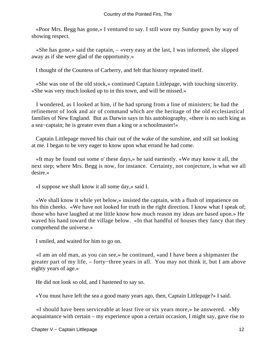«Poor Mrs. Begg has gone,» I ventured to say. I still wore my Sunday gown by way of showing respect.

 «She has gone,» said the captain, – «very easy at the last, I was informed; she slipped away as if she were glad of the opportunity.»

I thought of the Countess of Carberry, and felt that history repeated itself.

 «She was one of the old stock,» continued Captain Littlepage, with touching sincerity. «She was very much looked up to in this town, and will be missed.»

 I wondered, as I looked at him, if he had sprung from a line of ministers; he had the refinement of look and air of command which are the heritage of the old ecclesiastical families of New England. But as Darwin says in his autobiography, «there is no such king as a sea−captain; he is greater even than a king or a schoolmaster!»

 Captain Littlepage moved his chair out of the wake of the sunshine, and still sat looking at me. I began to be very eager to know upon what errand he had come.

 «It may be found out some o' these days,» he said earnestly. «We may know it all, the next step; where Mrs. Begg is now, for instance. Certainty, not conjecture, is what we all desire.»

«I suppose we shall know it all some day,» said I.

 «We shall know it while yet below,» insisted the captain, with a flush of impatience on his thin cheeks. «We have not looked for truth in the right direction. I know what I speak of; those who have laughed at me little know how much reason my ideas are based upon.» He waved his hand toward the village below. «In that handful of houses they fancy that they comprehend the universe.»

I smiled, and waited for him to go on.

 «I am an old man, as you can see,» he continued, «and I have been a shipmaster the greater part of my life, – forty−three years in all. You may not think it, but I am above eighty years of age.»

He did not look so old, and I hastened to say so.

«You must have left the sea a good many years ago, then, Captain Littlepage?» I said.

 «I should have been serviceable at least five or six years more,» he answered. «My acquaintance with certain – my experience upon a certain occasion, I might say, gave rise to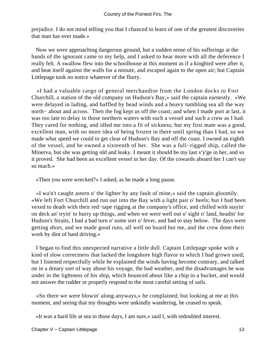prejudice. I do not mind telling you that I chanced to learn of one of the greatest discoveries that man has ever made.»

 Now we were approaching dangerous ground, but a sudden sense of his sufferings at the hands of the ignorant came to my help, and I asked to hear more with all the deference I really felt. A swallow flew into the schoolhouse at this moment as if a kingbird were after it, and beat itself against the walls for a minute, and escaped again to the open air; but Captain Littlepage took no notice whatever of the flurry.

 «I had a valuable cargo of general merchandise from the London docks to Fort Churchill, a station of the old company on Hudson's Bay,» said the captain earnestly. «We were delayed in lading, and baffled by head winds and a heavy tumbling sea all the way north− about and across. Then the fog kept us off the coast; and when I made port at last, it was too late to delay in those northern waters with such a vessel and such a crew as I had. They cared for nothing, and idled me into a fit of sickness; but my first mate was a good, excellent man, with no more idea of being frozen in there until spring than I had, so we made what speed we could to get clear of Hudson's Bay and off the coast. I owned an eighth of the vessel, and he owned a sixteenth of her. She was a full−rigged ship, called the Minerva, but she was getting old and leaky. I meant it should be my last v'y'ge in her, and so it proved. She had been an excellent vessel in her day. Of the cowards aboard her I can't say so much.»

«Then you were wrecked?» I asked, as he made a long pause.

 «I wa'n't caught astern o' the lighter by any fault of mine,» said the captain gloomily. «We left Fort Churchill and run out into the Bay with a light pair o' heels; but I had been vexed to death with their red−tape rigging at the company's office, and chilled with stayin' on deck an' tryin' to hurry up things, and when we were well out o' sight o' land, headin' for Hudson's Straits, I had a bad turn o' some sort o' fever, and had to stay below. The days were getting short, and we made good runs, all well on board but me, and the crew done their work by dint of hard driving.»

 I began to find this unexpected narrative a little dull. Captain Littlepage spoke with a kind of slow correctness that lacked the longshore high flavor to which I had grown used; but I listened respectfully while he explained the winds having become contrary, and talked on in a dreary sort of way about his voyage, the bad weather, and the disadvantages he was under in the lightness of his ship, which bounced about like a chip in a bucket, and would not answer the rudder or properly respond to the most careful setting of sails.

 «So there we were blowin' along anyways,» he complained; but looking at me at this moment, and seeing that my thoughts were unkindly wandering, he ceased to speak.

«It was a hard life at sea in those days, I am sure,» said I, with redoubled interest.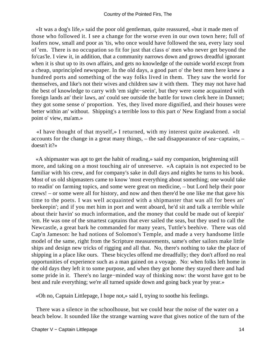«It was a dog's life,» said the poor old gentleman, quite reassured, «but it made men of those who followed it. I see a change for the worse even in our own town here; full of loafers now, small and poor as 'tis, who once would have followed the sea, every lazy soul of 'em. There is no occupation so fit for just that class o' men who never get beyond the fo'cas'le. I view it, in addition, that a community narrows down and grows dreadful ignorant when it is shut up to its own affairs, and gets no knowledge of the outside world except from a cheap, unprincipled newspaper. In the old days, a good part o' the best men here knew a hundred ports and something of the way folks lived in them. They saw the world for themselves, and like's not their wives and children saw it with them. They may not have had the best of knowledge to carry with 'em sight−seein', but they were some acquainted with foreign lands an' their laws, an' could see outside the battle for town clerk here in Dunnet; they got some sense o' proportion. Yes, they lived more dignified, and their houses were better within an' without. Shipping's a terrible loss to this part o' New England from a social point o' view, ma'am.»

 «I have thought of that myself,» I returned, with my interest quite awakened. «It accounts for the change in a great many things, – the sad disappearance of sea−captains, – doesn't it?»

 «A shipmaster was apt to get the habit of reading,» said my companion, brightening still more, and taking on a most touching air of unreserve. «A captain is not expected to be familiar with his crew, and for company's sake in dull days and nights he turns to his book. Most of us old shipmasters came to know 'most everything about something; one would take to readin' on farming topics, and some were great on medicine, – but Lord help their poor crews! – or some were all for history, and now and then there'd be one like me that gave his time to the poets. I was well acquainted with a shipmaster that was all for bees an' beekeepin'; and if you met him in port and went aboard, he'd sit and talk a terrible while about their havin' so much information, and the money that could be made out of keepin' 'em. He was one of the smartest captains that ever sailed the seas, but they used to call the Newcastle, a great bark he commanded for many years, Tuttle's beehive. There was old Cap'n Jameson: he had notions of Solomon's Temple, and made a very handsome little model of the same, right from the Scripture measurements, same's other sailors make little ships and design new tricks of rigging and all that. No, there's nothing to take the place of shipping in a place like ours. These bicycles offend me dreadfully; they don't afford no real opportunities of experience such as a man gained on a voyage. No: when folks left home in the old days they left it to some purpose, and when they got home they stayed there and had some pride in it. There's no large−minded way of thinking now: the worst have got to be best and rule everything; we're all turned upside down and going back year by year.»

«Oh no, Captain Littlepage, I hope not,» said I, trying to soothe his feelings.

 There was a silence in the schoolhouse, but we could hear the noise of the water on a beach below. It sounded like the strange warning wave that gives notice of the turn of the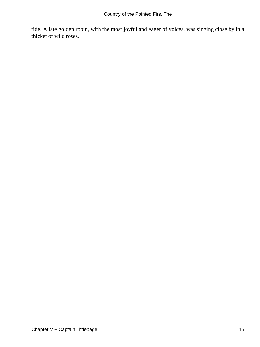tide. A late golden robin, with the most joyful and eager of voices, was singing close by in a thicket of wild roses.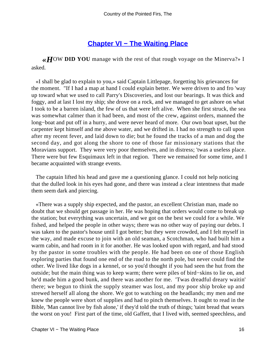## **[Chapter VI − The Waiting Place](#page-91-0)**

*«H*OW **DID YOU** manage with the rest of that rough voyage on the Minerva?» I asked.

 «I shall be glad to explain to you,» said Captain Littlepage, forgetting his grievances for the moment. "If I had a map at hand I could explain better. We were driven to and fro 'way up toward what we used to call Parry's Discoveries, and lost our bearings. It was thick and foggy, and at last I lost my ship; she drove on a rock, and we managed to get ashore on what I took to be a barren island, the few of us that were left alive. When she first struck, the sea was somewhat calmer than it had been, and most of the crew, against orders, manned the long−boat and put off in a hurry, and were never heard of more. Our own boat upset, but the carpenter kept himself and me above water, and we drifted in. I had no strength to call upon after my recent fever, and laid down to die; but he found the tracks of a man and dog the second day, and got along the shore to one of those far missionary stations that the Moravians support. They were very poor themselves, and in distress; 'twas a useless place. There were but few Esquimaux left in that region. There we remained for some time, and I became acquainted with strange events.

 The captain lifted his head and gave me a questioning glance. I could not help noticing that the dulled look in his eyes had gone, and there was instead a clear intentness that made them seem dark and piercing.

 «There was a supply ship expected, and the pastor, an excellent Christian man, made no doubt that we should get passage in her. He was hoping that orders would come to break up the station; but everything was uncertain, and we got on the best we could for a while. We fished, and helped the people in other ways; there was no other way of paying our debts. I was taken to the pastor's house until I got better; but they were crowded, and I felt myself in the way, and made excuse to join with an old seaman, a Scotchman, who had built him a warm cabin, and had room in it for another. He was looked upon with regard, and had stood by the pastor in some troubles with the people. He had been on one of those English exploring parties that found one end of the road to the north pole, but never could find the other. We lived like dogs in a kennel, or so you'd thought if you had seen the hut from the outside; but the main thing was to keep warm; there were piles of bird−skins to lie on, and he'd made him a good bunk, and there was another for me. 'Twas dreadful dreary waitin' there; we begun to think the supply steamer was lost, and my poor ship broke up and strewed herself all along the shore. We got to watching on the headlands; my men and me knew the people were short of supplies and had to pinch themselves. It ought to read in the Bible, 'Man cannot live by fish alone,' if they'd told the truth of things; 'taint bread that wears the worst on you! First part of the time, old Gaffett, that I lived with, seemed speechless, and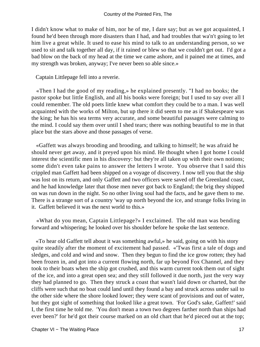I didn't know what to make of him, nor he of me, I dare say; but as we got acquainted, I found he'd been through more disasters than I had, and had troubles that wa'n't going to let him live a great while. It used to ease his mind to talk to an understanding person, so we used to sit and talk together all day, if it rained or blew so that we couldn't get out. I'd got a bad blow on the back of my head at the time we came ashore, and it pained me at times, and my strength was broken, anyway; I've never been so able since.»

Captain Littlepage fell into a reverie.

 «Then I had the good of my reading,» he explained presently. "I had no books; the pastor spoke but little English, and all his books were foreign; but I used to say over all I could remember. The old poets little knew what comfort they could be to a man. I was well acquainted with the works of Milton, but up there it did seem to me as if Shakespeare was the king; he has his sea terms very accurate, and some beautiful passages were calming to the mind. I could say them over until I shed tears; there was nothing beautiful to me in that place but the stars above and those passages of verse.

 «Gaffett was always brooding and brooding, and talking to himself; he was afraid he should never get away, and it preyed upon his mind. He thought when I got home I could interest the scientific men in his discovery: but they're all taken up with their own notions; some didn't even take pains to answer the letters I wrote. You observe that I said this crippled man Gaffett had been shipped on a voyage of discovery. I now tell you that the ship was lost on its return, and only Gaffett and two officers were saved off the Greenland coast, and he had knowledge later that those men never got back to England; the brig they shipped on was run down in the night. So no other living soul had the facts, and he gave them to me. There is a strange sort of a country 'way up north beyond the ice, and strange folks living in it. Gaffett believed it was the next world to this.»

 «What do you mean, Captain Littlepage?» I exclaimed. The old man was bending forward and whispering; he looked over his shoulder before he spoke the last sentence.

 «To hear old Gaffett tell about it was something awful,» he said, going on with his story quite steadily after the moment of excitement had passed. «'Twas first a tale of dogs and sledges, and cold and wind and snow. Then they begun to find the ice grow rotten; they had been frozen in, and got into a current flowing north, far up beyond Fox Channel, and they took to their boats when the ship got crushed, and this warm current took them out of sight of the ice, and into a great open sea; and they still followed it due north, just the very way they had planned to go. Then they struck a coast that wasn't laid down or charted, but the cliffs were such that no boat could land until they found a bay and struck across under sail to the other side where the shore looked lower; they were scant of provisions and out of water, but they got sight of something that looked like a great town. 'For God's sake, Gaffett!' said I, the first time he told me. 'You don't mean a town two degrees farther north than ships had ever been?' for he'd got their course marked on an old chart that he'd pieced out at the top;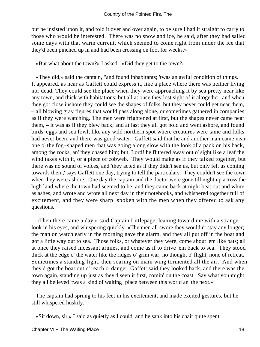but he insisted upon it, and told it over and over again, to be sure I had it straight to carry to those who would be interested. There was no snow and ice, he said, after they had sailed some days with that warm current, which seemed to come right from under the ice that they'd been pinched up in and had been crossing on foot for weeks.»

«But what about the town?» I asked. «Did they get to the town?»

 «They did,» said the captain, "and found inhabitants; 'twas an awful condition of things. It appeared, as near as Gaffett could express it, like a place where there was neither living nor dead. They could see the place when they were approaching it by sea pretty near like any town, and thick with habitations; but all at once they lost sight of it altogether, and when they got close inshore they could see the shapes of folks, but they never could get near them, – all blowing gray figures that would pass along alone, or sometimes gathered in companies as if they were watching. The men were frightened at first, but the shapes never came near them, – it was as if they blew back; and at last they all got bold and went ashore, and found birds' eggs and sea fowl, like any wild northern spot where creatures were tame and folks had never been, and there was good water. Gaffett said that he and another man came near one o' the fog−shaped men that was going along slow with the look of a pack on his back, among the rocks, an' they chased him; but, Lord! he flittered away out o' sight like a leaf the wind takes with it, or a piece of cobweb. They would make as if they talked together, but there was no sound of voices, and 'they acted as if they didn't see us, but only felt us coming towards them,' says Gaffett one day, trying to tell the particulars. They couldn't see the town when they were ashore. One day the captain and the doctor were gone till night up across the high land where the town had seemed to be, and they came back at night beat out and white as ashes, and wrote and wrote all next day in their notebooks, and whispered together full of excitement, and they were sharp−spoken with the men when they offered to ask any questions.

 «Then there came a day,» said Captain Littlepage, leaning toward me with a strange look in his eyes, and whispering quickly. «The men all swore they wouldn't stay any longer; the man on watch early in the morning gave the alarm, and they all put off in the boat and got a little way out to sea. Those folks, or whatever they were, come about 'em like bats; all at once they raised incessant armies, and come as if to drive 'em back to sea. They stood thick at the edge o' the water like the ridges o' grim war; no thought o' flight, none of retreat. Sometimes a standing fight, then soaring on main wing tormented all the air. And when they'd got the boat out o' reach o' danger, Gaffett said they looked back, and there was the town again, standing up just as they'd seen it first, comin' on the coast. Say what you might, they all believed 'twas a kind of waiting−place between this world an' the next.»

 The captain had sprung to his feet in his excitement, and made excited gestures, but he still whispered huskily.

«Sit down, sir,» I said as quietly as I could, and he sank into his chair quite spent.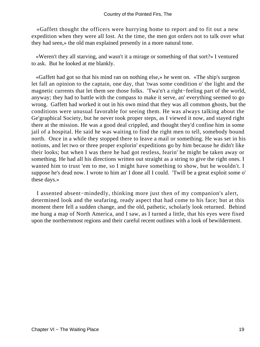«Gaffett thought the officers were hurrying home to report and to fit out a new expedition when they were all lost. At the time, the men got orders not to talk over what they had seen,» the old man explained presently in a more natural tone.

 «Weren't they all starving, and wasn't it a mirage or something of that sort?» I ventured to ask. But he looked at me blankly.

 «Gaffett had got so that his mind ran on nothing else,» he went on. «The ship's surgeon let fall an opinion to the captain, one day, that 'twas some condition o' the light and the magnetic currents that let them see those folks. 'Twa'n't a right−feeling part of the world, anyway; they had to battle with the compass to make it serve, an' everything seemed to go wrong. Gaffett had worked it out in his own mind that they was all common ghosts, but the conditions were unusual favorable for seeing them. He was always talking about the Ge'graphical Society, but he never took proper steps, as I viewed it now, and stayed right there at the mission. He was a good deal crippled, and thought they'd confine him in some jail of a hospital. He said he was waiting to find the right men to tell, somebody bound north. Once in a while they stopped there to leave a mail or something. He was set in his notions, and let two or three proper explorin' expeditions go by him because he didn't like their looks; but when I was there he had got restless, fearin' he might be taken away or something. He had all his directions written out straight as a string to give the right ones. I wanted him to trust 'em to me, so I might have something to show, but he wouldn't. I suppose he's dead now. I wrote to him an' I done all I could. 'Twill be a great exploit some o' these days.»

 I assented absent−mindedly, thinking more just then of my companion's alert, determined look and the seafaring, ready aspect that had come to his face; but at this moment there fell a sudden change, and the old, pathetic, scholarly look returned. Behind me hung a map of North America, and I saw, as I turned a little, that his eyes were fixed upon the northernmost regions and their careful recent outlines with a look of bewilderment.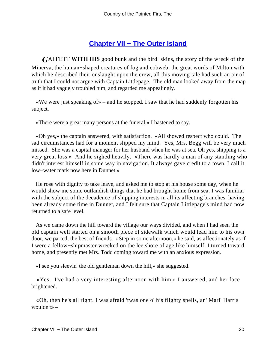## **[Chapter VII − The Outer Island](#page-91-0)**

*G*AFFETT **WITH HIS** good bunk and the bird−skins, the story of the wreck of the Minerva, the human−shaped creatures of fog and cobweb, the great words of Milton with which he described their onslaught upon the crew, all this moving tale had such an air of truth that I could not argue with Captain Littlepage. The old man looked away from the map as if it had vaguely troubled him, and regarded me appealingly.

 «We were just speaking of» – and he stopped. I saw that he had suddenly forgotten his subject.

«There were a great many persons at the funeral,» I hastened to say.

 «Oh yes,» the captain answered, with satisfaction. «All showed respect who could. The sad circumstances had for a moment slipped my mind. Yes, Mrs. Begg will be very much missed. She was a capital manager for her husband when he was at sea. Oh yes, shipping is a very great loss.» And he sighed heavily. «There was hardly a man of any standing who didn't interest himself in some way in navigation. It always gave credit to a town. I call it low−water mark now here in Dunnet.»

 He rose with dignity to take leave, and asked me to stop at his house some day, when he would show me some outlandish things that he had brought home from sea. I was familiar with the subject of the decadence of shipping interests in all its affecting branches, having been already some time in Dunnet, and I felt sure that Captain Littlepage's mind had now returned to a safe level.

 As we came down the hill toward the village our ways divided, and when I had seen the old captain well started on a smooth piece of sidewalk which would lead him to his own door, we parted, the best of friends. «Step in some afternoon,» he said, as affectionately as if I were a fellow−shipmaster wrecked on the lee shore of age like himself. I turned toward home, and presently met Mrs. Todd coming toward me with an anxious expression.

«I see you sleevin' the old gentleman down the hill,» she suggested.

 «Yes. I've had a very interesting afternoon with him,» I answered, and her face brightened.

 «Oh, then he's all right. I was afraid 'twas one o' his flighty spells, an' Mari' Harris wouldn't» –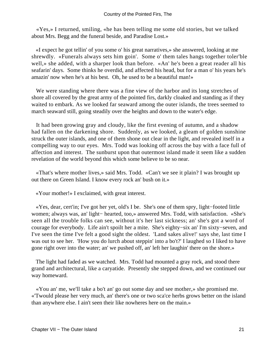«Yes,» I returned, smiling, «he has been telling me some old stories, but we talked about Mrs. Begg and the funeral beside, and Paradise Lost.»

 «I expect he got tellin' of you some o' his great narratives,» she answered, looking at me shrewdly. «Funerals always sets him goin'. Some o' them tales hangs together toler'ble well,» she added, with a sharper look than before. «An' he's been a great reader all his seafarin' days. Some thinks he overdid, and affected his head, but for a man o' his years he's amazin' now when he's at his best. Oh, he used to be a beautiful man!»

 We were standing where there was a fine view of the harbor and its long stretches of shore all covered by the great army of the pointed firs, darkly cloaked and standing as if they waited to embark. As we looked far seaward among the outer islands, the trees seemed to march seaward still, going steadily over the heights and down to the water's edge.

 It had been growing gray and cloudy, like the first evening of autumn, and a shadow had fallen on the darkening shore. Suddenly, as we looked, a gleam of golden sunshine struck the outer islands, and one of them shone out clear in the light, and revealed itself in a compelling way to our eyes. Mrs. Todd was looking off across the bay with a face full of affection and interest. The sunburst upon that outermost island made it seem like a sudden revelation of the world beyond this which some believe to be so near.

 «That's where mother lives,» said Mrs. Todd. «Can't we see it plain? I was brought up out there on Green Island. I know every rock an' bush on it.»

«Your mother!» I exclaimed, with great interest.

 «Yes, dear, cert'in; I've got her yet, old's I be. She's one of them spry, light−footed little women; always was, an' light− hearted, too,» answered Mrs. Todd, with satisfaction. «She's seen all the trouble folks can see, without it's her last sickness; an' she's got a word of courage for everybody. Life ain't spoilt her a mite. She's eighty−six an' I'm sixty−seven, and I've seen the time I've felt a good sight the oldest. 'Land sakes alive!' says she, last time I was out to see her. 'How you do lurch about steppin' into a bo't?' I laughed so I liked to have gone right over into the water; an' we pushed off, an' left her laughin' there on the shore.»

 The light had faded as we watched. Mrs. Todd had mounted a gray rock, and stood there grand and architectural, like a caryatide. Presently she stepped down, and we continued our way homeward.

 «You an' me, we'll take a bo't an' go out some day and see mother,» she promised me. «'Twould please her very much, an' there's one or two sca'ce herbs grows better on the island than anywhere else. I ain't seen their like nowheres here on the main.»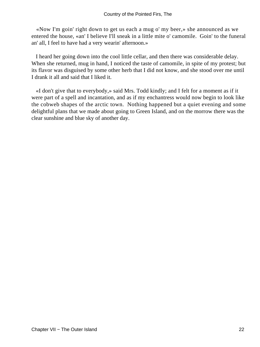«Now I'm goin' right down to get us each a mug o' my beer,» she announced as we entered the house, «an' I believe I'll sneak in a little mite o' camomile. Goin' to the funeral an' all, I feel to have had a very wearin' afternoon.»

 I heard her going down into the cool little cellar, and then there was considerable delay. When she returned, mug in hand, I noticed the taste of camomile, in spite of my protest; but its flavor was disguised by some other herb that I did not know, and she stood over me until I drank it all and said that I liked it.

 «I don't give that to everybody,» said Mrs. Todd kindly; and I felt for a moment as if it were part of a spell and incantation, and as if my enchantress would now begin to look like the cobweb shapes of the arctic town. Nothing happened but a quiet evening and some delightful plans that we made about going to Green Island, and on the morrow there was the clear sunshine and blue sky of another day.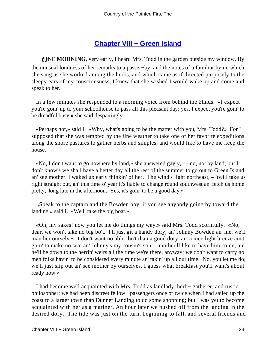## **[Chapter VIII − Green Island](#page-91-0)**

*O***NE MORNING**, very early, I heard Mrs. Todd in the garden outside my window. By the unusual loudness of her remarks to a passer−by, and the notes of a familiar hymn which she sang as she worked among the herbs, and which came as if directed purposely to the sleepy ears of my consciousness, I knew that she wished I would wake up and come and speak to her.

 In a few minutes she responded to a morning voice from behind the blinds. «I expect you're goin' up to your schoolhouse to pass all this pleasant day; yes, I expect you're goin' to be dreadful busy,» she said despairingly.

 «Perhaps not,» said I. «Why, what's going to be the matter with you, Mrs. Todd?» For I supposed that she was tempted by the fine weather to take one of her favorite expeditions along the shore pastures to gather herbs and simples, and would like to have me keep the house.

 «No, I don't want to go nowhere by land,» she answered gayly, – «no, not by land; but I don't know's we shall have a better day all the rest of the summer to go out to Green Island an' see mother. I waked up early thinkin' of her. The wind's light northeast, – 'twill take us right straight out, an' this time o' year it's liable to change round southwest an' fetch us home pretty, 'long late in the afternoon. Yes, it's goin' to be a good day.»

 «Speak to the captain and the Bowden boy, if you see anybody going by toward the landing,» said I. «We'll take the big boat.»

 «Oh, my sakes! now you let me do things my way,» said Mrs. Todd scornfully. «No, dear, we won't take no big bo't. I'll just git a handy dory, an' Johnny Bowden an' me, we'll man her ourselves. I don't want no abler bo't than a good dory, an' a nice light breeze ain't goin' to make no sea; an' Johnny's my cousin's son, – mother'll like to have him come; an' he'll be down to the herrin' weirs all the time we're there, anyway; we don't want to carry no men folks havin' to be considered every minute an' takin' up all our time. No, you let me do; we'll just slip out an' see mother by ourselves. I guess what breakfast you'll want's about ready now.»

 I had become well acquainted with Mrs. Todd as landlady, herb− gatherer, and rustic philosopher; we had been discreet fellow− passengers once or twice when I had sailed up the coast to a larger town than Dunnet Landing to do some shopping; but I was yet to become acquainted with her as a mariner. An hour later we pushed off from the landing in the desired dory. The tide was just on the turn, beginning to fall, and several friends and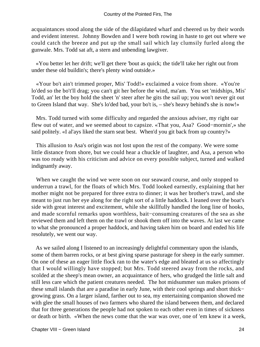acquaintances stood along the side of the dilapidated wharf and cheered us by their words and evident interest. Johnny Bowden and I were both rowing in haste to get out where we could catch the breeze and put up the small sail which lay clumsily furled along the gunwale. Mrs. Todd sat aft, a stern and unbending lawgiver.

 «You better let her drift; we'll get there 'bout as quick; the tide'll take her right out from under these old buildin's; there's plenty wind outside.»

 «Your bo't ain't trimmed proper, Mis' Todd!» exclaimed a voice from shore. «You're lo'ded so the bo't'll drag; you can't git her before the wind, ma'am. You set 'midships, Mis' Todd, an' let the boy hold the sheet 'n' steer after he gits the sail up; you won't never git out to Green Island that way. She's lo'ded bad, your bo't is, – she's heavy behind's she is now!»

 Mrs. Todd turned with some difficulty and regarded the anxious adviser, my right oar flew out of water, and we seemed about to capsize. «That you, Asa? Good−mornin',» she said politely. «I al'ays liked the starn seat best. When'd you git back from up country?»

 This allusion to Asa's origin was not lost upon the rest of the company. We were some little distance from shore, but we could hear a chuckle of laughter, and Asa, a person who was too ready with his criticism and advice on every possible subject, turned and walked indignantly away.

 When we caught the wind we were soon on our seaward course, and only stopped to underrun a trawl, for the floats of which Mrs. Todd looked earnestly, explaining that her mother might not be prepared for three extra to dinner; it was her brother's trawl, and she meant to just run her eye along for the right sort of a little haddock. I leaned over the boat's side with great interest and excitement, while she skillfully handled the long line of hooks, and made scornful remarks upon worthless, bait−consuming creatures of the sea as she reviewed them and left them on the trawl or shook them off into the waves. At last we came to what she pronounced a proper haddock, and having taken him on board and ended his life resolutely, we went our way.

 As we sailed along I listened to an increasingly delightful commentary upon the islands, some of them barren rocks, or at best giving sparse pasturage for sheep in the early summer. On one of these an eager little flock ran to the water's edge and bleated at us so affectingly that I would willingly have stopped; but Mrs. Todd steered away from the rocks, and scolded at the sheep's mean owner, an acquaintance of hers, who grudged the little salt and still less care which the patient creatures needed. The hot midsummer sun makes prisons of these small islands that are a paradise in early June, with their cool springs and short thick− growing grass. On a larger island, farther out to sea, my entertaining companion showed me with glee the small houses of two farmers who shared the island between them, and declared that for three generations the people had not spoken to each other even in times of sickness or death or birth. «When the news come that the war was over, one of 'em knew it a week,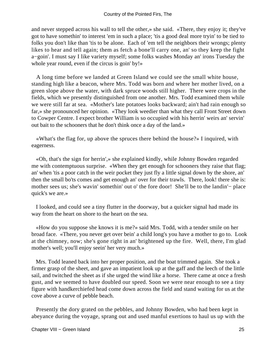and never stepped across his wall to tell the other,» she said. «There, they enjoy it; they've got to have somethin' to interest 'em in such a place; 'tis a good deal more tryin' to be tied to folks you don't like than 'tis to be alone. Each of 'em tell the neighbors their wrongs; plenty likes to hear and tell again; them as fetch a bone'll carry one, an' so they keep the fight a−goin'. I must say I like variety myself; some folks washes Monday an' irons Tuesday the whole year round, even if the circus is goin' by!»

 A long time before we landed at Green Island we could see the small white house, standing high like a beacon, where Mrs. Todd was born and where her mother lived, on a green slope above the water, with dark spruce woods still higher. There were crops in the fields, which we presently distinguished from one another. Mrs. Todd examined them while we were still far at sea. «Mother's late potatoes looks backward; ain't had rain enough so far,» she pronounced her opinion. «They look weedier than what they call Front Street down to Cowper Centre. I expect brother William is so occupied with his herrin' weirs an' servin' out bait to the schooners that he don't think once a day of the land.»

 «What's the flag for, up above the spruces there behind the house?» I inquired, with eagerness.

 «Oh, that's the sign for herrin',» she explained kindly, while Johnny Bowden regarded me with contemptuous surprise. «When they get enough for schooners they raise that flag; an' when 'tis a poor catch in the weir pocket they just fly a little signal down by the shore, an' then the small bo'ts comes and get enough an' over for their trawls. There, look! there she is: mother sees us; she's wavin' somethin' out o' the fore door! She'll be to the landin'− place quick's we are.»

 I looked, and could see a tiny flutter in the doorway, but a quicker signal had made its way from the heart on shore to the heart on the sea.

 «How do you suppose she knows it is me?» said Mrs. Todd, with a tender smile on her broad face. «There, you never get over bein' a child long's you have a mother to go to. Look at the chimney, now; she's gone right in an' brightened up the fire. Well, there, I'm glad mother's well; you'll enjoy seein' her very much.»

 Mrs. Todd leaned back into her proper position, and the boat trimmed again. She took a firmer grasp of the sheet, and gave an impatient look up at the gaff and the leech of the little sail, and twitched the sheet as if she urged the wind like a horse. There came at once a fresh gust, and we seemed to have doubled our speed. Soon we were near enough to see a tiny figure with handkerchiefed head come down across the field and stand waiting for us at the cove above a curve of pebble beach.

 Presently the dory grated on the pebbles, and Johnny Bowden, who had been kept in abeyance during the voyage, sprang out and used manful exertions to haul us up with the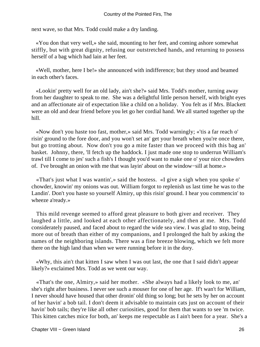next wave, so that Mrs. Todd could make a dry landing.

 «You don that very well,» she said, mounting to her feet, and coming ashore somewhat stiffly, but with great dignity, refusing our outstretched hands, and returning to possess herself of a bag which had lain at her feet.

 «Well, mother, here I be!» she announced with indifference; but they stood and beamed in each other's faces.

 «Lookin' pretty well for an old lady, ain't she?» said Mrs. Todd's mother, turning away from her daughter to speak to me. She was a delightful little person herself, with bright eyes and an affectionate air of expectation like a child on a holiday. You felt as if Mrs. Blackett were an old and dear friend before you let go her cordial hand. We all started together up the hill.

 «Now don't you haste too fast, mother,» said Mrs. Todd warningly; «'tis a far reach o' risin' ground to the fore door, and you won't set an' get your breath when you're once there, but go trotting about. Now don't you go a mite faster than we proceed with this bag an' basket. Johnny, there, 'll fetch up the haddock. I just made one stop to underrun William's trawl till I come to jes' such a fish's I thought you'd want to make one o' your nice chowders of. I've brought an onion with me that was layin' about on the window−sill at home.»

 «That's just what I was wantin',» said the hostess. «I give a sigh when you spoke o' chowder, knowin' my onions was out. William forgot to replenish us last time he was to the Landin'. Don't you haste so yourself Almiry, up this risin' ground. I hear you commencin' to wheeze a'ready.»

 This mild revenge seemed to afford great pleasure to both giver and receiver. They laughed a little, and looked at each other affectionately, and then at me. Mrs. Todd considerately paused, and faced about to regard the wide sea view. I was glad to stop, being more out of breath than either of my companions, and I prolonged the halt by asking the names of the neighboring islands. There was a fine breeze blowing, which we felt more there on the high land than when we were running before it in the dory.

 «Why, this ain't that kitten I saw when I was out last, the one that I said didn't appear likely?» exclaimed Mrs. Todd as we went our way.

 «That's the one, Almiry,» said her mother. «She always had a likely look to me, an' she's right after business. I never see such a mouser for one of her age. If't wan't for William, I never should have housed that other dronin' old thing so long; but he sets by her on account of her havin' a bob tail. I don't deem it advisable to maintain cats just on account of their havin' bob tails; they're like all other curiosities, good for them that wants to see 'm twice. This kitten catches mice for both, an' keeps me respectable as I ain't been for a year. She's a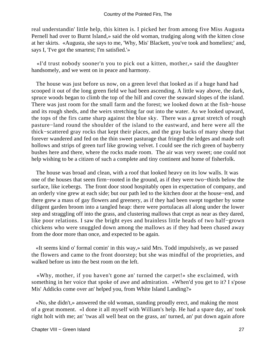real understandin' little help, this kitten is. I picked her from among five Miss Augusta Pernell had over to Burnt Island,» said the old woman, trudging along with the kitten close at her skirts. «Augusta, she says to me, 'Why, Mis' Blackett, you've took and homeliest;' and, says I, 'I've got the smartest; I'm satisfied.'»

 «I'd trust nobody sooner'n you to pick out a kitten, mother,» said the daughter handsomely, and we went on in peace and harmony.

 The house was just before us now, on a green level that looked as if a huge hand had scooped it out of the long green field we had been ascending. A little way above, the dark, spruce woods began to climb the top of the hill and cover the seaward slopes of the island. There was just room for the small farm and the forest; we looked down at the fish−house and its rough sheds, and the weirs stretching far out into the water. As we looked upward, the tops of the firs came sharp against the blue sky. There was a great stretch of rough pasture−land round the shoulder of the island to the eastward, and here were all the thick−scattered gray rocks that kept their places, and the gray backs of many sheep that forever wandered and fed on the thin sweet pasturage that fringed the ledges and made soft hollows and strips of green turf like growing velvet. I could see the rich green of bayberry bushes here and there, where the rocks made room. The air was very sweet; one could not help wishing to be a citizen of such a complete and tiny continent and home of fisherfolk.

 The house was broad and clean, with a roof that looked heavy on its low walls. It was one of the houses that seem firm−rooted in the ground, as if they were two−thirds below the surface, like icebergs. The front door stood hospitably open in expectation of company, and an orderly vine grew at each side; but our path led to the kitchen door at the house−end, and there grew a mass of gay flowers and greenery, as if they had been swept together by some diligent garden broom into a tangled heap: there were portulacas all along under the lower step and straggling off into the grass, and clustering mallows that crept as near as they dared, like poor relations. I saw the bright eyes and brainless little heads of two half−grown chickens who were snuggled down among the mallows as if they had been chased away from the door more than once, and expected to be again.

 «It seems kind o' formal comin' in this way,» said Mrs. Todd impulsively, as we passed the flowers and came to the front doorstep; but she was mindful of the proprieties, and walked before us into the best room on the left.

 «Why, mother, if you haven't gone an' turned the carpet!» she exclaimed, with something in her voice that spoke of awe and admiration. «When'd you get to it? I s'pose Mis' Addicks come over an' helped you, from White Island Landing?»

 «No, she didn't,» answered the old woman, standing proudly erect, and making the most of a great moment. «I done it all myself with William's help. He had a spare day, an' took right holt with me; an' 'twas all well beat on the grass, an' turned, an' put down again afore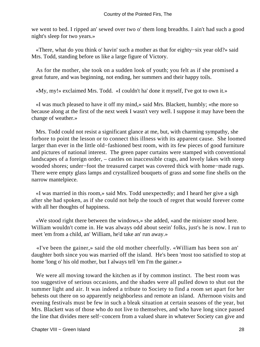we went to bed. I ripped an' sewed over two o' them long breadths. I ain't had such a good night's sleep for two years.»

 «There, what do you think o' havin' such a mother as that for eighty−six year old?» said Mrs. Todd, standing before us like a large figure of Victory.

 As for the mother, she took on a sudden look of youth; you felt as if she promised a great future, and was beginning, not ending, her summers and their happy toils.

«My, my!» exclaimed Mrs. Todd. «I couldn't ha' done it myself, I've got to own it.»

 «I was much pleased to have it off my mind,» said Mrs. Blackett, humbly; «the more so because along at the first of the next week I wasn't very well. I suppose it may have been the change of weather.»

 Mrs. Todd could not resist a significant glance at me, but, with charming sympathy, she forbore to point the lesson or to connect this illness with its apparent cause. She loomed larger than ever in the little old−fashioned best room, with its few pieces of good furniture and pictures of national interest. The green paper curtains were stamped with conventional landscapes of a foreign order, – castles on inaccessible crags, and lovely lakes with steep wooded shores; under−foot the treasured carpet was covered thick with home−made rugs. There were empty glass lamps and crystallized bouquets of grass and some fine shells on the narrow mantelpiece.

 «I was married in this room,» said Mrs. Todd unexpectedly; and I heard her give a sigh after she had spoken, as if she could not help the touch of regret that would forever come with all her thoughts of happiness.

 «We stood right there between the windows,» she added, «and the minister stood here. William wouldn't come in. He was always odd about seein' folks, just's he is now. I run to meet 'em from a child, an' William, he'd take an' run away.»

 «I've been the gainer,» said the old mother cheerfully. «William has been son an' daughter both since you was married off the island. He's been 'most too satisfied to stop at home 'long o' his old mother, but I always tell 'em I'm the gainer.»

We were all moving toward the kitchen as if by common instinct. The best room was too suggestive of serious occasions, and the shades were all pulled down to shut out the summer light and air. It was indeed a tribute to Society to find a room set apart for her behests out there on so apparently neighborless and remote an island. Afternoon visits and evening festivals must be few in such a bleak situation at certain seasons of the year, but Mrs. Blackett was of those who do not live to themselves, and who have long since passed the line that divides mere self−concern from a valued share in whatever Society can give and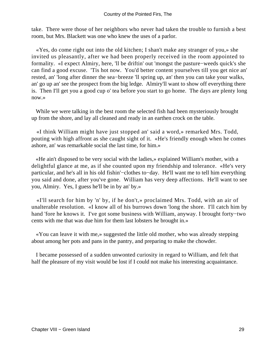take. There were those of her neighbors who never had taken the trouble to furnish a best room, but Mrs. Blackett was one who knew the uses of a parlor.

 «Yes, do come right out into the old kitchen; I shan't make any stranger of you,» she invited us pleasantly, after we had been properly received in the room appointed to formality. «I expect Almiry, here, 'll be driftin' out 'mongst the pasture−weeds quick's she can find a good excuse. 'Tis hot now. You'd better content yourselves till you get nice an' rested, an' 'long after dinner the sea−breeze 'll spring up, an' then you can take your walks, an' go up an' see the prospect from the big ledge. Almiry'll want to show off everything there is. Then I'll get you a good cup o' tea before you start to go home. The days are plenty long now.»

 While we were talking in the best room the selected fish had been mysteriously brought up from the shore, and lay all cleaned and ready in an earthen crock on the table.

 «I think William might have just stopped an' said a word,» remarked Mrs. Todd, pouting with high affront as she caught sight of it. «He's friendly enough when he comes ashore, an' was remarkable social the last time, for him.»

 «He ain't disposed to be very social with the ladies,» explained William's mother, with a delightful glance at me, as if she counted upon my friendship and tolerance. «He's very particular, and he's all in his old fishin'−clothes to−day. He'll want me to tell him everything you said and done, after you've gone. William has very deep affections. He'll want to see you, Almiry. Yes, I guess he'll be in by an' by.»

 «I'll search for him by 'n' by, if he don't,» proclaimed Mrs. Todd, with an air of unalterable resolution. «I know all of his burrows down 'long the shore. I'll catch him by hand 'fore he knows it. I've got some business with William, anyway. I brought forty−two cents with me that was due him for them last lobsters he brought in.»

 «You can leave it with me,» suggested the little old mother, who was already stepping about among her pots and pans in the pantry, and preparing to make the chowder.

 I became possessed of a sudden unwonted curiosity in regard to William, and felt that half the pleasure of my visit would be lost if I could not make his interesting acquaintance.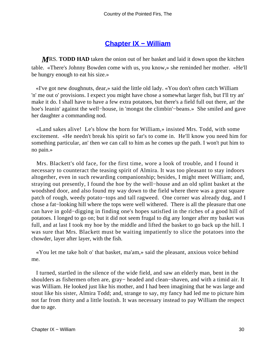## **[Chapter IX − William](#page-91-0)**

*M*RS. **TODD HAD** taken the onion out of her basket and laid it down upon the kitchen table. «There's Johnny Bowden come with us, you know,» she reminded her mother. «He'll be hungry enough to eat his size.»

 «I've got new doughnuts, dear,» said the little old lady. «You don't often catch William 'n' me out o' provisions. I expect you might have chose a somewhat larger fish, but I'll try an' make it do. I shall have to have a few extra potatoes, but there's a field full out there, an' the hoe's leanin' against the well−house, in 'mongst the climbin'−beans.» She smiled and gave her daughter a commanding nod.

 «Land sakes alive! Le's blow the horn for William,» insisted Mrs. Todd, with some excitement. «He needn't break his spirit so far's to come in. He'll know you need him for something particular, an' then we can call to him as he comes up the path. I won't put him to no pain.»

 Mrs. Blackett's old face, for the first time, wore a look of trouble, and I found it necessary to counteract the teasing spirit of Almira. It was too pleasant to stay indoors altogether, even in such rewarding companionship; besides, I might meet William; and, straying out presently, I found the hoe by the well−house and an old splint basket at the woodshed door, and also found my way down to the field where there was a great square patch of rough, weedy potato−tops and tall ragweed. One corner was already dug, and I chose a fat−looking hill where the tops were well withered. There is all the pleasure that one can have in gold−digging in finding one's hopes satisfied in the riches of a good hill of potatoes. I longed to go on; but it did not seem frugal to dig any longer after my basket was full, and at last I took my hoe by the middle and lifted the basket to go back up the hill. I was sure that Mrs. Blackett must be waiting impatiently to slice the potatoes into the chowder, layer after layer, with the fish.

 «You let me take holt o' that basket, ma'am,» said the pleasant, anxious voice behind me.

 I turned, startled in the silence of the wide field, and saw an elderly man, bent in the shoulders as fishermen often are, gray− headed and clean−shaven, and with a timid air. It was William. He looked just like his mother, and I had been imagining that he was large and stout like his sister, Almira Todd; and, strange to say, my fancy had led me to picture him not far from thirty and a little loutish. It was necessary instead to pay William the respect due to age.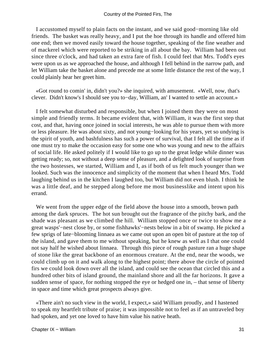I accustomed myself to plain facts on the instant, and we said good−morning like old friends. The basket was really heavy, and I put the hoe through its handle and offered him one end; then we moved easily toward the house together, speaking of the fine weather and of mackerel which were reported to be striking in all about the bay. William had been out since three o'clock, and had taken an extra fare of fish. I could feel that Mrs. Todd's eyes were upon us as we approached the house, and although I fell behind in the narrow path, and let William take the basket alone and precede me at some little distance the rest of the way, I could plainly hear her greet him.

 «Got round to comin' in, didn't you?» she inquired, with amusement. «Well, now, that's clever. Didn't know's I should see you to−day, William, an' I wanted to settle an account.»

 I felt somewhat disturbed and responsible, but when I joined them they were on most simple and friendly terms. It became evident that, with William, it was the first step that cost, and that, having once joined in social interests, he was able to pursue them with more or less pleasure. He was about sixty, and not young−looking for his years, yet so undying is the spirit of youth, and bashfulness has such a power of survival, that I felt all the time as if one must try to make the occasion easy for some one who was young and new to the affairs of social life. He asked politely if I would like to go up to the great ledge while dinner was getting ready; so, not without a deep sense of pleasure, and a delighted look of surprise from the two hostesses, we started, William and I, as if both of us felt much younger than we looked. Such was the innocence and simplicity of the moment that when I heard Mrs. Todd laughing behind us in the kitchen I laughed too, but William did not even blush. I think he was a little deaf, and he stepped along before me most businesslike and intent upon his errand.

We went from the upper edge of the field above the house into a smooth, brown path among the dark spruces. The hot sun brought out the fragrance of the pitchy bark, and the shade was pleasant as we climbed the hill. William stopped once or twice to show me a great wasps'−nest close by, or some fishhawks'−nests below in a bit of swamp. He picked a few sprigs of late−blooming linnaea as we came out upon an open bit of pasture at the top of the island, and gave them to me without speaking, but he knew as well as I that one could not say half he wished about linnaea. Through this piece of rough pasture ran a huge shape of stone like the great backbone of an enormous creature. At the end, near the woods, we could climb up on it and walk along to the highest point; there above the circle of pointed firs we could look down over all the island, and could see the ocean that circled this and a hundred other bits of island ground, the mainland shore and all the far horizons. It gave a sudden sense of space, for nothing stopped the eye or hedged one in, – that sense of liberty in space and time which great prospects always give.

 «There ain't no such view in the world, I expect,» said William proudly, and I hastened to speak my heartfelt tribute of praise; it was impossible not to feel as if an untraveled boy had spoken, and yet one loved to have him value his native heath.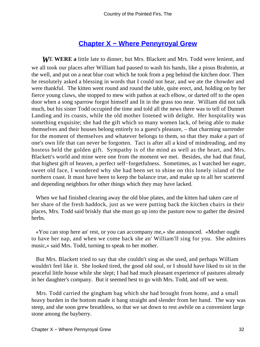### **[Chapter X − Where Pennyroyal Grew](#page-91-0)**

*W*E **WERE a** little late to dinner, but Mrs. Blackett and Mrs. Todd were lenient, and we all took our places after William had paused to wash his hands, like a pious Brahmin, at the well, and put on a neat blue coat which he took from a peg behind the kitchen door. Then he resolutely asked a blessing in words that I could not hear, and we ate the chowder and were thankful. The kitten went round and round the table, quite erect, and, holding on by her fierce young claws, she stopped to mew with pathos at each elbow, or darted off to the open door when a song sparrow forgot himself and lit in the grass too near. William did not talk much, but his sister Todd occupied the time and told all the news there was to tell of Dunnet Landing and its coasts, while the old mother listened with delight. Her hospitality was something exquisite; she had the gift which so many women lack, of being able to make themselves and their houses belong entirely to a guest's pleasure, – that charming surrender for the moment of themselves and whatever belongs to them, so that they make a part of one's own life that can never be forgotten. Tact is after all a kind of mindreading, and my hostess held the golden gift. Sympathy is of the mind as well as the heart, and Mrs. Blackett's world and mine were one from the moment we met. Besides, she had that final, that highest gift of heaven, a perfect self−forgetfulness. Sometimes, as I watched her eager, sweet old face, I wondered why she had been set to shine on this lonely island of the northern coast. It must have been to keep the balance true, and make up to all her scattered and depending neighbors for other things which they may have lacked.

 When we had finished clearing away the old blue plates, and the kitten had taken care of her share of the fresh haddock, just as we were putting back the kitchen chairs in their places, Mrs. Todd said briskly that she must go up into the pasture now to gather the desired herbs.

 «You can stop here an' rest, or you can accompany me,» she announced. «Mother ought to have her nap, and when we come back she an' William'll sing for you. She admires music,» said Mrs. Todd, turning to speak to her mother.

 But Mrs. Blackett tried to say that she couldn't sing as she used, and perhaps William wouldn't feel like it. She looked tired, the good old soul, or I should have liked to sit in the peaceful little house while she slept; I had had much pleasant experience of pastures already in her daughter's company. But it seemed best to go with Mrs. Todd, and off we went.

 Mrs. Todd carried the gingham bag which she had brought from home, and a small heavy burden in the bottom made it hang straight and slender from her hand. The way was steep, and she soon grew breathless, so that we sat down to rest awhile on a convenient large stone among the bayberry.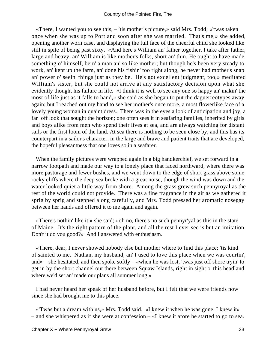«There, I wanted you to see this, – 'tis mother's picture,» said Mrs. Todd; «'twas taken once when she was up to Portland soon after she was married. That's me,» she added, opening another worn case, and displaying the full face of the cheerful child she looked like still in spite of being past sixty. «And here's William an' father together. I take after father, large and heavy, an' William is like mother's folks, short an' thin. He ought to have made something o' himself, bein' a man an' so like mother; but though he's been very steady to work, an' kept up the farm, an' done his fishin' too right along, he never had mother's snap an' power o' seein' things just as they be. He's got excellent judgment, too,» meditated William's sister, but she could not arrive at any satisfactory decision upon what she evidently thought his failure in life. «I think it is well to see any one so happy an' makin' the most of life just as it falls to hand,» she said as she began to put the daguerreotypes away again; but I reached out my hand to see her mother's once more, a most flowerlike face of a lovely young woman in quaint dress. There was in the eyes a look of anticipation and joy, a far−off look that sought the horizon; one often sees it in seafaring families, inherited by girls and boys alike from men who spend their lives at sea, and are always watching for distant sails or the first loom of the land. At sea there is nothing to be seen close by, and this has its counterpart in a sailor's character, in the large and brave and patient traits that are developed, the hopeful pleasantness that one loves so in a seafarer.

 When the family pictures were wrapped again in a big handkerchief, we set forward in a narrow footpath and made our way to a lonely place that faced northward, where there was more pasturage and fewer bushes, and we went down to the edge of short grass above some rocky cliffs where the deep sea broke with a great noise, though the wind was down and the water looked quiet a little way from shore. Among the grass grew such pennyroyal as the rest of the world could not provide. There was a fine fragrance in the air as we gathered it sprig by sprig and stepped along carefully, and Mrs. Todd pressed her aromatic nosegay between her hands and offered it to me again and again.

 «There's nothin' like it,» she said; «oh no, there's no such pennyr'yal as this in the state of Maine. It's the right pattern of the plant, and all the rest I ever see is but an imitation. Don't it do you good?» And I answered with enthusiasm.

 «There, dear, I never showed nobody else but mother where to find this place; 'tis kind of sainted to me. Nathan, my husband, an' I used to love this place when we was courtin', and» – she hesitated, and then spoke softly – «when he was lost, 'twas just off shore tryin' to get in by the short channel out there between Squaw Islands, right in sight o' this headland where we'd set an' made our plans all summer long.»

 I had never heard her speak of her husband before, but I felt that we were friends now since she had brought me to this place.

 «'Twas but a dream with us,» Mrs. Todd said. «I knew it when he was gone. I knew it» – and she whispered as if she were at confession – «I knew it afore he started to go to sea.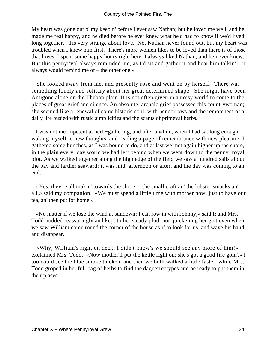My heart was gone out o' my keepin' before I ever saw Nathan; but he loved me well, and he made me real happy, and he died before he ever knew what he'd had to know if we'd lived long together. 'Tis very strange about love. No, Nathan never found out, but my heart was troubled when I knew him first. There's more women likes to be loved than there is of those that loves. I spent some happy hours right here. I always liked Nathan, and he never knew. But this pennyr'yal always reminded me, as I'd sit and gather it and hear him talkin' – it always would remind me of – the other one.»

 She looked away from me, and presently rose and went on by herself. There was something lonely and solitary about her great determined shape. She might have been Antigone alone on the Theban plain. It is not often given in a noisy world to come to the places of great grief and silence. An absolute, archaic grief possessed this countrywoman; she seemed like a renewal of some historic soul, with her sorrows and the remoteness of a daily life busied with rustic simplicities and the scents of primeval herbs.

 I was not incompetent at herb−gathering, and after a while, when I had sat long enough waking myself to new thoughts, and reading a page of remembrance with new pleasure, I gathered some bunches, as I was bound to do, and at last we met again higher up the shore, in the plain every−day world we had left behind when we went down to the penny−royal plot. As we walked together along the high edge of the field we saw a hundred sails about the bay and farther seaward; it was mid−afternoon or after, and the day was coming to an end.

 «Yes, they're all makin' towards the shore, – the small craft an' the lobster smacks an' all,» said my companion. «We must spend a little time with mother now, just to have our tea, an' then put for home.»

 «No matter if we lose the wind at sundown; I can row in with Johnny,» said I; and Mrs. Todd nodded reassuringly and kept to her steady plod, not quickening her gait even when we saw William come round the corner of the house as if to look for us, and wave his hand and disappear.

 «Why, William's right on deck; I didn't know's we should see any more of him!» exclaimed Mrs. Todd. «Now mother'll put the kettle right on; she's got a good fire goin'.» I too could see the blue smoke thicken, and then we both walked a little faster, while Mrs. Todd groped in her full bag of herbs to find the daguerreotypes and be ready to put them in their places.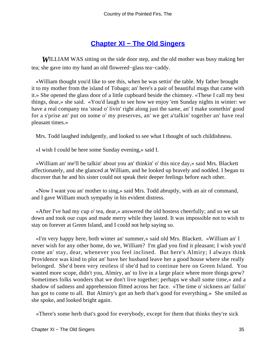# **[Chapter XI − The Old Singers](#page-91-0)**

*W*ILLIAM WAS sitting on the side door step, and the old mother was busy making her tea; she gave into my hand an old flowered−glass tea−caddy.

 «William thought you'd like to see this, when he was settin' the table. My father brought it to my mother from the island of Tobago; an' here's a pair of beautiful mugs that came with it.» She opened the glass door of a little cupboard beside the chimney. «These I call my best things, dear,» she said. «You'd laugh to see how we enjoy 'em Sunday nights in winter: we have a real company tea 'stead o' livin' right along just the same, an' I make somethin' good for a s'prise an' put on some o' my preserves, an' we get a'talkin' together an' have real pleasant times.»

Mrs. Todd laughed indulgently, and looked to see what I thought of such childishness.

«I wish I could be here some Sunday evening,» said I.

 «William an' me'll be talkin' about you an' thinkin' o' this nice day,» said Mrs. Blackett affectionately, and she glanced at William, and he looked up bravely and nodded. I began to discover that he and his sister could not speak their deeper feelings before each other.

 «Now I want you an' mother to sing,» said Mrs. Todd abruptly, with an air of command, and I gave William much sympathy in his evident distress.

 «After I've had my cup o' tea, dear,» answered the old hostess cheerfully; and so we sat down and took our cups and made merry while they lasted. It was impossible not to wish to stay on forever at Green Island, and I could not help saying so.

 «I'm very happy here, both winter an' summer,» said old Mrs. Blackett. «William an' I never wish for any other home, do we, William? I'm glad you find it pleasant; I wish you'd come an' stay, dear, whenever you feel inclined. But here's Almiry; I always think Providence was kind to plot an' have her husband leave her a good house where she really belonged. She'd been very restless if she'd had to continue here on Green Island. You wanted more scope, didn't you, Almiry, an' to live in a large place where more things grew? Sometimes folks wonders that we don't live together; perhaps we shall some time,» and a shadow of sadness and apprehension flitted across her face. «The time o' sickness an' failin' has got to come to all. But Almiry's got an herb that's good for everything.» She smiled as she spoke, and looked bright again.

«There's some herb that's good for everybody, except for them that thinks they're sick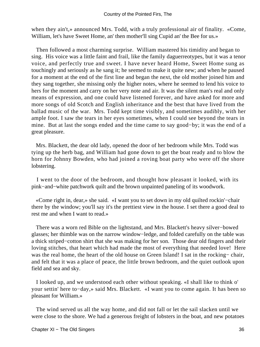when they ain't,» announced Mrs. Todd, with a truly professional air of finality. «Come, William, let's have Sweet Home, an' then mother'll sing Cupid an' the Bee for us.»

 Then followed a most charming surprise. William mastered his timidity and began to sing. His voice was a little faint and frail, like the family daguerreotypes, but it was a tenor voice, and perfectly true and sweet. I have never heard Home, Sweet Home sung as touchingly and seriously as he sang it; he seemed to make it quite new; and when he paused for a moment at the end of the first line and began the next, the old mother joined him and they sang together, she missing only the higher notes, where he seemed to lend his voice to hers for the moment and carry on her very note and air. It was the silent man's real and only means of expression, and one could have listened forever, and have asked for more and more songs of old Scotch and English inheritance and the best that have lived from the ballad music of the war. Mrs. Todd kept time visibly, and sometimes audibly, with her ample foot. I saw the tears in her eyes sometimes, when I could see beyond the tears in mine. But at last the songs ended and the time came to say good−by; it was the end of a great pleasure.

 Mrs. Blackett, the dear old lady, opened the door of her bedroom while Mrs. Todd was tying up the herb bag, and William had gone down to get the boat ready and to blow the horn for Johnny Bowden, who had joined a roving boat party who were off the shore lobstering.

 I went to the door of the bedroom, and thought how pleasant it looked, with its pink−and−white patchwork quilt and the brown unpainted paneling of its woodwork.

 «Come right in, dear,» she said. «I want you to set down in my old quilted rockin'−chair there by the window; you'll say it's the prettiest view in the house. I set there a good deal to rest me and when I want to read.»

 There was a worn red Bible on the lightstand, and Mrs. Blackett's heavy silver−bowed glasses; her thimble was on the narrow window−ledge, and folded carefully on the table was a thick striped−cotton shirt that she was making for her son. Those dear old fingers and their loving stitches, that heart which had made the most of everything that needed love! Here was the real home, the heart of the old house on Green Island! I sat in the rocking− chair, and felt that it was a place of peace, the little brown bedroom, and the quiet outlook upon field and sea and sky.

 I looked up, and we understood each other without speaking. «I shall like to think o' your settin' here to−day,» said Mrs. Blackett. «I want you to come again. It has been so pleasant for William.»

 The wind served us all the way home, and did not fall or let the sail slacken until we were close to the shore. We had a generous freight of lobsters in the boat, and new potatoes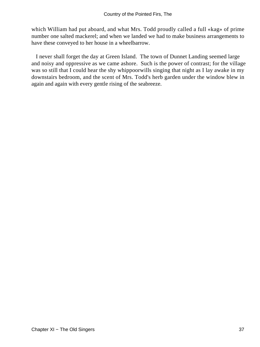which William had put aboard, and what Mrs. Todd proudly called a full «kag» of prime number one salted mackerel; and when we landed we had to make business arrangements to have these conveyed to her house in a wheelbarrow.

 I never shall forget the day at Green Island. The town of Dunnet Landing seemed large and noisy and oppressive as we came ashore. Such is the power of contrast; for the village was so still that I could hear the shy whippoorwills singing that night as I lay awake in my downstairs bedroom, and the scent of Mrs. Todd's herb garden under the window blew in again and again with every gentle rising of the seabreeze.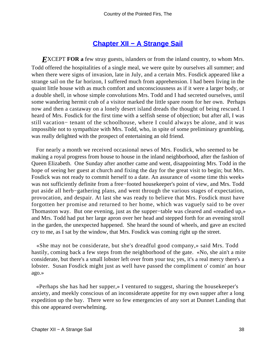### **[Chapter XII − A Strange Sail](#page-91-0)**

*EXCEPT FOR a* few stray guests, islanders or from the inland country, to whom Mrs. Todd offered the hospitalities of a single meal, we were quite by ourselves all summer; and when there were signs of invasion, late in July, and a certain Mrs. Fosdick appeared like a strange sail on the far horizon, I suffered much from apprehension. I had been living in the quaint little house with as much comfort and unconsciousness as if it were a larger body, or a double shell, in whose simple convolutions Mrs. Todd and I had secreted ourselves, until some wandering hermit crab of a visitor marked the little spare room for her own. Perhaps now and then a castaway on a lonely desert island dreads the thought of being rescued. I heard of Mrs. Fosdick for the first time with a selfish sense of objection; but after all, I was still vacation− tenant of the schoolhouse, where I could always be alone, and it was impossible not to sympathize with Mrs. Todd, who, in spite of some preliminary grumbling, was really delighted with the prospect of entertaining an old friend.

 For nearly a month we received occasional news of Mrs. Fosdick, who seemed to be making a royal progress from house to house in the inland neighborhood, after the fashion of Queen Elizabeth. One Sunday after another came and went, disappointing Mrs. Todd in the hope of seeing her guest at church and fixing the day for the great visit to begin; but Mrs. Fosdick was not ready to commit herself to a date. An assurance of «some time this week» was not sufficiently definite from a free−footed housekeeper's point of view, and Mrs. Todd put aside all herb−gathering plans, and went through the various stages of expectation, provocation, and despair. At last she was ready to believe that Mrs. Fosdick must have forgotten her promise and returned to her home, which was vaguely said to be over Thomaston way. But one evening, just as the supper−table was cleared and «readied up,» and Mrs. Todd had put her large apron over her head and stepped forth for an evening stroll in the garden, the unexpected happened. She heard the sound of wheels, and gave an excited cry to me, as I sat by the window, that Mrs. Fosdick was coming right up the street.

 «She may not be considerate, but she's dreadful good company,» said Mrs. Todd hastily, coming back a few steps from the neighborhood of the gate. «No, she ain't a mite considerate, but there's a small lobster left over from your tea; yes, it's a real mercy there's a lobster. Susan Fosdick might just as well have passed the compliment o' comin' an hour ago.»

 «Perhaps she has had her supper,» I ventured to suggest, sharing the housekeeper's anxiety, and meekly conscious of an inconsiderate appetite for my own supper after a long expedition up the bay. There were so few emergencies of any sort at Dunnet Landing that this one appeared overwhelming.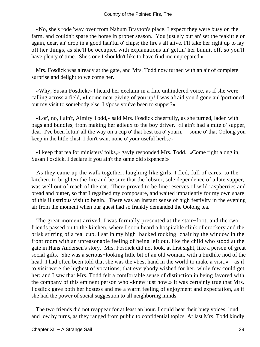«No, she's rode 'way over from Nahum Brayton's place. I expect they were busy on the farm, and couldn't spare the horse in proper season. You just sly out an' set the teakittle on again, dear, an' drop in a good han'ful o' chips; the fire's all alive. I'll take her right up to lay off her things, as she'll be occupied with explanations an' gettin' her bunnit off, so you'll have plenty o' time. She's one I shouldn't like to have find me unprepared.»

 Mrs. Fosdick was already at the gate, and Mrs. Todd now turned with an air of complete surprise and delight to welcome her.

 «Why, Susan Fosdick,» I heard her exclaim in a fine unhindered voice, as if she were calling across a field, «I come near giving of you up! I was afraid you'd gone an' 'portioned out my visit to somebody else. I s'pose you've been to supper?»

 «Lor', no, I ain't, Almiry Todd,» said Mrs. Fosdick cheerfully, as she turned, laden with bags and bundles, from making her adieux to the boy driver. «I ain't had a mite o' supper, dear. I've been lottin' all the way on a cup o' that best tea o' yourn, – some o' that Oolong you keep in the little chist. I don't want none o' your useful herbs.»

 «I keep that tea for ministers' folks,» gayly responded Mrs. Todd. «Come right along in, Susan Fosdick. I declare if you ain't the same old sixpence!»

 As they came up the walk together, laughing like girls, I fled, full of cares, to the kitchen, to brighten the fire and be sure that the lobster, sole dependence of a late supper, was well out of reach of the cat. There proved to be fine reserves of wild raspberries and bread and butter, so that I regained my composure, and waited impatiently for my own share of this illustrious visit to begin. There was an instant sense of high festivity in the evening air from the moment when our guest had so frankly demanded the Oolong tea.

 The great moment arrived. I was formally presented at the stair−foot, and the two friends passed on to the kitchen, where I soon heard a hospitable clink of crockery and the brisk stirring of a tea−cup. I sat in my high−backed rocking−chair by the window in the front room with an unreasonable feeling of being left out, like the child who stood at the gate in Hans Andersen's story. Mrs. Fosdick did not look, at first sight, like a person of great social gifts. She was a serious−looking little bit of an old woman, with a birdlike nod of the head. I had often been told that she was the «best hand in the world to make a visit,» – as if to visit were the highest of vocations; that everybody wished for her, while few could get her; and I saw that Mrs. Todd felt a comfortable sense of distinction in being favored with the company of this eminent person who «knew just how.» It was certainly true that Mrs. Fosdick gave both her hostess and me a warm feeling of enjoyment and expectation, as if she had the power of social suggestion to all neighboring minds.

 The two friends did not reappear for at least an hour. I could hear their busy voices, loud and low by turns, as they ranged from public to confidential topics. At last Mrs. Todd kindly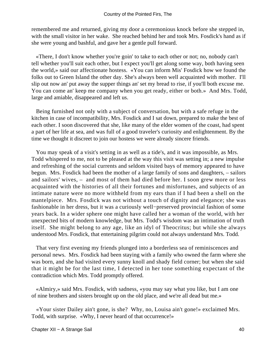remembered me and returned, giving my door a ceremonious knock before she stepped in, with the small visitor in her wake. She reached behind her and took Mrs. Fosdick's hand as if she were young and bashful, and gave her a gentle pull forward.

 «There, I don't know whether you're goin' to take to each other or not; no, nobody can't tell whether you'll suit each other, but I expect you'll get along some way, both having seen the world,» said our affectionate hostess. «You can inform Mis' Fosdick how we found the folks out to Green Island the other day. She's always been well acquainted with mother. I'll slip out now an' put away the supper things an' set my bread to rise, if you'll both excuse me. You can come an' keep me company when you get ready, either or both.» And Mrs. Todd, large and amiable, disappeared and left us.

 Being furnished not only with a subject of conversation, but with a safe refuge in the kitchen in case of incompatibility, Mrs. Fosdick and I sat down, prepared to make the best of each other. I soon discovered that she, like many of the elder women of the coast, had spent a part of her life at sea, and was full of a good traveler's curiosity and enlightenment. By the time we thought it discreet to join our hostess we were already sincere friends.

 You may speak of a visit's setting in as well as a tide's, and it was impossible, as Mrs. Todd whispered to me, not to be pleased at the way this visit was setting in; a new impulse and refreshing of the social currents and seldom visited bays of memory appeared to have begun. Mrs. Fosdick had been the mother of a large family of sons and daughters, – sailors and sailors' wives, – and most of them had died before her. I soon grew more or less acquainted with the histories of all their fortunes and misfortunes, and subjects of an intimate nature were no more withheld from my ears than if I had been a shell on the mantelpiece. Mrs. Fosdick was not without a touch of dignity and elegance; she was fashionable in her dress, but it was a curiously well−preserved provincial fashion of some years back. In a wider sphere one might have called her a woman of the world, with her unexpected bits of modern knowledge, but Mrs. Todd's wisdom was an intimation of truth itself. She might belong to any age, like an idyl of Theocritus; but while she always understood Mrs. Fosdick, that entertaining pilgrim could not always understand Mrs. Todd.

 That very first evening my friends plunged into a borderless sea of reminiscences and personal news. Mrs. Fosdick had been staying with a family who owned the farm where she was born, and she had visited every sunny knoll and shady field corner; but when she said that it might be for the last time, I detected in her tone something expectant of the contradiction which Mrs. Todd promptly offered.

 «Almiry,» said Mrs. Fosdick, with sadness, «you may say what you like, but I am one of nine brothers and sisters brought up on the old place, and we're all dead but me.»

 «Your sister Dailey ain't gone, is she? Why, no, Louisa ain't gone!» exclaimed Mrs. Todd, with surprise. «Why, I never heard of that occurrence!»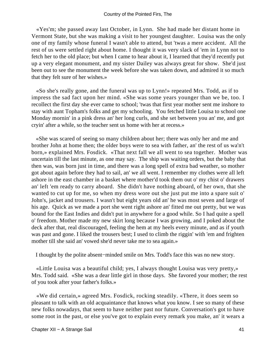«Yes'm; she passed away last October, in Lynn. She had made her distant home in Vermont State, but she was making a visit to her youngest daughter. Louisa was the only one of my family whose funeral I wasn't able to attend, but 'twas a mere accident. All the rest of us were settled right about home. I thought it was very slack of 'em in Lynn not to fetch her to the old place; but when I came to hear about it, I learned that they'd recently put up a very elegant monument, and my sister Dailey was always great for show. She'd just been out to see the monument the week before she was taken down, and admired it so much that they felt sure of her wishes.»

 «So she's really gone, and the funeral was up to Lynn!» repeated Mrs. Todd, as if to impress the sad fact upon her mind. «She was some years younger than we be, too. I recollect the first day she ever came to school; 'twas that first year mother sent me inshore to stay with aunt Topham's folks and get my schooling. You fetched little Louisa to school one Monday mornin' in a pink dress an' her long curls, and she set between you an' me, and got cryin' after a while, so the teacher sent us home with her at recess.»

 «She was scared of seeing so many children about her; there was only her and me and brother John at home then; the older boys were to sea with father, an' the rest of us wa'n't born,» explained Mrs. Fosdick. «That next fall we all went to sea together. Mother was uncertain till the last minute, as one may say. The ship was waiting orders, but the baby that then was, was born just in time, and there was a long spell of extra bad weather, so mother got about again before they had to sail, an' we all went. I remember my clothes were all left ashore in the east chamber in a basket where mother'd took them out o' my chist o' drawers an' left 'em ready to carry aboard. She didn't have nothing aboard, of her own, that she wanted to cut up for me, so when my dress wore out she just put me into a spare suit o' John's, jacket and trousers. I wasn't but eight years old an' he was most seven and large of his age. Quick as we made a port she went right ashore an' fitted me out pretty, but we was bound for the East Indies and didn't put in anywhere for a good while. So I had quite a spell o' freedom. Mother made my new skirt long because I was growing, and I poked about the deck after that, real discouraged, feeling the hem at my heels every minute, and as if youth was past and gone. I liked the trousers best; I used to climb the riggin' with 'em and frighten mother till she said an' vowed she'd never take me to sea again.»

I thought by the polite absent−minded smile on Mrs. Todd's face this was no new story.

 «Little Louisa was a beautiful child; yes, I always thought Louisa was very pretty,» Mrs. Todd said. «She was a dear little girl in those days. She favored your mother; the rest of you took after your father's folks.»

 «We did certain,» agreed Mrs. Fosdick, rocking steadily. «There, it does seem so pleasant to talk with an old acquaintance that knows what you know. I see so many of these new folks nowadays, that seem to have neither past nor future. Conversation's got to have some root in the past, or else you've got to explain every remark you make, an' it wears a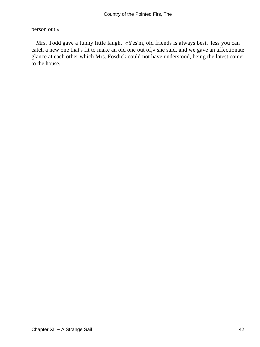person out.»

 Mrs. Todd gave a funny little laugh. «Yes'm, old friends is always best, 'less you can catch a new one that's fit to make an old one out of,» she said, and we gave an affectionate glance at each other which Mrs. Fosdick could not have understood, being the latest comer to the house.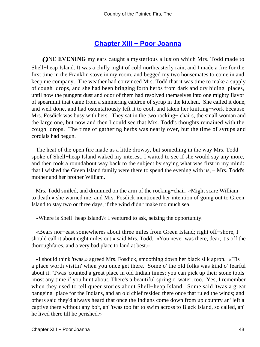### **[Chapter XIII − Poor Joanna](#page-91-0)**

*O***NE EVENING** my ears caught a mysterious allusion which Mrs. Todd made to Shell−heap Island. It was a chilly night of cold northeasterly rain, and I made a fire for the first time in the Franklin stove in my room, and begged my two housemates to come in and keep me company. The weather had convinced Mrs. Todd that it was time to make a supply of cough−drops, and she had been bringing forth herbs from dark and dry hiding−places, until now the pungent dust and odor of them had resolved themselves into one mighty flavor of spearmint that came from a simmering caldron of syrup in the kitchen. She called it done, and well done, and had ostentatiously left it to cool, and taken her knitting−work because Mrs. Fosdick was busy with hers. They sat in the two rocking– chairs, the small woman and the large one, but now and then I could see that Mrs. Todd's thoughts remained with the cough−drops. The time of gathering herbs was nearly over, but the time of syrups and cordials had begun.

 The heat of the open fire made us a little drowsy, but something in the way Mrs. Todd spoke of Shell−heap Island waked my interest. I waited to see if she would say any more, and then took a roundabout way back to the subject by saying what was first in my mind: that I wished the Green Island family were there to spend the evening with us, – Mrs. Todd's mother and her brother William.

 Mrs. Todd smiled, and drummed on the arm of the rocking−chair. «Might scare William to death,» she warned me; and Mrs. Fosdick mentioned her intention of going out to Green Island to stay two or three days, if the wind didn't make too much sea.

«Where is Shell−heap Island?» I ventured to ask, seizing the opportunity.

 «Bears nor−east somewheres about three miles from Green Island; right off−shore, I should call it about eight miles out,» said Mrs. Todd. «You never was there, dear; 'tis off the thoroughfares, and a very bad place to land at best.»

 «I should think 'twas,» agreed Mrs. Fosdick, smoothing down her black silk apron. «'Tis a place worth visitin' when you once get there. Some o' the old folks was kind o' fearful about it. 'Twas 'counted a great place in old Indian times; you can pick up their stone tools 'most any time if you hunt about. There's a beautiful spring o' water, too. Yes, I remember when they used to tell queer stories about Shell−heap Island. Some said 'twas a great bangeing−place for the Indians, and an old chief resided there once that ruled the winds; and others said they'd always heard that once the Indians come down from up country an' left a captive there without any bo't, an' 'twas too far to swim across to Black Island, so called, an' he lived there till he perished.»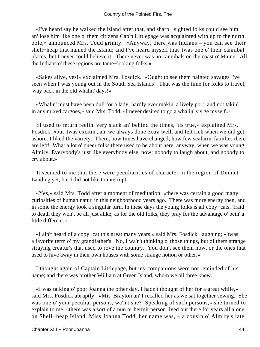«I've heard say he walked the island after that, and sharp− sighted folks could see him an' lose him like one o' them citizens Cap'n Littlepage was acquainted with up to the north pole,» announced Mrs. Todd grimly. «Anyway, there was Indians – you can see their shell−heap that named the island; and I've heard myself that 'twas one o' their cannibal places, but I never could believe it. There never was no cannibals on the coast o' Maine. All the Indians o' these regions are tame−looking folks.»

 «Sakes alive, yes!» exclaimed Mrs. Fosdick. «Ought to see them painted savages I've seen when I was young out in the South Sea Islands! That was the time for folks to travel, 'way back in the old whalin' days!»

 «Whalin' must have been dull for a lady, hardly ever makin' a lively port, and not takin' in any mixed cargoes,» said Mrs. Todd. «I never desired to go a whalin' v'y'ge myself.»

 «I used to return feelin' very slack an' behind the times, 'tis true,» explained Mrs. Fosdick, «but 'twas excitin', an' we always done extra well, and felt rich when we did get ashore. I liked the variety. There, how times have changed; how few seafarin' families there are left! What a lot o' queer folks there used to be about here, anyway, when we was young, Almiry. Everybody's just like everybody else, now; nobody to laugh about, and nobody to cry about.»

 It seemed to me that there were peculiarities of character in the region of Dunnet Landing yet, but I did not like to interrupt.

 «Yes,» said Mrs. Todd after a moment of meditation, «there was certain a good many curiosities of human natur' in this neighborhood years ago. There was more energy then, and in some the energy took a singular turn. In these days the young folks is all copy−cats, 'fraid to death they won't be all just alike; as for the old folks, they pray for the advantage o' bein' a little different.»

 «I ain't heard of a copy−cat this great many years,» said Mrs. Fosdick, laughing; «'twas a favorite term o' my grandfather's. No, I wa'n't thinking o' those things, but of them strange straying creatur's that used to rove the country. You don't see them now, or the ones that used to hive away in their own houses with some strange notion or other.»

 I thought again of Captain Littlepage, but my companions were not reminded of his name; and there was brother William at Green Island, whom we all three knew.

 «I was talking o' poor Joanna the other day. I hadn't thought of her for a great while,» said Mrs. Fosdick abruptly. «Mis' Brayton an' I recalled her as we sat together sewing. She was one o' your peculiar persons, wa'n't she? Speaking of such persons,» she turned to explain to me, «there was a sort of a nun or hermit person lived out there for years all alone on Shell−heap Island. Miss Joanna Todd, her name was, – a cousin o' Almiry's late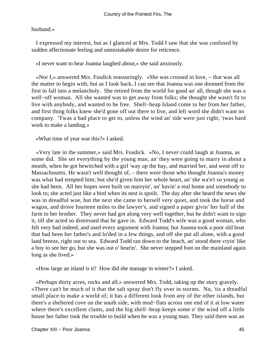husband.»

 I expressed my interest, but as I glanced at Mrs. Todd I saw that she was confused by sudden affectionate feeling and unmistakable desire for reticence.

«I never want to hear Joanna laughed about,» she said anxiously.

 «Nor I,» answered Mrs. Fosdick reassuringly. «She was crossed in love, – that was all the matter to begin with; but as I look back, I can see that Joanna was one doomed from the first to fall into a melancholy. She retired from the world for good an' all, though she was a well−off woman. All she wanted was to get away from folks; she thought she wasn't fit to live with anybody, and wanted to be free. Shell−heap Island come to her from her father, and first thing folks knew she'd gone off out there to live, and left word she didn't want no company. 'Twas a bad place to get to, unless the wind an' tide were just right; 'twas hard work to make a landing.»

«What time of year was this?» I asked.

 «Very late in the summer,» said Mrs. Fosdick. «No, I never could laugh at Joanna, as some did. She set everything by the young man, an' they were going to marry in about a month, when he got bewitched with a girl 'way up the bay, and married her, and went off to Massachusetts. He wasn't well thought of, – there were those who thought Joanna's money was what had tempted him; but she'd given him her whole heart, an' she wa'n't so young as she had been. All her hopes were built on marryin', an' havin' a real home and somebody to look to; she acted just like a bird when its nest is spoilt. The day after she heard the news she was in dreadful woe, but the next she came to herself very quiet, and took the horse and wagon, and drove fourteen miles to the lawyer's, and signed a paper givin' her half of the farm to her brother. They never had got along very well together, but he didn't want to sign it, till she acted so distressed that he gave in. Edward Todd's wife was a good woman, who felt very bad indeed, and used every argument with Joanna; but Joanna took a poor old boat that had been her father's and lo'ded in a few things, and off she put all alone, with a good land breeze, right out to sea. Edward Todd ran down to the beach, an' stood there cryin' like a boy to see her go, but she was out o' hearin'. She never stepped foot on the mainland again long as she lived.»

«How large an island is it? How did she manage in winter?» I asked.

 «Perhaps thirty acres, rocks and all,» answered Mrs. Todd, taking up the story gravely. «There can't be much of it that the salt spray don't fly over in storms. No, 'tis a dreadful small place to make a world of; it has a different look from any of the other islands, but there's a sheltered cove on the south side, with mud−flats across one end of it at low water where there's excellent clams, and the big shell−heap keeps some o' the wind off a little house her father took the trouble to build when he was a young man. They said there was an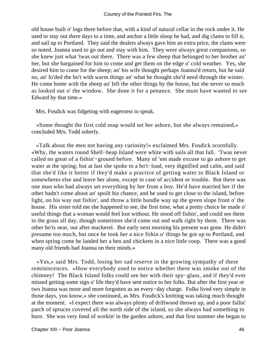old house built o' logs there before that, with a kind of natural cellar in the rock under it. He used to stay out there days to a time, and anchor a little sloop he had, and dig clams to fill it, and sail up to Portland. They said the dealers always gave him an extra price, the clams were so noted. Joanna used to go out and stay with him. They were always great companions, so she knew just what 'twas out there. There was a few sheep that belonged to her brother an' her, but she bargained for him to come and get them on the edge o' cold weather. Yes, she desired him to come for the sheep; an' his wife thought perhaps Joanna'd return, but he said no, an' lo'ded the bo't with warm things an' what he thought she'd need through the winter. He come home with the sheep an' left the other things by the house, but she never so much as looked out o' the window. She done it for a penance. She must have wanted to see Edward by that time.»

Mrs. Fosdick was fidgeting with eagerness to speak.

 «Some thought the first cold snap would set her ashore, but she always remained,» concluded Mrs. Todd soberly.

 «Talk about the men not having any curiosity!» exclaimed Mrs. Fosdick scornfully. «Why, the waters round Shell−heap Island were white with sails all that fall. 'Twas never called no great of a fishin'−ground before. Many of 'em made excuse to go ashore to get water at the spring; but at last she spoke to a bo't−load, very dignified and calm, and said that she'd like it better if they'd make a practice of getting water to Black Island or somewheres else and leave her alone, except in case of accident or trouble. But there was one man who had always set everything by her from a boy. He'd have married her if the other hadn't come about an' spoilt his chance, and he used to get close to the island, before light, on his way out fishin', and throw a little bundle way up the green slope front o' the house. His sister told me she happened to see, the first time, what a pretty choice he made o' useful things that a woman would feel lost without. He stood off fishin', and could see them in the grass all day, though sometimes she'd come out and walk right by them. There was other bo'ts near, out after mackerel. But early next morning his present was gone. He didn't presume too much, but once he took her a nice firkin o' things he got up to Portland, and when spring come he landed her a hen and chickens in a nice little coop. There was a good many old friends had Joanna on their minds.»

 «Yes,» said Mrs. Todd, losing her sad reserve in the growing sympathy of these reminiscences. «How everybody used to notice whether there was smoke out of the chimney! The Black Island folks could see her with their spy−glass, and if they'd ever missed getting some sign o' life they'd have sent notice to her folks. But after the first year or two Joanna was more and more forgotten as an every−day charge. Folks lived very simple in those days, you know,» she continued, as Mrs. Fosdick's knitting was taking much thought at the moment. «I expect there was always plenty of driftwood thrown up, and a poor failin' patch of spruces covered all the north side of the island, so she always had something to burn. She was very fond of workin' in the garden ashore, and that first summer she began to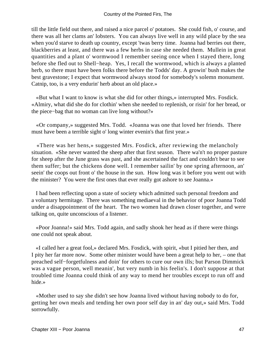till the little field out there, and raised a nice parcel o' potatoes. She could fish, o' course, and there was all her clams an' lobsters. You can always live well in any wild place by the sea when you'd starve to death up country, except 'twas berry time. Joanna had berries out there, blackberries at least, and there was a few herbs in case she needed them. Mullein in great quantities and a plant o' wormwood I remember seeing once when I stayed there, long before she fled out to Shell−heap. Yes, I recall the wormwood, which is always a planted herb, so there must have been folks there before the Todds' day. A growin' bush makes the best gravestone; I expect that wormwood always stood for somebody's solemn monument. Catnip, too, is a very endurin' herb about an old place.»

 «But what I want to know is what she did for other things,» interrupted Mrs. Fosdick. «Almiry, what did she do for clothin' when she needed to replenish, or risin' for her bread, or the piece−bag that no woman can live long without?»

 «Or company,» suggested Mrs. Todd. «Joanna was one that loved her friends. There must have been a terrible sight o' long winter evenin's that first year.»

 «There was her hens,» suggested Mrs. Fosdick, after reviewing the melancholy situation. «She never wanted the sheep after that first season. There wa'n't no proper pasture for sheep after the June grass was past, and she ascertained the fact and couldn't bear to see them suffer; but the chickens done well. I remember sailin' by one spring afternoon, an' seein' the coops out front o' the house in the sun. How long was it before you went out with the minister? You were the first ones that ever really got ashore to see Joanna.»

 I had been reflecting upon a state of society which admitted such personal freedom and a voluntary hermitage. There was something mediaeval in the behavior of poor Joanna Todd under a disappointment of the heart. The two women had drawn closer together, and were talking on, quite unconscious of a listener.

 «Poor Joanna!» said Mrs. Todd again, and sadly shook her head as if there were things one could not speak about.

 «I called her a great fool,» declared Mrs. Fosdick, with spirit, «but I pitied her then, and I pity her far more now. Some other minister would have been a great help to her, – one that preached self−forgetfulness and doin' for others to cure our own ills; but Parson Dimmick was a vague person, well meanin', but very numb in his feelin's. I don't suppose at that troubled time Joanna could think of any way to mend her troubles except to run off and hide.»

 «Mother used to say she didn't see how Joanna lived without having nobody to do for, getting her own meals and tending her own poor self day in an' day out,» said Mrs. Todd sorrowfully.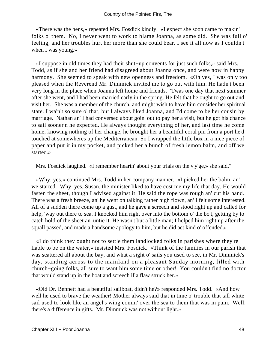«There was the hens,» repeated Mrs. Fosdick kindly. «I expect she soon came to makin' folks o' them. No, I never went to work to blame Joanna, as some did. She was full o' feeling, and her troubles hurt her more than she could bear. I see it all now as I couldn't when I was young.»

 «I suppose in old times they had their shut−up convents for just such folks,» said Mrs. Todd, as if she and her friend had disagreed about Joanna once, and were now in happy harmony. She seemed to speak with new openness and freedom. «Oh yes, I was only too pleased when the Reverend Mr. Dimmick invited me to go out with him. He hadn't been very long in the place when Joanna left home and friends. 'Twas one day that next summer after she went, and I had been married early in the spring. He felt that he ought to go out and visit her. She was a member of the church, and might wish to have him consider her spiritual state. I wa'n't so sure o' that, but I always liked Joanna, and I'd come to be her cousin by marriage. Nathan an' I had conversed about goin' out to pay her a visit, but he got his chance to sail sooner'n he expected. He always thought everything of her, and last time he come home, knowing nothing of her change, he brought her a beautiful coral pin from a port he'd touched at somewheres up the Mediterranean. So I wrapped the little box in a nice piece of paper and put it in my pocket, and picked her a bunch of fresh lemon balm, and off we started.»

Mrs. Fosdick laughed. «I remember hearin' about your trials on the v'y'ge,» she said."

 «Why, yes,» continued Mrs. Todd in her company manner. «I picked her the balm, an' we started. Why, yes, Susan, the minister liked to have cost me my life that day. He would fasten the sheet, though I advised against it. He said the rope was rough an' cut his hand. There was a fresh breeze, an' he went on talking rather high flown, an' I felt some interested. All of a sudden there come up a gust, and he gave a screech and stood right up and called for help, 'way out there to sea. I knocked him right over into the bottom o' the bo't, getting by to catch hold of the sheet an' untie it. He wasn't but a little man; I helped him right up after the squall passed, and made a handsome apology to him, but he did act kind o' offended.»

 «I do think they ought not to settle them landlocked folks in parishes where they're liable to be on the water,» insisted Mrs. Fosdick. «Think of the families in our parish that was scattered all about the bay, and what a sight o' sails you used to see, in Mr. Dimmick's day, standing across to the mainland on a pleasant Sunday morning, filled with church−going folks, all sure to want him some time or other! You couldn't find no doctor that would stand up in the boat and screech if a flaw struck her.»

 «Old Dr. Bennett had a beautiful sailboat, didn't he?» responded Mrs. Todd. «And how well he used to brave the weather! Mother always said that in time o' trouble that tall white sail used to look like an angel's wing comin' over the sea to them that was in pain. Well, there's a difference in gifts. Mr. Dimmick was not without light.»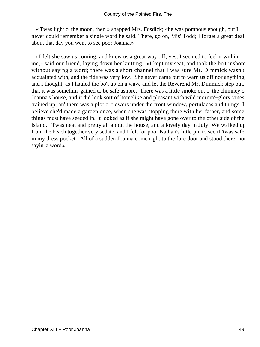«'Twas light o' the moon, then,» snapped Mrs. Fosdick; «he was pompous enough, but I never could remember a single word he said. There, go on, Mis' Todd; I forget a great deal about that day you went to see poor Joanna.»

 «I felt she saw us coming, and knew us a great way off; yes, I seemed to feel it within me,» said our friend, laying down her knitting. «I kept my seat, and took the bo't inshore without saying a word; there was a short channel that I was sure Mr. Dimmick wasn't acquainted with, and the tide was very low. She never came out to warn us off nor anything, and I thought, as I hauled the bo't up on a wave and let the Reverend Mr. Dimmick step out, that it was somethin' gained to be safe ashore. There was a little smoke out o' the chimney o' Joanna's house, and it did look sort of homelike and pleasant with wild mornin'−glory vines trained up; an' there was a plot o' flowers under the front window, portulacas and things. I believe she'd made a garden once, when she was stopping there with her father, and some things must have seeded in. It looked as if she might have gone over to the other side of the island. 'Twas neat and pretty all about the house, and a lovely day in July. We walked up from the beach together very sedate, and I felt for poor Nathan's little pin to see if 'twas safe in my dress pocket. All of a sudden Joanna come right to the fore door and stood there, not sayin' a word.»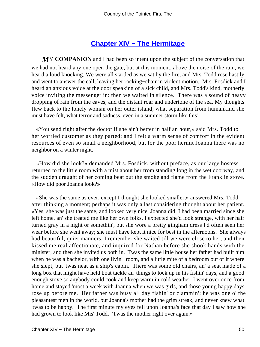## **[Chapter XIV − The Hermitage](#page-91-0)**

**MY COMPANION** and I had been so intent upon the subject of the conversation that we had not heard any one open the gate, but at this moment, above the noise of the rain, we heard a loud knocking. We were all startled as we sat by the fire, and Mrs. Todd rose hastily and went to answer the call, leaving her rocking−chair in violent motion. Mrs. Fosdick and I heard an anxious voice at the door speaking of a sick child, and Mrs. Todd's kind, motherly voice inviting the messenger in: then we waited in silence. There was a sound of heavy dropping of rain from the eaves, and the distant roar and undertone of the sea. My thoughts flew back to the lonely woman on her outer island; what separation from humankind she must have felt, what terror and sadness, even in a summer storm like this!

 «You send right after the doctor if she ain't better in half an hour,» said Mrs. Todd to her worried customer as they parted; and I felt a warm sense of comfort in the evident resources of even so small a neighborhood, but for the poor hermit Joanna there was no neighbor on a winter night.

 «How did she look?» demanded Mrs. Fosdick, without preface, as our large hostess returned to the little room with a mist about her from standing long in the wet doorway, and the sudden draught of her coming beat out the smoke and flame from the Franklin stove. «How did poor Joanna look?»

 «She was the same as ever, except I thought she looked smaller,» answered Mrs. Todd after thinking a moment; perhaps it was only a last considering thought about her patient. «Yes, she was just the same, and looked very nice, Joanna did. I had been married since she left home, an' she treated me like her own folks. I expected she'd look strange, with her hair turned gray in a night or somethin', but she wore a pretty gingham dress I'd often seen her wear before she went away; she must have kept it nice for best in the afternoons. She always had beautiful, quiet manners. I remember she waited till we were close to her, and then kissed me real affectionate, and inquired for Nathan before she shook hands with the minister, and then she invited us both in. 'Twas the same little house her father had built him when he was a bachelor, with one livin'−room, and a little mite of a bedroom out of it where she slept, but 'twas neat as a ship's cabin. There was some old chairs, an' a seat made of a long box that might have held boat tackle an' things to lock up in his fishin' days, and a good enough stove so anybody could cook and keep warm in cold weather. I went over once from home and stayed 'most a week with Joanna when we was girls, and those young happy days rose up before me. Her father was busy all day fishin' or clammin'; he was one o' the pleasantest men in the world, but Joanna's mother had the grim streak, and never knew what 'twas to be happy. The first minute my eyes fell upon Joanna's face that day I saw how she had grown to look like Mis' Todd. 'Twas the mother right over again.»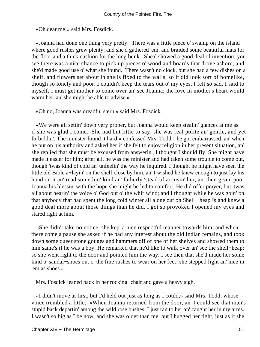«Oh dear me!» said Mrs. Fosdick.

 «Joanna had done one thing very pretty. There was a little piece o' swamp on the island where good rushes grew plenty, and she'd gathered 'em, and braided some beautiful mats for the floor and a thick cushion for the long bunk. She'd showed a good deal of invention; you see there was a nice chance to pick up pieces o' wood and boards that drove ashore, and she'd made good use o' what she found. There wasn't no clock, but she had a few dishes on a shelf, and flowers set about in shells fixed to the walls, so it did look sort of homelike, though so lonely and poor. I couldn't keep the tears out o' my eyes, I felt so sad. I said to myself, I must get mother to come over an' see Joanna; the love in mother's heart would warm her, an' she might be able to advise.»

«Oh no, Joanna was dreadful stern,» said Mrs. Fosdick.

 «We were all settin' down very proper, but Joanna would keep stealin' glances at me as if she was glad I come. She had but little to say; she was real polite an' gentle, and yet forbiddin'. The minister found it hard,» confessed Mrs. Todd; "he got embarrassed, an' when he put on his authority and asked her if she felt to enjoy religion in her present situation, an' she replied that she must be excused from answerin', I thought I should fly. She might have made it easier for him; after all, he was the minister and had taken some trouble to come out, though 'twas kind of cold an' unfeelin' the way he inquired. I thought he might have seen the little old Bible a−layin' on the shelf close by him, an' I wished he knew enough to just lay his hand on it an' read somethin' kind an' fatherly 'stead of accusin' her, an' then given poor Joanna his blessin' with the hope she might be led to comfort. He did offer prayer, but 'twas all about hearin' the voice o' God out o' the whirlwind; and I thought while he was goin' on that anybody that had spent the long cold winter all alone out on Shell− heap Island knew a good deal more about those things than he did. I got so provoked I opened my eyes and stared right at him.

 «She didn't take no notice, she kep' a nice respectful manner towards him, and when there come a pause she asked if he had any interest about the old Indian remains, and took down some queer stone gouges and hammers off of one of her shelves and showed them to him same's if he was a boy. He remarked that he'd like to walk over an' see the shell−heap; so she went right to the door and pointed him the way. I see then that she'd made her some kind o' sandal−shoes out o' the fine rushes to wear on her feet; she stepped light an' nice in 'em as shoes.»

Mrs. Fosdick leaned back in her rocking−chair and gave a heavy sigh.

 «I didn't move at first, but I'd held out just as long as I could,» said Mrs. Todd, whose voice trembled a little. «When Joanna returned from the door, an' I could see that man's stupid back departin' among the wild rose bushes, I just ran to her an' caught her in my arms. I wasn't so big as I be now, and she was older than me, but I hugged her tight, just as if she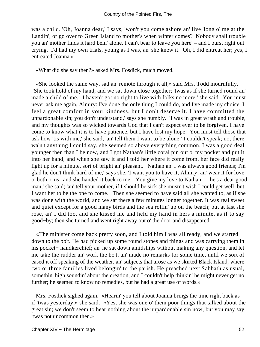was a child. 'Oh, Joanna dear,' I says, 'won't you come ashore an' live 'long o' me at the Landin', or go over to Green Island to mother's when winter comes? Nobody shall trouble you an' mother finds it hard bein' alone. I can't bear to leave you here' – and I burst right out crying. I'd had my own trials, young as I was, an' she knew it. Oh, I did entreat her; yes, I entreated Joanna.»

«What did she say then?» asked Mrs. Fosdick, much moved.

 «She looked the same way, sad an' remote through it all,» said Mrs. Todd mournfully. "She took hold of my hand, and we sat down close together; 'twas as if she turned round an' made a child of me. 'I haven't got no right to live with folks no more,' she said. 'You must never ask me again, Almiry: I've done the only thing I could do, and I've made my choice. I feel a great comfort in your kindness, but I don't deserve it. I have committed the unpardonable sin; you don't understand,' says she humbly. 'I was in great wrath and trouble, and my thoughts was so wicked towards God that I can't expect ever to be forgiven. I have come to know what it is to have patience, but I have lost my hope. You must tell those that ask how 'tis with me,' she said, 'an' tell them I want to be alone.' I couldn't speak; no, there wa'n't anything I could say, she seemed so above everything common. I was a good deal younger then than I be now, and I got Nathan's little coral pin out o' my pocket and put it into her hand; and when she saw it and I told her where it come from, her face did really light up for a minute, sort of bright an' pleasant. 'Nathan an' I was always good friends; I'm glad he don't think hard of me,' says she. 'I want you to have it, Almiry, an' wear it for love o' both o' us,' and she handed it back to me. 'You give my love to Nathan, – he's a dear good man,' she said; 'an' tell your mother, if I should be sick she mustn't wish I could get well, but I want her to be the one to come.' Then she seemed to have said all she wanted to, as if she was done with the world, and we sat there a few minutes longer together. It was real sweet and quiet except for a good many birds and the sea rollin' up on the beach; but at last she rose, an' I did too, and she kissed me and held my hand in hers a minute, as if to say good−by; then she turned and went right away out o' the door and disappeared.

 «The minister come back pretty soon, and I told him I was all ready, and we started down to the bo't. He had picked up some round stones and things and was carrying them in his pocket− handkerchief; an' he sat down amidships without making any question, and let me take the rudder an' work the bo't, an' made no remarks for some time, until we sort of eased it off speaking of the weather, an' subjects that arose as we skirted Black Island, where two or three families lived belongin' to the parish. He preached next Sabbath as usual, somethin' high soundin' about the creation, and I couldn't help thinkin' he might never get no further; he seemed to know no remedies, but he had a great use of words.»

 Mrs. Fosdick sighed again. «Hearin' you tell about Joanna brings the time right back as if 'twas yesterday,» she said. «Yes, she was one o' them poor things that talked about the great sin; we don't seem to hear nothing about the unpardonable sin now, but you may say 'twas not uncommon then.»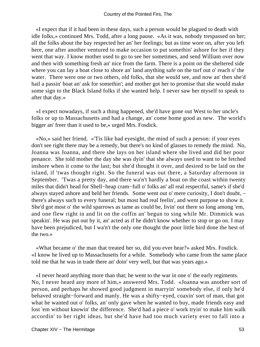«I expect that if it had been in these days, such a person would be plagued to death with idle folks,» continued Mrs. Todd, after a long pause. «As it was, nobody trespassed on her; all the folks about the bay respected her an' her feelings; but as time wore on, after you left here, one after another ventured to make occasion to put somethin' ashore for her if they went that way. I know mother used to go to see her sometimes, and send William over now and then with something fresh an' nice from the farm. There is a point on the sheltered side where you can lay a boat close to shore an' land anything safe on the turf out o' reach o' the water. There were one or two others, old folks, that she would see, and now an' then she'd hail a passin' boat an' ask for somethin'; and mother got her to promise that she would make some sign to the Black Island folks if she wanted help. I never saw her myself to speak to after that day.»

 «I expect nowadays, if such a thing happened, she'd have gone out West to her uncle's folks or up to Massachusetts and had a change, an' come home good as new. The world's bigger an' freer than it used to be,» urged Mrs. Fosdick.

 «No,» said her friend. «'Tis like bad eyesight, the mind of such a person: if your eyes don't see right there may be a remedy, but there's no kind of glasses to remedy the mind. No, Joanna was Joanna, and there she lays on her island where she lived and did her poor penance. She told mother the day she was dyin' that she always used to want to be fetched inshore when it come to the last; but she'd thought it over, and desired to be laid on the island, if 'twas thought right. So the funeral was out there, a Saturday afternoon in September. 'Twas a pretty day, and there wa'n't hardly a boat on the coast within twenty miles that didn't head for Shell−heap cram−full o' folks an' all real respectful, same's if she'd always stayed ashore and held her friends. Some went out o' mere curiosity, I don't doubt, – there's always such to every funeral; but most had real feelin', and went purpose to show it. She'd got most o' the wild sparrows as tame as could be, livin' out there so long among 'em, and one flew right in and lit on the coffin an' begun to sing while Mr. Dimmick was speakin'. He was put out by it, an' acted as if he didn't know whether to stop or go on. I may have been prejudiced, but I wa'n't the only one thought the poor little bird done the best of the two.»

 «What became o' the man that treated her so, did you ever hear?» asked Mrs. Fosdick. «I know he lived up to Massachusetts for a while. Somebody who came from the same place told me that he was in trade there an' doin' very well, but that was years ago.»

 «I never heard anything more than that; he went to the war in one o' the early regiments. No, I never heard any more of him,» answered Mrs. Todd. «Joanna was another sort of person, and perhaps he showed good judgment in marryin' somebody else, if only he'd behaved straight−forward and manly. He was a shifty−eyed, coaxin' sort of man, that got what he wanted out o' folks, an' only gave when he wanted to buy, made friends easy and lost 'em without knowin' the difference. She'd had a piece o' work tryin' to make him walk accordin' to her right ideas, but she'd have had too much variety ever to fall into a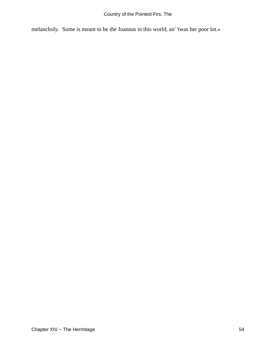melancholy. Some is meant to be the Joannas in this world, an' 'twas her poor lot.»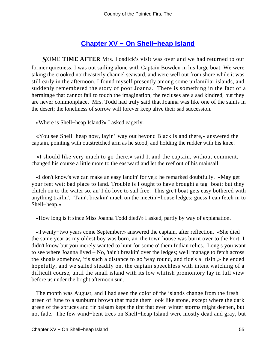## **[Chapter XV − On Shell−heap Island](#page-91-0)**

*S*OME **TIME AFTER** Mrs. Fosdick's visit was over and we had returned to our former quietness, I was out sailing alone with Captain Bowden in his large boat. We were taking the crooked northeasterly channel seaward, and were well out from shore while it was still early in the afternoon. I found myself presently among some unfamiliar islands, and suddenly remembered the story of poor Joanna. There is something in the fact of a hermitage that cannot fail to touch the imagination; the recluses are a sad kindred, but they are never commonplace. Mrs. Todd had truly said that Joanna was like one of the saints in the desert; the loneliness of sorrow will forever keep alive their sad succession.

«Where is Shell−heap Island?» I asked eagerly.

 «You see Shell−heap now, layin' 'way out beyond Black Island there,» answered the captain, pointing with outstretched arm as he stood, and holding the rudder with his knee.

 «I should like very much to go there,» said I, and the captain, without comment, changed his course a little more to the eastward and let the reef out of his mainsail.

 «I don't know's we can make an easy landin' for ye,» he remarked doubtfully. «May get your feet wet; bad place to land. Trouble is I ought to have brought a tag−boat; but they clutch on to the water so, an' I do love to sail free. This gre't boat gets easy bothered with anything trailin'. 'Tain't breakin' much on the meetin'−house ledges; guess I can fetch in to Shell−heap.»

«How long is it since Miss Joanna Todd died?» I asked, partly by way of explanation.

 «Twenty−two years come September,» answered the captain, after reflection. «She died the same year as my oldest boy was born, an' the town house was burnt over to the Port. I didn't know but you merely wanted to hunt for some o' them Indian relics. Long's you want to see where Joanna lived – No, 'tain't breakin' over the ledges; we'll manage to fetch across the shoals somehow, 'tis such a distance to go 'way round, and tide's a−risin',» he ended hopefully, and we sailed steadily on, the captain speechless with intent watching of a difficult course, until the small island with its low whitish promontory lay in full view before us under the bright afternoon sun.

 The month was August, and I had seen the color of the islands change from the fresh green of June to a sunburnt brown that made them look like stone, except where the dark green of the spruces and fir balsam kept the tint that even winter storms might deepen, but not fade. The few wind−bent trees on Shell−heap Island were mostly dead and gray, but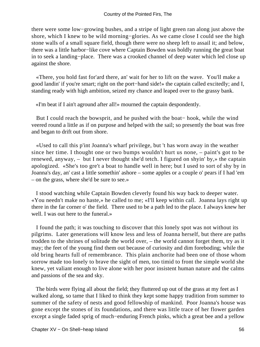there were some low−growing bushes, and a stripe of light green ran along just above the shore, which I knew to be wild morning−glories. As we came close I could see the high stone walls of a small square field, though there were no sheep left to assail it; and below, there was a little harbor−like cove where Captain Bowden was boldly running the great boat in to seek a landing−place. There was a crooked channel of deep water which led close up against the shore.

 «There, you hold fast for'ard there, an' wait for her to lift on the wave. You'll make a good landin' if you're smart; right on the port−hand side!» the captain called excitedly; and I, standing ready with high ambition, seized my chance and leaped over to the grassy bank.

«I'm beat if I ain't aground after all!» mourned the captain despondently.

 But I could reach the bowsprit, and he pushed with the boat− hook, while the wind veered round a little as if on purpose and helped with the sail; so presently the boat was free and began to drift out from shore.

 «Used to call this p'int Joanna's wharf privilege, but 't has worn away in the weather since her time. I thought one or two bumps wouldn't hurt us none, – paint's got to be renewed, anyway, – but I never thought she'd tetch. I figured on shyin' by,» the captain apologized. «She's too gre't a boat to handle well in here; but I used to sort of shy by in Joanna's day, an' cast a little somethin' ashore – some apples or a couple o' pears if I had 'em – on the grass, where she'd be sure to see.»

 I stood watching while Captain Bowden cleverly found his way back to deeper water. «You needn't make no haste,» he called to me; «I'll keep within call. Joanna lays right up there in the far corner o' the field. There used to be a path led to the place. I always knew her well. I was out here to the funeral.»

 I found the path; it was touching to discover that this lonely spot was not without its pilgrims. Later generations will know less and less of Joanna herself, but there are paths trodden to the shrines of solitude the world over, – the world cannot forget them, try as it may; the feet of the young find them out because of curiosity and dim foreboding; while the old bring hearts full of remembrance. This plain anchorite had been one of those whom sorrow made too lonely to brave the sight of men, too timid to front the simple world she knew, yet valiant enough to live alone with her poor insistent human nature and the calms and passions of the sea and sky.

 The birds were flying all about the field; they fluttered up out of the grass at my feet as I walked along, so tame that I liked to think they kept some happy tradition from summer to summer of the safety of nests and good fellowship of mankind. Poor Joanna's house was gone except the stones of its foundations, and there was little trace of her flower garden except a single faded sprig of much−enduring French pinks, which a great bee and a yellow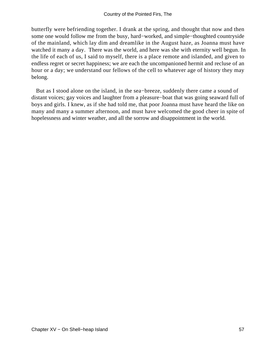butterfly were befriending together. I drank at the spring, and thought that now and then some one would follow me from the busy, hard−worked, and simple−thoughted countryside of the mainland, which lay dim and dreamlike in the August haze, as Joanna must have watched it many a day. There was the world, and here was she with eternity well begun. In the life of each of us, I said to myself, there is a place remote and islanded, and given to endless regret or secret happiness; we are each the uncompanioned hermit and recluse of an hour or a day; we understand our fellows of the cell to whatever age of history they may belong.

 But as I stood alone on the island, in the sea−breeze, suddenly there came a sound of distant voices; gay voices and laughter from a pleasure−boat that was going seaward full of boys and girls. I knew, as if she had told me, that poor Joanna must have heard the like on many and many a summer afternoon, and must have welcomed the good cheer in spite of hopelessness and winter weather, and all the sorrow and disappointment in the world.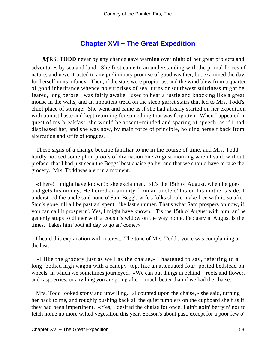## **[Chapter XVI − The Great Expedition](#page-91-0)**

*M*RS. **TODD** never by any chance gave warning over night of her great projects and adventures by sea and land. She first came to an understanding with the primal forces of nature, and never trusted to any preliminary promise of good weather, but examined the day for herself in its infancy. Then, if the stars were propitious, and the wind blew from a quarter of good inheritance whence no surprises of sea−turns or southwest sultriness might be feared, long before I was fairly awake I used to hear a rustle and knocking like a great mouse in the walls, and an impatient tread on the steep garret stairs that led to Mrs. Todd's chief place of storage. She went and came as if she had already started on her expedition with utmost haste and kept returning for something that was forgotten. When I appeared in quest of my breakfast, she would be absent−minded and sparing of speech, as if I had displeased her, and she was now, by main force of principle, holding herself back from altercation and strife of tongues.

 These signs of a change became familiar to me in the course of time, and Mrs. Todd hardly noticed some plain proofs of divination one August morning when I said, without preface, that I had just seen the Beggs' best chaise go by, and that we should have to take the grocery. Mrs. Todd was alert in a moment.

 «There! I might have known!» she exclaimed. «It's the 15th of August, when he goes and gets his money. He heired an annuity from an uncle o' his on his mother's side. I understood the uncle said none o' Sam Begg's wife's folks should make free with it, so after Sam's gone it'll all be past an' spent, like last summer. That's what Sam prospers on now, if you can call it prosperin'. Yes, I might have known. 'Tis the 15th o' August with him, an' he gener'ly stops to dinner with a cousin's widow on the way home. Feb'uary n' August is the times. Takes him 'bout all day to go an' come.»

 I heard this explanation with interest. The tone of Mrs. Todd's voice was complaining at the last.

 «I like the grocery just as well as the chaise,» I hastened to say, referring to a long−bodied high wagon with a canopy−top, like an attenuated four−posted bedstead on wheels, in which we sometimes journeyed. «We can put things in behind – roots and flowers and raspberries, or anything you are going after – much better than if we had the chaise.»

 Mrs. Todd looked stony and unwilling. «I counted upon the chaise,» she said, turning her back to me, and roughly pushing back all the quiet tumblers on the cupboard shelf as if they had been impertinent. «Yes, I desired the chaise for once. I ain't goin' berryin' nor to fetch home no more wilted vegetation this year. Season's about past, except for a poor few o'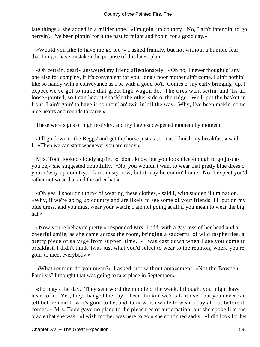late things,» she added in a milder tone. «I'm goin' up country. No, I ain't intendin' to go berryin'. I've been plottin' for it the past fortnight and hopin' for a good day.»

 «Would you like to have me go too?» I asked frankly, but not without a humble fear that I might have mistaken the purpose of this latest plan.

 «Oh certain, dear!» answered my friend affectionately. «Oh no, I never thought o' any one else for comp'ny, if it's convenient for you, long's poor mother ain't come. I ain't nothin' like so handy with a conveyance as I be with a good bo't. Comes o' my early bringing−up. I expect we've got to make that great high wagon do. The tires want settin' and 'tis all loose−jointed, so I can hear it shackle the other side o' the ridge. We'll put the basket in front. I ain't goin' to have it bouncin' an' twirlin' all the way. Why, I've been makin' some nice hearts and rounds to carry.»

These were signs of high festivity, and my interest deepened moment by moment.

 «I'll go down to the Beggs' and get the horse just as soon as I finish my breakfast,» said I. «Then we can start whenever you are ready.»

 Mrs. Todd looked cloudy again. «I don't know but you look nice enough to go just as you be,» she suggested doubtfully. «No, you wouldn't want to wear that pretty blue dress o' yourn 'way up country. 'Taint dusty now, but it may be comin' home. No, I expect you'd rather not wear that and the other hat.»

 «Oh yes. I shouldn't think of wearing these clothes,» said I, with sudden illumination. «Why, if we're going up country and are likely to see some of your friends, I'll put on my blue dress, and you must wear your watch; I am not going at all if you mean to wear the big hat.»

 «Now you're behavin' pretty,» responded Mrs. Todd, with a gay toss of her head and a cheerful smile, as she came across the room, bringing a saucerful of wild raspberries, a pretty piece of salvage from supper−time. «I was cast down when I see you come to breakfast. I didn't think 'twas just what you'd select to wear to the reunion, where you're goin' to meet everybody.»

 «What reunion do you mean?» I asked, not without amazement. «Not the Bowden Family's? I thought that was going to take place in September.»

 «To−day's the day. They sent word the middle o' the week. I thought you might have heard of it. Yes, they changed the day. I been thinkin' we'd talk it over, but you never can tell beforehand how it's goin' to be, and 'taint worth while to wear a day all out before it comes.» Mrs. Todd gave no place to the pleasures of anticipation, but she spoke like the oracle that she was. «I wish mother was here to go,» she continued sadly. «I did look for her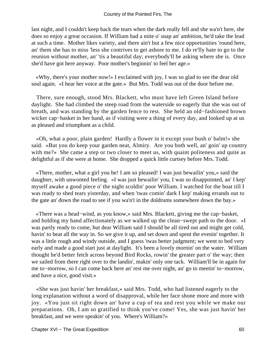last night, and I couldn't keep back the tears when the dark really fell and she wa'n't here, she does so enjoy a great occasion. If William had a mite o' snap an' ambition, he'd take the lead at such a time. Mother likes variety, and there ain't but a few nice opportunities 'round here, an' them she has to miss 'less she contrives to get ashore to me. I do re'lly hate to go to the reunion without mother, an' 'tis a beautiful day; everybody'll be asking where she is. Once she'd have got here anyway. Poor mother's beginnin' to feel her age.»

 «Why, there's your mother now!» I exclaimed with joy, I was so glad to see the dear old soul again. «I hear her voice at the gate.» But Mrs. Todd was out of the door before me.

 There, sure enough, stood Mrs. Blackett, who must have left Green Island before daylight. She had climbed the steep road from the waterside so eagerly that she was out of breath, and was standing by the garden fence to rest. She held an old−fashioned brown wicker cap−basket in her hand, as if visiting were a thing of every day, and looked up at us as pleased and triumphant as a child.

 «Oh, what a poor, plain garden! Hardly a flower in it except your bush o' balm!» she said. «But you do keep your garden neat, Almiry. Are you both well, an' goin' up country with me?» She came a step or two closer to meet us, with quaint politeness and quite as delightful as if she were at home. She dropped a quick little curtsey before Mrs. Todd.

 «There, mother, what a girl you be! I am so pleased! I was just bewailin' you,» said the daughter, with unwonted feeling. «I was just bewailin' you, I was so disappointed, an' I kep' myself awake a good piece o' the night scoldin' poor William. I watched for the boat till I was ready to shed tears yisterday, and when 'twas comin' dark I kep' making errands out to the gate an' down the road to see if you wa'n't in the doldrums somewhere down the bay.»

 «There was a head−wind, as you know,» said Mrs. Blackett, giving me the cap−basket, and holding my hand affectionately as we walked up the clean−swept path to the door. «I was partly ready to come, but dear William said I should be all tired out and might get cold, havin' to beat all the way in. So we give it up, and set down and spent the evenin' together. It was a little rough and windy outside, and I guess 'twas better judgment; we went to bed very early and made a good start just at daylight. It's been a lovely mornin' on the water. William thought he'd better fetch across beyond Bird Rocks, rowin' the greater part o' the way; then we sailed from there right over to the landin', makin' only one tack. William'll be in again for me to−morrow, so I can come back here an' rest me over night, an' go to meetin' to−morrow, and have a nice, good visit.»

 «She was just havin' her breakfast,» said Mrs. Todd, who had listened eagerly to the long explanation without a word of disapproval, while her face shone more and more with joy. «You just sit right down an' have a cup of tea and rest you while we make our preparations. Oh, I am so gratified to think you've come! Yes, she was just havin' her breakfast, and we were speakin' of you. Where's William?»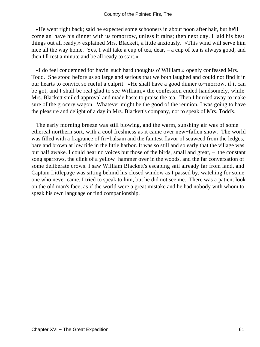«He went right back; said he expected some schooners in about noon after bait, but he'll come an' have his dinner with us tomorrow, unless it rains; then next day. I laid his best things out all ready,» explained Mrs. Blackett, a little anxiously. «This wind will serve him nice all the way home. Yes, I will take a cup of tea, dear, – a cup of tea is always good; and then I'll rest a minute and be all ready to start.»

 «I do feel condemned for havin' such hard thoughts o' William,» openly confessed Mrs. Todd. She stood before us so large and serious that we both laughed and could not find it in our hearts to convict so rueful a culprit. «He shall have a good dinner to−morrow, if it can be got, and I shall be real glad to see William,» the confession ended handsomely, while Mrs. Blackett smiled approval and made haste to praise the tea. Then I hurried away to make sure of the grocery wagon. Whatever might be the good of the reunion, I was going to have the pleasure and delight of a day in Mrs. Blackett's company, not to speak of Mrs. Todd's.

 The early morning breeze was still blowing, and the warm, sunshiny air was of some ethereal northern sort, with a cool freshness as it came over new−fallen snow. The world was filled with a fragrance of fir−balsam and the faintest flavor of seaweed from the ledges, bare and brown at low tide in the little harbor. It was so still and so early that the village was but half awake. I could hear no voices but those of the birds, small and great, – the constant song sparrows, the clink of a yellow−hammer over in the woods, and the far conversation of some deliberate crows. I saw William Blackett's escaping sail already far from land, and Captain Littlepage was sitting behind his closed window as I passed by, watching for some one who never came. I tried to speak to him, but he did not see me. There was a patient look on the old man's face, as if the world were a great mistake and he had nobody with whom to speak his own language or find companionship.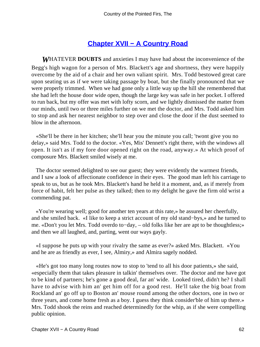# **[Chapter XVII − A Country Road](#page-91-0)**

*W*HATEVER **DOUBTS** and anxieties I may have had about the inconvenience of the Begg's high wagon for a person of Mrs. Blackett's age and shortness, they were happily overcome by the aid of a chair and her own valiant spirit. Mrs. Todd bestowed great care upon seating us as if we were taking passage by boat, but she finally pronounced that we were properly trimmed. When we had gone only a little way up the hill she remembered that she had left the house door wide open, though the large key was safe in her pocket. I offered to run back, but my offer was met with lofty scorn, and we lightly dismissed the matter from our minds, until two or three miles further on we met the doctor, and Mrs. Todd asked him to stop and ask her nearest neighbor to step over and close the door if the dust seemed to blow in the afternoon.

 «She'll be there in her kitchen; she'll hear you the minute you call; 'twont give you no delay,» said Mrs. Todd to the doctor. «Yes, Mis' Dennett's right there, with the windows all open. It isn't as if my fore door opened right on the road, anyway.» At which proof of composure Mrs. Blackett smiled wisely at me.

 The doctor seemed delighted to see our guest; they were evidently the warmest friends, and I saw a look of affectionate confidence in their eyes. The good man left his carriage to speak to us, but as he took Mrs. Blackett's hand he held it a moment, and, as if merely from force of habit, felt her pulse as they talked; then to my delight he gave the firm old wrist a commending pat.

 «You're wearing well; good for another ten years at this rate,» he assured her cheerfully, and she smiled back. «I like to keep a strict account of my old stand−bys,» and he turned to me. «Don't you let Mrs. Todd overdo to−day, – old folks like her are apt to be thoughtless;» and then we all laughed, and, parting, went our ways gayly.

 «I suppose he puts up with your rivalry the same as ever?» asked Mrs. Blackett. «You and he are as friendly as ever, I see, Almiry,» and Almira sagely nodded.

 «He's got too many long routes now to stop to 'tend to all his door patients,» she said, «especially them that takes pleasure in talkin' themselves over. The doctor and me have got to be kind of partners; he's gone a good deal, far an' wide. Looked tired, didn't he? I shall have to advise with him an' get him off for a good rest. He'll take the big boat from Rockland an' go off up to Boston an' mouse round among the other doctors, one in two or three years, and come home fresh as a boy. I guess they think consider'ble of him up there.» Mrs. Todd shook the reins and reached determinedly for the whip, as if she were compelling public opinion.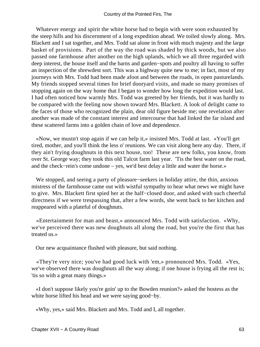Whatever energy and spirit the white horse had to begin with were soon exhausted by the steep hills and his discernment of a long expedition ahead. We toiled slowly along. Mrs. Blackett and I sat together, and Mrs. Todd sat alone in front with much majesty and the large basket of provisions. Part of the way the road was shaded by thick woods, but we also passed one farmhouse after another on the high uplands, which we all three regarded with deep interest, the house itself and the barns and garden−spots and poultry all having to suffer an inspection of the shrewdest sort. This was a highway quite new to me; in fact, most of my journeys with Mrs. Todd had been made afoot and between the roads, in open pasturelands. My friends stopped several times for brief dooryard visits, and made so many promises of stopping again on the way home that I began to wonder how long the expedition would last. I had often noticed how warmly Mrs. Todd was greeted by her friends, but it was hardly to be compared with the feeling now shown toward Mrs. Blackett. A look of delight came to the faces of those who recognized the plain, dear old figure beside me; one revelation after another was made of the constant interest and intercourse that had linked the far island and these scattered farms into a golden chain of love and dependence.

 «Now, we mustn't stop again if we can help it,» insisted Mrs. Todd at last. «You'll get tired, mother, and you'll think the less o' reunions. We can visit along here any day. There, if they ain't frying doughnuts in this next house, too! These are new folks, you know, from over St. George way; they took this old Talcot farm last year. 'Tis the best water on the road, and the check−rein's come undone – yes, we'd best delay a little and water the horse.»

 We stopped, and seeing a party of pleasure−seekers in holiday attire, the thin, anxious mistress of the farmhouse came out with wistful sympathy to hear what news we might have to give. Mrs. Blackett first spied her at the half−closed door, and asked with such cheerful directness if we were trespassing that, after a few words, she went back to her kitchen and reappeared with a plateful of doughnuts.

 «Entertainment for man and beast,» announced Mrs. Todd with satisfaction. «Why, we've perceived there was new doughnuts all along the road, but you're the first that has treated us.»

Our new acquaintance flushed with pleasure, but said nothing.

 «They're very nice; you've had good luck with 'em,» pronounced Mrs. Todd. «Yes, we've observed there was doughnuts all the way along; if one house is frying all the rest is; 'tis so with a great many things.»

 «I don't suppose likely you're goin' up to the Bowden reunion?» asked the hostess as the white horse lifted his head and we were saying good−by.

«Why, yes,» said Mrs. Blackett and Mrs. Todd and I, all together.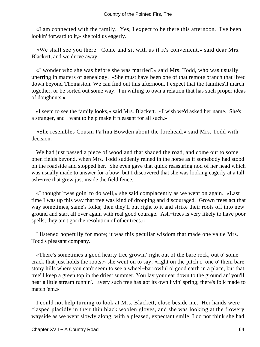«I am connected with the family. Yes, I expect to be there this afternoon. I've been lookin' forward to it,» she told us eagerly.

 «We shall see you there. Come and sit with us if it's convenient,» said dear Mrs. Blackett, and we drove away.

 «I wonder who she was before she was married?» said Mrs. Todd, who was usually unerring in matters of genealogy. «She must have been one of that remote branch that lived down beyond Thomaston. We can find out this afternoon. I expect that the families'll march together, or be sorted out some way. I'm willing to own a relation that has such proper ideas of doughnuts.»

 «I seem to see the family looks,» said Mrs. Blackett. «I wish we'd asked her name. She's a stranger, and I want to help make it pleasant for all such.»

 «She resembles Cousin Pa'lina Bowden about the forehead,» said Mrs. Todd with decision.

 We had just passed a piece of woodland that shaded the road, and come out to some open fields beyond, when Mrs. Todd suddenly reined in the horse as if somebody had stood on the roadside and stopped her. She even gave that quick reassuring nod of her head which was usually made to answer for a bow, but I discovered that she was looking eagerly at a tall ash−tree that grew just inside the field fence.

 «I thought 'twas goin' to do well,» she said complacently as we went on again. «Last time I was up this way that tree was kind of drooping and discouraged. Grown trees act that way sometimes, same's folks; then they'll put right to it and strike their roots off into new ground and start all over again with real good courage. Ash−trees is very likely to have poor spells; they ain't got the resolution of other trees.»

 I listened hopefully for more; it was this peculiar wisdom that made one value Mrs. Todd's pleasant company.

 «There's sometimes a good hearty tree growin' right out of the bare rock, out o' some crack that just holds the roots;» she went on to say, «right on the pitch o' one o' them bare stony hills where you can't seem to see a wheel−barrowful o' good earth in a place, but that tree'll keep a green top in the driest summer. You lay your ear down to the ground an' you'll hear a little stream runnin'. Every such tree has got its own livin' spring; there's folk made to match 'em.»

 I could not help turning to look at Mrs. Blackett, close beside me. Her hands were clasped placidly in their thin black woolen gloves, and she was looking at the flowery wayside as we went slowly along, with a pleased, expectant smile. I do not think she had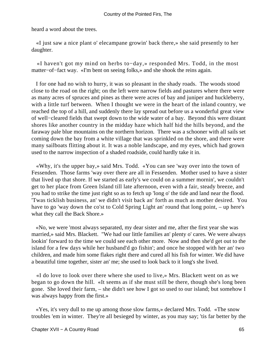heard a word about the trees.

 «I just saw a nice plant o' elecampane growin' back there,» she said presently to her daughter.

 «I haven't got my mind on herbs to−day,» responded Mrs. Todd, in the most matter−of−fact way. «I'm bent on seeing folks,» and she shook the reins again.

 I for one had no wish to hurry, it was so pleasant in the shady roads. The woods stood close to the road on the right; on the left were narrow fields and pastures where there were as many acres of spruces and pines as there were acres of bay and juniper and huckleberry, with a little turf between. When I thought we were in the heart of the inland country, we reached the top of a hill, and suddenly there lay spread out before us a wonderful great view of well−cleared fields that swept down to the wide water of a bay. Beyond this were distant shores like another country in the midday haze which half hid the hills beyond, and the faraway pale blue mountains on the northern horizon. There was a schooner with all sails set coming down the bay from a white village that was sprinkled on the shore, and there were many sailboats flitting about it. It was a noble landscape, and my eyes, which had grown used to the narrow inspection of a shaded roadside, could hardly take it in.

 «Why, it's the upper bay,» said Mrs. Todd. «You can see 'way over into the town of Fessenden. Those farms 'way over there are all in Fessenden. Mother used to have a sister that lived up that shore. If we started as early's we could on a summer mornin', we couldn't get to her place from Green Island till late afternoon, even with a fair, steady breeze, and you had to strike the time just right so as to fetch up 'long o' the tide and land near the flood. 'Twas ticklish business, an' we didn't visit back an' forth as much as mother desired. You have to go 'way down the co'st to Cold Spring Light an' round that long point, – up here's what they call the Back Shore.»

 «No, we were 'most always separated, my dear sister and me, after the first year she was married,» said Mrs. Blackett. "We had our little families an' plenty o' cares. We were always lookin' forward to the time we could see each other more. Now and then she'd get out to the island for a few days while her husband'd go fishin'; and once he stopped with her an' two children, and made him some flakes right there and cured all his fish for winter. We did have a beautiful time together, sister an' me; she used to look back to it long's she lived.

 «I do love to look over there where she used to live,» Mrs. Blackett went on as we began to go down the hill. «It seems as if she must still be there, though she's long been gone. She loved their farm, – she didn't see how I got so used to our island; but somehow I was always happy from the first.»

 «Yes, it's very dull to me up among those slow farms,» declared Mrs. Todd. «The snow troubles 'em in winter. They're all besieged by winter, as you may say; 'tis far better by the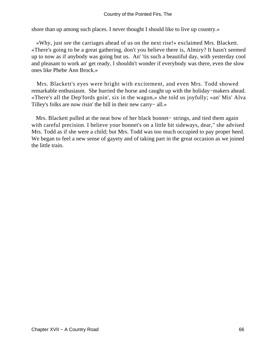shore than up among such places. I never thought I should like to live up country.»

 «Why, just see the carriages ahead of us on the next rise!» exclaimed Mrs. Blackett. «There's going to be a great gathering, don't you believe there is, Almiry? It hasn't seemed up to now as if anybody was going but us. An' 'tis such a beautiful day, with yesterday cool and pleasant to work an' get ready, I shouldn't wonder if everybody was there, even the slow ones like Phebe Ann Brock.»

 Mrs. Blackett's eyes were bright with excitement, and even Mrs. Todd showed remarkable enthusiasm. She hurried the horse and caught up with the holiday−makers ahead. «There's all the Dep'fords goin', six in the wagon,» she told us joyfully; «an' Mis' Alva Tilley's folks are now risin' the hill in their new carry− all.»

 Mrs. Blackett pulled at the neat bow of her black bonnet− strings, and tied them again with careful precision. I believe your bonnet's on a little bit sideways, dear," she advised Mrs. Todd as if she were a child; but Mrs. Todd was too much occupied to pay proper heed. We began to feel a new sense of gayety and of taking part in the great occasion as we joined the little train.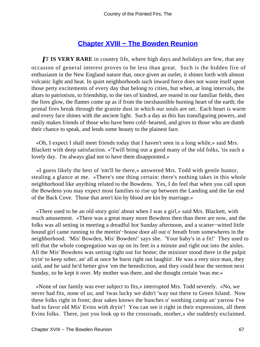## **[Chapter XVIII − The Bowden Reunion](#page-91-0)**

*IT IS VERY RARE* in country life, where high days and holidays are few, that any occasion of general interest proves to be less than great. Such is the hidden fire of enthusiasm in the New England nature that, once given an outlet, it shines forth with almost volcanic light and heat. In quiet neighborhoods such inward force does not waste itself upon those petty excitements of every day that belong to cities, but when, at long intervals, the altars to patriotism, to friendship, to the ties of kindred, are reared in our familiar fields, then the fires glow, the flames come up as if from the inexhaustible burning heart of the earth; the primal fires break through the granite dust in which our souls are set. Each heart is warm and every face shines with the ancient light. Such a day as this has transfiguring powers, and easily makes friends of those who have been cold−hearted, and gives to those who are dumb their chance to speak, and lends some beauty to the plainest face.

 «Oh, I expect I shall meet friends today that I haven't seen in a long while,» said Mrs. Blackett with deep satisfaction. «'Twill bring out a good many of the old folks, 'tis such a lovely day. I'm always glad not to have them disappointed.»

 «I guess likely the best of 'em'll be there,» answered Mrs. Todd with gentle humor, stealing a glance at me. «There's one thing certain: there's nothing takes in this whole neighborhood like anything related to the Bowdens. Yes, I do feel that when you call upon the Bowdens you may expect most families to rise up between the Landing and the far end of the Back Cove. Those that aren't kin by blood are kin by marriage.»

 «There used to be an old story goin' about when I was a girl,» said Mrs. Blackett, with much amusement. «There was a great many more Bowdens then than there are now, and the folks was all setting in meeting a dreadful hot Sunday afternoon, and a scatter−witted little bound girl came running to the meetin'−house door all out o' breath from somewheres in the neighborhood. 'Mis' Bowden, Mis' Bowden!' says she. 'Your baby's in a fit!' They used to tell that the whole congregation was up on its feet in a minute and right out into the aisles. All the Mis' Bowdens was setting right out for home; the minister stood there in the pulpit tryin' to keep sober, an' all at once he burst right out laughin'. He was a very nice man, they said, and he said he'd better give 'em the benediction, and they could hear the sermon next Sunday, so he kept it over. My mother was there, and she thought certain 'twas me.»

 «None of our family was ever subject to fits,» interrupted Mrs. Todd severely. «No, we never had fits, none of us; and 'twas lucky we didn't 'way out there to Green Island. Now these folks right in front; dear sakes knows the bunches o' soothing catnip an' yarrow I've had to favor old Mis' Evins with dryin'! You can see it right in their expressions, all them Evins folks. There, just you look up to the crossroads, mother,» she suddenly exclaimed.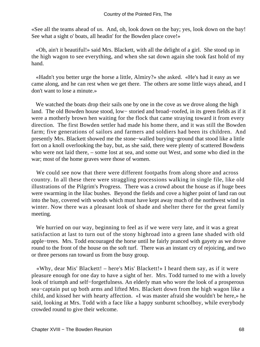«See all the teams ahead of us. And, oh, look down on the bay; yes, look down on the bay! See what a sight o' boats, all headin' for the Bowden place cove!»

 «Oh, ain't it beautiful!» said Mrs. Blackett, with all the delight of a girl. She stood up in the high wagon to see everything, and when she sat down again she took fast hold of my hand.

 «Hadn't you better urge the horse a little, Almiry?» she asked. «He's had it easy as we came along, and he can rest when we get there. The others are some little ways ahead, and I don't want to lose a minute.»

We watched the boats drop their sails one by one in the cove as we drove along the high land. The old Bowden house stood, low− storied and broad−roofed, in its green fields as if it were a motherly brown hen waiting for the flock that came straying toward it from every direction. The first Bowden settler had made his home there, and it was still the Bowden farm; five generations of sailors and farmers and soldiers had been its children. And presently Mrs. Blackett showed me the stone−walled burying−ground that stood like a little fort on a knoll overlooking the bay, but, as she said, there were plenty of scattered Bowdens who were not laid there, – some lost at sea, and some out West, and some who died in the war; most of the home graves were those of women.

 We could see now that there were different footpaths from along shore and across country. In all these there were straggling processions walking in single file, like old illustrations of the Pilgrim's Progress. There was a crowd about the house as if huge bees were swarming in the lilac bushes. Beyond the fields and cove a higher point of land ran out into the bay, covered with woods which must have kept away much of the northwest wind in winter. Now there was a pleasant look of shade and shelter there for the great family meeting.

 We hurried on our way, beginning to feel as if we were very late, and it was a great satisfaction at last to turn out of the stony highroad into a green lane shaded with old apple−trees. Mrs. Todd encouraged the horse until he fairly pranced with gayety as we drove round to the front of the house on the soft turf. There was an instant cry of rejoicing, and two or three persons ran toward us from the busy group.

 «Why, dear Mis' Blackett! – here's Mis' Blackett!» I heard them say, as if it were pleasure enough for one day to have a sight of her. Mrs. Todd turned to me with a lovely look of triumph and self−forgetfulness. An elderly man who wore the look of a prosperous sea−captain put up both arms and lifted Mrs. Blackett down from the high wagon like a child, and kissed her with hearty affection. «I was master afraid she wouldn't be here,» he said, looking at Mrs. Todd with a face like a happy sunburnt schoolboy, while everybody crowded round to give their welcome.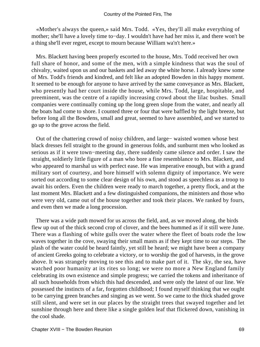«Mother's always the queen,» said Mrs. Todd. «Yes, they'll all make everything of mother; she'll have a lovely time to−day. I wouldn't have had her miss it, and there won't be a thing she'll ever regret, except to mourn because William wa'n't here.»

 Mrs. Blackett having been properly escorted to the house, Mrs. Todd received her own full share of honor, and some of the men, with a simple kindness that was the soul of chivalry, waited upon us and our baskets and led away the white horse. I already knew some of Mrs. Todd's friends and kindred, and felt like an adopted Bowden in this happy moment. It seemed to be enough for anyone to have arrived by the same conveyance as Mrs. Blackett, who presently had her court inside the house, while Mrs. Todd, large, hospitable, and preeminent, was the centre of a rapidly increasing crowd about the lilac bushes. Small companies were continually coming up the long green slope from the water, and nearly all the boats had come to shore. I counted three or four that were baffled by the light breeze, but before long all the Bowdens, small and great, seemed to have assembled, and we started to go up to the grove across the field.

 Out of the chattering crowd of noisy children, and large− waisted women whose best black dresses fell straight to the ground in generous folds, and sunburnt men who looked as serious as if it were town−meeting day, there suddenly came silence and order. I saw the straight, soldierly little figure of a man who bore a fine resemblance to Mrs. Blackett, and who appeared to marshal us with perfect ease. He was imperative enough, but with a grand military sort of courtesy, and bore himself with solemn dignity of importance. We were sorted out according to some clear design of his own, and stood as speechless as a troop to await his orders. Even the children were ready to march together, a pretty flock, and at the last moment Mrs. Blackett and a few distinguished companions, the ministers and those who were very old, came out of the house together and took their places. We ranked by fours, and even then we made a long procession.

 There was a wide path mowed for us across the field, and, as we moved along, the birds flew up out of the thick second crop of clover, and the bees hummed as if it still were June. There was a flashing of white gulls over the water where the fleet of boats rode the low waves together in the cove, swaying their small masts as if they kept time to our steps. The plash of the water could be heard faintly, yet still be heard; we might have been a company of ancient Greeks going to celebrate a victory, or to worship the god of harvests, in the grove above. It was strangely moving to see this and to make part of it. The sky, the sea, have watched poor humanity at its rites so long; we were no more a New England family celebrating its own existence and simple progress; we carried the tokens and inheritance of all such households from which this had descended, and were only the latest of our line. We possessed the instincts of a far, forgotten childhood; I found myself thinking that we ought to be carrying green branches and singing as we went. So we came to the thick shaded grove still silent, and were set in our places by the straight trees that swayed together and let sunshine through here and there like a single golden leaf that flickered down, vanishing in the cool shade.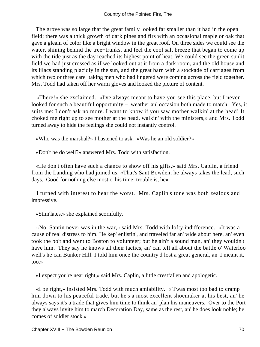The grove was so large that the great family looked far smaller than it had in the open field; there was a thick growth of dark pines and firs with an occasional maple or oak that gave a gleam of color like a bright window in the great roof. On three sides we could see the water, shining behind the tree−trunks, and feel the cool salt breeze that began to come up with the tide just as the day reached its highest point of heat. We could see the green sunlit field we had just crossed as if we looked out at it from a dark room, and the old house and its lilacs standing placidly in the sun, and the great barn with a stockade of carriages from which two or three care−taking men who had lingered were coming across the field together. Mrs. Todd had taken off her warm gloves and looked the picture of content.

 «There!» she exclaimed. «I've always meant to have you see this place, but I never looked for such a beautiful opportunity – weather an' occasion both made to match. Yes, it suits me: I don't ask no more. I want to know if you saw mother walkin' at the head! It choked me right up to see mother at the head, walkin' with the ministers,» and Mrs. Todd turned away to hide the feelings she could not instantly control.

«Who was the marshal?» I hastened to ask. «Was he an old soldier?»

«Don't he do well?» answered Mrs. Todd with satisfaction.

 «He don't often have such a chance to show off his gifts,» said Mrs. Caplin, a friend from the Landing who had joined us. «That's Sant Bowden; he always takes the lead, such days. Good for nothing else most o' his time; trouble is, he» –

 I turned with interest to hear the worst. Mrs. Caplin's tone was both zealous and impressive.

«Stim'lates,» she explained scornfully.

 «No, Santin never was in the war,» said Mrs. Todd with lofty indifference. «It was a cause of real distress to him. He kep' enlistin', and traveled far an' wide about here, an' even took the bo't and went to Boston to volunteer; but he ain't a sound man, an' they wouldn't have him. They say he knows all their tactics, an' can tell all about the battle o' Waterloo well's he can Bunker Hill. I told him once the country'd lost a great general, an' I meant it, too.»

«I expect you're near right,» said Mrs. Caplin, a little crestfallen and apologetic.

 «I be right,» insisted Mrs. Todd with much amiability. «'Twas most too bad to cramp him down to his peaceful trade, but he's a most excellent shoemaker at his best, an' he always says it's a trade that gives him time to think an' plan his maneuvers. Over to the Port they always invite him to march Decoration Day, same as the rest, an' he does look noble; he comes of soldier stock.»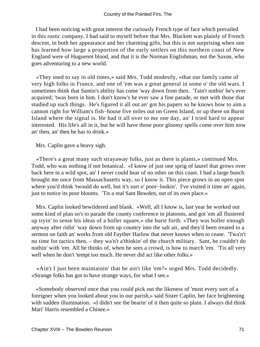I had been noticing with great interest the curiously French type of face which prevailed in this rustic company. I had said to myself before that Mrs. Blackett was plainly of French descent, in both her appearance and her charming gifts, but this is not surprising when one has learned how large a proportion of the early settlers on this northern coast of New England were of Huguenot blood, and that it is the Norman Englishman, not the Saxon, who goes adventuring to a new world.

 «They used to say in old times,» said Mrs. Todd modestly, «that our family came of very high folks in France, and one of 'em was a great general in some o' the old wars. I sometimes think that Santin's ability has come 'way down from then. 'Tain't nothin' he's ever acquired; 'twas born in him. I don't know's he ever saw a fine parade, or met with those that studied up such things. He's figured it all out an' got his papers so he knows how to aim a cannon right for William's fish−house five miles out on Green Island, or up there on Burnt Island where the signal is. He had it all over to me one day, an' I tried hard to appear interested. His life's all in it, but he will have those poor gloomy spells come over him now an' then, an' then he has to drink.»

Mrs. Caplin gave a heavy sigh.

 «There's a great many such strayaway folks, just as there is plants,» continued Mrs. Todd, who was nothing if not botanical. «I know of just one sprig of laurel that grows over back here in a wild spot, an' I never could hear of no other on this coast. I had a large bunch brought me once from Massachusetts way, so I know it. This piece grows in an open spot where you'd think 'twould do well, but it's sort o' poor−lookin'. I've visited it time an' again, just to notice its poor blooms. 'Tis a real Sant Bowden, out of its own place.»

 Mrs. Caplin looked bewildered and blank. «Well, all I know is, last year he worked out some kind of plan so's to parade the county conference in platoons, and got 'em all flustered up tryin' to sense his ideas of a holler square,» she burst forth. «They was holler enough anyway after ridin' 'way down from up country into the salt air, and they'd been treated to a sermon on faith an' works from old Fayther Harlow that never knows when to cease. 'Twa'n't no time for tactics then, – they wa'n't a'thinkin' of the church military. Sant, he couldn't do nothin' with 'em. All he thinks of, when he sees a crowd, is how to march 'em. 'Tis all very well when he don't 'tempt too much. He never did act like other folks.»

 «Ain't I just been maintainin' that he ain't like 'em?» urged Mrs. Todd decidedly. «Strange folks has got to have strange ways, for what I see.»

 «Somebody observed once that you could pick out the likeness of 'most every sort of a foreigner when you looked about you in our parish,» said Sister Caplin, her face brightening with sudden illumination. «I didn't see the bearin' of it then quite so plain. I always did think Mari' Harris resembled a Chinee.»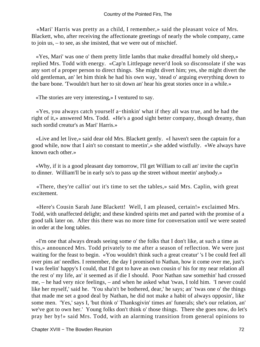«Mari' Harris was pretty as a child, I remember,» said the pleasant voice of Mrs. Blackett, who, after receiving the affectionate greetings of nearly the whole company, came to join us, – to see, as she insisted, that we were out of mischief.

 «Yes, Mari' was one o' them pretty little lambs that make dreadful homely old sheep,» replied Mrs. Todd with energy. «Cap'n Littlepage never'd look so disconsolate if she was any sort of a proper person to direct things. She might divert him; yes, she might divert the old gentleman, an' let him think he had his own way, 'stead o' arguing everything down to the bare bone. 'Twouldn't hurt her to sit down an' hear his great stories once in a while.»

«The stories are very interesting,» I ventured to say.

 «Yes, you always catch yourself a−thinkin' what if they all was true, and he had the right of it,» answered Mrs. Todd. «He's a good sight better company, though dreamy, than such sordid creatur's as Mari' Harris.»

 «Live and let live,» said dear old Mrs. Blackett gently. «I haven't seen the captain for a good while, now that I ain't so constant to meetin',» she added wistfully. «We always have known each other.»

 «Why, if it is a good pleasant day tomorrow, I'll get William to call an' invite the capt'in to dinner. William'll be in early so's to pass up the street without meetin' anybody.»

 «There, they're callin' out it's time to set the tables,» said Mrs. Caplin, with great excitement.

 «Here's Cousin Sarah Jane Blackett! Well, I am pleased, certain!» exclaimed Mrs. Todd, with unaffected delight; and these kindred spirits met and parted with the promise of a good talk later on. After this there was no more time for conversation until we were seated in order at the long tables.

 «I'm one that always dreads seeing some o' the folks that I don't like, at such a time as this,» announced Mrs. Todd privately to me after a season of reflection. We were just waiting for the feast to begin. «You wouldn't think such a great creatur' 's I be could feel all over pins an' needles. I remember, the day I promised to Nathan, how it come over me, just's I was feelin' happy's I could, that I'd got to have an own cousin o' his for my near relation all the rest o' my life, an' it seemed as if die I should. Poor Nathan saw somethin' had crossed me, – he had very nice feelings, – and when he asked what 'twas, I told him. 'I never could like her myself,' said he. 'You sha'n't be bothered, dear,' he says; an' 'twas one o' the things that made me set a good deal by Nathan, he did not make a habit of always opposin', like some men. 'Yes,' says I, 'but think o' Thanksgivin' times an' funerals; she's our relation, an' we've got to own her.' Young folks don't think o' those things. There she goes now, do let's pray her by!» said Mrs. Todd, with an alarming transition from general opinions to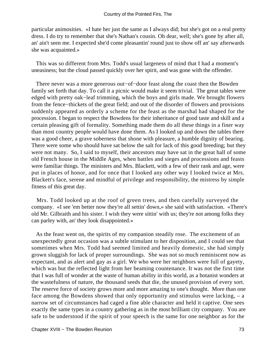particular animosities. «I hate her just the same as I always did; but she's got on a real pretty dress. I do try to remember that she's Nathan's cousin. Oh dear, well; she's gone by after all, an' ain't seen me. I expected she'd come pleasantin' round just to show off an' say afterwards she was acquainted.»

 This was so different from Mrs. Todd's usual largeness of mind that I had a moment's uneasiness; but the cloud passed quickly over her spirit, and was gone with the offender.

 There never was a more generous out−of−door feast along the coast then the Bowden family set forth that day. To call it a picnic would make it seem trivial. The great tables were edged with pretty oak−leaf trimming, which the boys and girls made. We brought flowers from the fence−thickets of the great field; and out of the disorder of flowers and provisions suddenly appeared as orderly a scheme for the feast as the marshal had shaped for the procession. I began to respect the Bowdens for their inheritance of good taste and skill and a certain pleasing gift of formality. Something made them do all these things in a finer way than most country people would have done them. As I looked up and down the tables there was a good cheer, a grave soberness that shone with pleasure, a humble dignity of bearing. There were some who should have sat below the salt for lack of this good breeding; but they were not many. So, I said to myself, their ancestors may have sat in the great hall of some old French house in the Middle Ages, when battles and sieges and processions and feasts were familiar things. The ministers and Mrs. Blackett, with a few of their rank and age, were put in places of honor, and for once that I looked any other way I looked twice at Mrs. Blackett's face, serene and mindful of privilege and responsibility, the mistress by simple fitness of this great day.

 Mrs. Todd looked up at the roof of green trees, and then carefully surveyed the company. «I see 'em better now they're all settin' down,» she said with satisfaction. «There's old Mr. Gilbraith and his sister. I wish they were sittin' with us; they're not among folks they can parley with, an' they look disappointed.»

 As the feast went on, the spirits of my companion steadily rose. The excitement of an unexpectedly great occasion was a subtle stimulant to her disposition, and I could see that sometimes when Mrs. Todd had seemed limited and heavily domestic, she had simply grown sluggish for lack of proper surroundings. She was not so much reminiscent now as expectant, and as alert and gay as a girl. We who were her neighbors were full of gayety, which was but the reflected light from her beaming countenance. It was not the first time that I was full of wonder at the waste of human ability in this world, as a botanist wonders at the wastefulness of nature, the thousand seeds that die, the unused provision of every sort. The reserve force of society grows more and more amazing to one's thought. More than one face among the Bowdens showed that only opportunity and stimulus were lacking, – a narrow set of circumstances had caged a fine able character and held it captive. One sees exactly the same types in a country gathering as in the most brilliant city company. You are safe to be understood if the spirit of your speech is the same for one neighbor as for the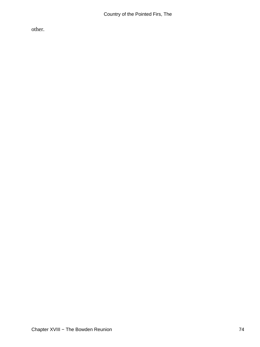other.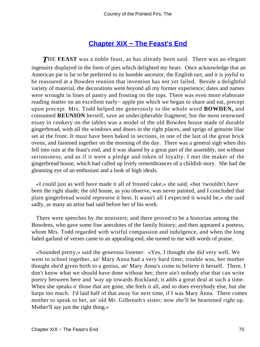#### **[Chapter XIX − The Feast's End](#page-91-0)**

<span id="page-75-0"></span>**THE FEAST** was a noble feast, as has already been said. There was an elegant ingenuity displayed in the form of pies which delighted my heart. Once acknowledge that an American pie is far to be preferred to its humble ancestor, the English tart, and it is joyful to be reassured at a Bowden reunion that invention has not yet failed. Beside a delightful variety of material, the decorations went beyond all my former experience; dates and names were wrought in lines of pastry and frosting on the tops. There was even more elaborate reading matter on an excellent early− apple pie which we began to share and eat, precept upon precept. Mrs. Todd helped me generously to the whole word **BOWDEN,** and consumed **REUNION** herself, save an undecipherable fragment; but the most renowned essay in cookery on the tables was a model of the old Bowden house made of durable gingerbread, with all the windows and doors in the right places, and sprigs of genuine lilac set at the front. It must have been baked in sections, in one of the last of the great brick ovens, and fastened together on the morning of the day. There was a general sigh when this fell into ruin at the feast's end, and it was shared by a great part of the assembly, not without seriousness, and as if it were a pledge and token of loyalty. I met the maker of the gingerbread house, which had called up lively remembrances of a childish story. She had the gleaming eye of an enthusiast and a look of high ideals.

 «I could just as well have made it all of frosted cake,» she said, «but 'twouldn't have been the right shade; the old house, as you observe, was never painted, and I concluded that plain gingerbread would represent it best. It wasn't all I expected it would be,» she said sadly, as many an artist had said before her of his work.

 There were speeches by the ministers; and there proved to be a historian among the Bowdens, who gave some fine anecdotes of the family history; and then appeared a poetess, whom Mrs. Todd regarded with wistful compassion and indulgence, and when the long faded garland of verses came to an appealing end, she turned to me with words of praise.

 «Sounded pretty,» said the generous listener. «Yes, I thought she did very well. We went to school together, an' Mary Anna had a very hard time; trouble was, her mother thought she'd given birth to a genius, an' Mary Anna's come to believe it herself. There, I don't know what we should have done without her; there ain't nobody else that can write poetry between here and 'way up towards Rockland; it adds a great deal at such a time. When she speaks o' those that are gone, she feels it all, and so does everybody else, but she harps too much. I'd laid half of that away for next time, if I was Mary Anna. There comes mother to speak to her, an' old Mr. Gilbreath's sister; now she'll be heartened right up. Mother'll say just the right thing.»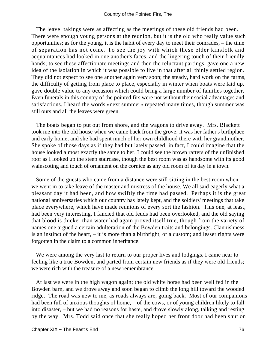The leave–takings were as affecting as the meetings of these old friends had been. There were enough young persons at the reunion, but it is the old who really value such opportunities; as for the young, it is the habit of every day to meet their comrades, – the time of separation has not come. To see the joy with which these elder kinsfolk and acquaintances had looked in one another's faces, and the lingering touch of their friendly hands; to see these affectionate meetings and then the reluctant partings, gave one a new idea of the isolation in which it was possible to live in that after all thinly settled region. They did not expect to see one another again very soon; the steady, hard work on the farms, the difficulty of getting from place to place, especially in winter when boats were laid up, gave double value to any occasion which could bring a large number of families together. Even funerals in this country of the pointed firs were not without their social advantages and satisfactions. I heard the words «next summer» repeated many times, though summer was still ours and all the leaves were green.

 The boats began to put out from shore, and the wagons to drive away. Mrs. Blackett took me into the old house when we came back from the grove: it was her father's birthplace and early home, and she had spent much of her own childhood there with her grandmother. She spoke of those days as if they had but lately passed; in fact, I could imagine that the house looked almost exactly the same to her. I could see the brown rafters of the unfinished roof as I looked up the steep staircase, though the best room was as handsome with its good wainscoting and touch of ornament on the cornice as any old room of its day in a town.

 Some of the guests who came from a distance were still sitting in the best room when we went in to take leave of the master and mistress of the house. We all said eagerly what a pleasant day it had been, and how swiftly the time had passed. Perhaps it is the great national anniversaries which our country has lately kept, and the soldiers' meetings that take place everywhere, which have made reunions of every sort the fashion. This one, at least, had been very interesting. I fancied that old feuds had been overlooked, and the old saying that blood is thicker than water had again proved itself true, though from the variety of names one argued a certain adulteration of the Bowden traits and belongings. Clannishness is an instinct of the heart, – it is more than a birthright, or a custom; and lesser rights were forgotten in the claim to a common inheritance.

 We were among the very last to return to our proper lives and lodgings. I came near to feeling like a true Bowden, and parted from certain new friends as if they were old friends; we were rich with the treasure of a new remembrance.

 At last we were in the high wagon again; the old white horse had been well fed in the Bowden barn, and we drove away and soon began to climb the long hill toward the wooded ridge. The road was new to me, as roads always are, going back. Most of our companions had been full of anxious thoughts of home, – of the cows, or of young children likely to fall into disaster, – but we had no reasons for haste, and drove slowly along, talking and resting by the way. Mrs. Todd said once that she really hoped her front door had been shut on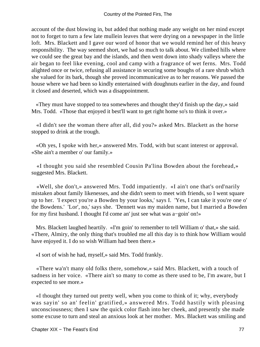account of the dust blowing in, but added that nothing made any weight on her mind except not to forget to turn a few late mullein leaves that were drying on a newspaper in the little loft. Mrs. Blackett and I gave our word of honor that we would remind her of this heavy responsibility. The way seemed short, we had so much to talk about. We climbed hills where we could see the great bay and the islands, and then went down into shady valleys where the air began to feel like evening, cool and camp with a fragrance of wet ferns. Mrs. Todd alighted once or twice, refusing all assistance in securing some boughs of a rare shrub which she valued for its bark, though she proved incommunicative as to her reasons. We passed the house where we had been so kindly entertained with doughnuts earlier in the day, and found it closed and deserted, which was a disappointment.

 «They must have stopped to tea somewheres and thought they'd finish up the day,» said Mrs. Todd. «Those that enjoyed it best'll want to get right home so's to think it over.»

 «I didn't see the woman there after all, did you?» asked Mrs. Blackett as the horse stopped to drink at the trough.

 «Oh yes, I spoke with her,» answered Mrs. Todd, with but scant interest or approval. «She ain't a member o' our family.»

 «I thought you said she resembled Cousin Pa'lina Bowden about the forehead,» suggested Mrs. Blackett.

 «Well, she don't,» answered Mrs. Todd impatiently. «I ain't one that's ord'narily mistaken about family likenesses, and she didn't seem to meet with friends, so I went square up to her. 'I expect you're a Bowden by your looks,' says I. 'Yes, I can take it you're one o' the Bowdens.' 'Lor', no,' says she. 'Dennett was my maiden name, but I married a Bowden for my first husband. I thought I'd come an' just see what was a−goin' on!»

 Mrs. Blackett laughed heartily. «I'm goin' to remember to tell William o' that,» she said. «There, Almiry, the only thing that's troubled me all this day is to think how William would have enjoyed it. I do so wish William had been there.»

«I sort of wish he had, myself,» said Mrs. Todd frankly.

 «There wa'n't many old folks there, somehow,» said Mrs. Blackett, with a touch of sadness in her voice. «There ain't so many to come as there used to be, I'm aware, but I expected to see more.»

 «I thought they turned out pretty well, when you come to think of it; why, everybody was sayin' so an' feelin' gratified,» answered Mrs. Todd hastily with pleasing unconsciousness; then I saw the quick color flash into her cheek, and presently she made some excuse to turn and steal an anxious look at her mother. Mrs. Blackett was smiling and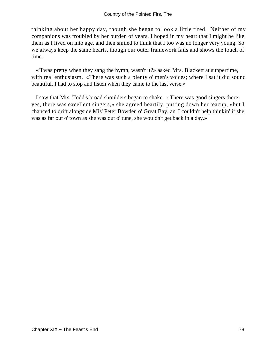thinking about her happy day, though she began to look a little tired. Neither of my companions was troubled by her burden of years. I hoped in my heart that I might be like them as I lived on into age, and then smiled to think that I too was no longer very young. So we always keep the same hearts, though our outer framework fails and shows the touch of time.

 «'Twas pretty when they sang the hymn, wasn't it?» asked Mrs. Blackett at suppertime, with real enthusiasm. «There was such a plenty o' men's voices; where I sat it did sound beautiful. I had to stop and listen when they came to the last verse.»

 I saw that Mrs. Todd's broad shoulders began to shake. «There was good singers there; yes, there was excellent singers,» she agreed heartily, putting down her teacup, «but I chanced to drift alongside Mis' Peter Bowden o' Great Bay, an' I couldn't help thinkin' if she was as far out o' town as she was out o' tune, she wouldn't get back in a day.»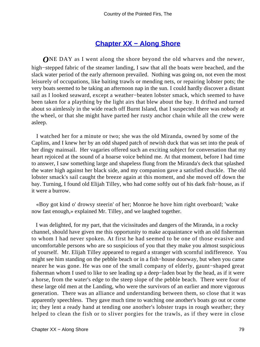#### **[Chapter XX − Along Shore](#page-91-0)**

<span id="page-79-0"></span>*O*NE DAY as I went along the shore beyond the old wharves and the newer, high−stepped fabric of the steamer landing, I saw that all the boats were beached, and the slack water period of the early afternoon prevailed. Nothing was going on, not even the most leisurely of occupations, like baiting trawls or mending nets, or repairing lobster pots; the very boats seemed to be taking an afternoon nap in the sun. I could hardly discover a distant sail as I looked seaward, except a weather−beaten lobster smack, which seemed to have been taken for a plaything by the light airs that blew about the bay. It drifted and turned about so aimlessly in the wide reach off Burnt Island, that I suspected there was nobody at the wheel, or that she might have parted her rusty anchor chain while all the crew were asleep.

 I watched her for a minute or two; she was the old Miranda, owned by some of the Caplins, and I knew her by an odd shaped patch of newish duck that was set into the peak of her dingy mainsail. Her vagaries offered such an exciting subject for conversation that my heart rejoiced at the sound of a hoarse voice behind me. At that moment, before I had time to answer, I saw something large and shapeless flung from the Miranda's deck that splashed the water high against her black side, and my companion gave a satisfied chuckle. The old lobster smack's sail caught the breeze again at this moment, and she moved off down the bay. Turning, I found old Elijah Tilley, who had come softly out of his dark fish−house, as if it were a burrow.

 «Boy got kind o' drowsy steerin' of her; Monroe he hove him right overboard; 'wake now fast enough,» explained Mr. Tilley, and we laughed together.

 I was delighted, for my part, that the vicissitudes and dangers of the Miranda, in a rocky channel, should have given me this opportunity to make acquaintance with an old fisherman to whom I had never spoken. At first he had seemed to be one of those evasive and uncomfortable persons who are so suspicious of you that they make you almost suspicious of yourself. Mr. Elijah Tilley appeared to regard a stranger with scornful indifference. You might see him standing on the pebble beach or in a fish−house doorway, but when you came nearer he was gone. He was one of the small company of elderly, gaunt−shaped great fisherman whom I used to like to see leading up a deep−laden boat by the head, as if it were a horse, from the water's edge to the steep slope of the pebble beach. There were four of these large old men at the Landing, who were the survivors of an earlier and more vigorous generation. There was an alliance and understanding between them, so close that it was apparently speechless. They gave much time to watching one another's boats go out or come in; they lent a ready hand at tending one another's lobster traps in rough weather; they helped to clean the fish or to sliver porgies for the trawls, as if they were in close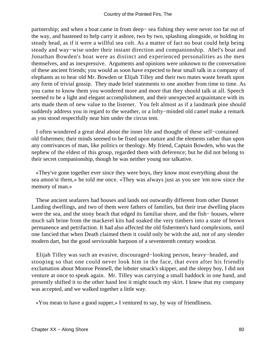partnership; and when a boat came in from deep− sea fishing they were never too far out of the way, and hastened to help carry it ashore, two by two, splashing alongside, or holding its steady head, as if it were a willful sea colt. As a matter of fact no boat could help being steady and way−wise under their instant direction and companionship. Abel's boat and Jonathan Bowden's boat were as distinct and experienced personalities as the men themselves, and as inexpressive. Arguments and opinions were unknown to the conversation of these ancient friends; you would as soon have expected to hear small talk in a company of elephants as to hear old Mr. Bowden or Elijah Tilley and their two mates waste breath upon any form of trivial gossip. They made brief statements to one another from time to time. As you came to know them you wondered more and more that they should talk at all. Speech seemed to be a light and elegant accomplishment, and their unexpected acquaintance with its arts made them of new value to the listener. You felt almost as if a landmark pine should suddenly address you in regard to the weather, or a lofty−minded old camel make a remark as you stood respectfully near him under the circus tent.

 I often wondered a great deal about the inner life and thought of these self−contained old fishermen; their minds seemed to be fixed upon nature and the elements rather than upon any contrivances of man, like politics or theology. My friend, Captain Bowden, who was the nephew of the eldest of this group, regarded them with deference; but he did not belong to their secret companionship, though he was neither young nor talkative.

 «They've gone together ever since they were boys, they know most everything about the sea amon'st them,» he told me once. «They was always just as you see 'em now since the memory of man.»

 These ancient seafarers had houses and lands not outwardly different from other Dunnet Landing dwellings, and two of them were fathers of families, but their true dwelling places were the sea, and the stony beach that edged its familiar shore, and the fish− houses, where much salt brine from the mackerel kits had soaked the very timbers into a state of brown permanence and petrifaction. It had also affected the old fishermen's hard complexions, until one fancied that when Death claimed them it could only be with the aid, not of any slender modern dart, but the good serviceable harpoon of a seventeenth century woodcut.

 Elijah Tilley was such an evasive, discouraged−looking person, heavy−headed, and stooping so that one could never look him in the face, that even after his friendly exclamation about Monroe Pennell, the lobster smack's skipper, and the sleepy boy, I did not venture at once to speak again. Mr. Tilley was carrying a small haddock in one hand, and presently shifted it to the other hand lest it might touch my skirt. I knew that my company was accepted, and we walked together a little way.

«You mean to have a good supper,» I ventured to say, by way of friendliness.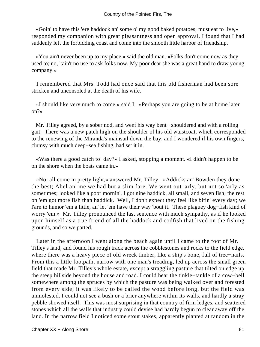«Goin' to have this 'ere haddock an' some o' my good baked potatoes; must eat to live,» responded my companion with great pleasantness and open approval. I found that I had suddenly left the forbidding coast and come into the smooth little harbor of friendship.

 «You ain't never been up to my place,» said the old man. «Folks don't come now as they used to; no, 'tain't no use to ask folks now. My poor dear she was a great hand to draw young company.»

 I remembered that Mrs. Todd had once said that this old fisherman had been sore stricken and unconsoled at the death of his wife.

 «I should like very much to come,» said I. «Perhaps you are going to be at home later on?»

 Mr. Tilley agreed, by a sober nod, and went his way bent− shouldered and with a rolling gait. There was a new patch high on the shoulder of his old waistcoat, which corresponded to the renewing of the Miranda's mainsail down the bay, and I wondered if his own fingers, clumsy with much deep−sea fishing, had set it in.

 «Was there a good catch to−day?» I asked, stopping a moment. «I didn't happen to be on the shore when the boats came in.»

 «No; all come in pretty light,» answered Mr. Tilley. «Addicks an' Bowden they done the best; Abel an' me we had but a slim fare. We went out 'arly, but not so 'arly as sometimes; looked like a poor mornin'. I got nine haddick, all small, and seven fish; the rest on 'em got more fish than haddick. Well, I don't expect they feel like bitin' every day; we l'arn to humor 'em a little, an' let 'em have their way 'bout it. These plaguey dog−fish kind of worry 'em.» Mr. Tilley pronounced the last sentence with much sympathy, as if he looked upon himself as a true friend of all the haddock and codfish that lived on the fishing grounds, and so we parted.

 Later in the afternoon I went along the beach again until I came to the foot of Mr. Tilley's land, and found his rough track across the cobblestones and rocks to the field edge, where there was a heavy piece of old wreck timber, like a ship's bone, full of tree−nails. From this a little footpath, narrow with one man's treading, led up across the small green field that made Mr. Tilley's whole estate, except a straggling pasture that tilted on edge up the steep hillside beyond the house and road. I could hear the tinkle−tankle of a cow−bell somewhere among the spruces by which the pasture was being walked over and forested from every side; it was likely to be called the wood before long, but the field was unmolested. I could not see a bush or a brier anywhere within its walls, and hardly a stray pebble showed itself. This was most surprising in that country of firm ledges, and scattered stones which all the walls that industry could devise had hardly begun to clear away off the land. In the narrow field I noticed some stout stakes, apparently planted at random in the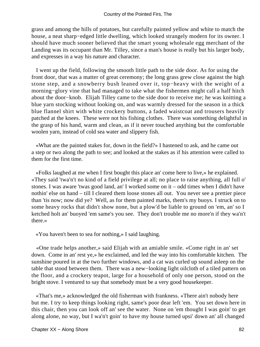grass and among the hills of potatoes, but carefully painted yellow and white to match the house, a neat sharp−edged little dwelling, which looked strangely modern for its owner. I should have much sooner believed that the smart young wholesale egg merchant of the Landing was its occupant than Mr. Tilley, since a man's house is really but his larger body, and expresses in a way his nature and character.

 I went up the field, following the smooth little path to the side door. As for using the front door, that was a matter of great ceremony; the long grass grew close against the high stone step, and a snowberry bush leaned over it, top−heavy with the weight of a morning−glory vine that had managed to take what the fishermen might call a half hitch about the door−knob. Elijah Tilley came to the side door to receive me; he was knitting a blue yarn stocking without looking on, and was warmly dressed for the season in a thick blue flannel shirt with white crockery buttons, a faded waistcoat and trousers heavily patched at the knees. These were not his fishing clothes. There was something delightful in the grasp of his hand, warm and clean, as if it never touched anything but the comfortable woolen yarn, instead of cold sea water and slippery fish.

 «What are the painted stakes for, down in the field?» I hastened to ask, and he came out a step or two along the path to see; and looked at the stakes as if his attention were called to them for the first time.

 «Folks laughed at me when I first bought this place an' come here to live,» he explained. «They said 'twa'n't no kind of a field privilege at all; no place to raise anything, all full o' stones. I was aware 'twas good land, an' I worked some on it – odd times when I didn't have nothin' else on hand – till I cleared them loose stones all out. You never see a prettier piece than 'tis now; now did ye? Well, as for them painted marks, them's my buoys. I struck on to some heavy rocks that didn't show none, but a plow'd be liable to ground on 'em, an' so I ketched holt an' buoyed 'em same's you see. They don't trouble me no more'n if they wa'n't there.»

«You haven't been to sea for nothing,» I said laughing.

 «One trade helps another,» said Elijah with an amiable smile. «Come right in an' set down. Come in an' rest ye,» he exclaimed, and led the way into his comfortable kitchen. The sunshine poured in at the two further windows, and a cat was curled up sound asleep on the table that stood between them. There was a new−looking light oilcloth of a tiled pattern on the floor, and a crockery teapot, large for a household of only one person, stood on the bright stove. I ventured to say that somebody must be a very good housekeeper.

 «That's me,» acknowledged the old fisherman with frankness. «There ain't nobody here but me. I try to keep things looking right, same's poor dear left 'em. You set down here in this chair, then you can look off an' see the water. None on 'em thought I was goin' to get along alone, no way, but I wa'n't goin' to have my house turned upsi' down an' all changed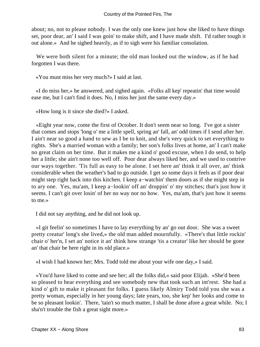about; no, not to please nobody. I was the only one knew just how she liked to have things set, poor dear, an' I said I was goin' to make shift, and I have made shift. I'd rather tough it out alone.» And he sighed heavily, as if to sigh were his familiar consolation.

 We were both silent for a minute; the old man looked out the window, as if he had forgotten I was there.

«You must miss her very much?» I said at last.

 «I do miss her,» he answered, and sighed again. «Folks all kep' repeatin' that time would ease me, but I can't find it does. No, I miss her just the same every day.»

«How long is it since she died?» I asked.

 «Eight year now, come the first of October. It don't seem near so long. I've got a sister that comes and stops 'long o' me a little spell, spring an' fall, an' odd times if I send after her. I ain't near so good a hand to sew as I be to knit, and she's very quick to set everything to rights. She's a married woman with a family; her son's folks lives at home, an' I can't make no great claim on her time. But it makes me a kind o' good excuse, when I do send, to help her a little; she ain't none too well off. Poor dear always liked her, and we used to contrive our ways together. 'Tis full as easy to be alone. I set here an' think it all over, an' think considerable when the weather's bad to go outside. I get so some days it feels as if poor dear might step right back into this kitchen. I keep a−watchin' them doors as if she might step in to ary one. Yes, ma'am, I keep a−lookin' off an' droppin' o' my stitches; that's just how it seems. I can't git over losin' of her no way nor no how. Yes, ma'am, that's just how it seems to me.»

I did not say anything, and he did not look up.

 «I git feelin' so sometimes I have to lay everything by an' go out door. She was a sweet pretty creatur' long's she lived,» the old man added mournfully. «There's that little rockin' chair o' her'n, I set an' notice it an' think how strange 'tis a creatur' like her should be gone an' that chair be here right in its old place.»

«I wish I had known her; Mrs. Todd told me about your wife one day,» I said.

 «You'd have liked to come and see her; all the folks did,» said poor Elijah. «She'd been so pleased to hear everything and see somebody new that took such an int'rest. She had a kind o' gift to make it pleasant for folks. I guess likely Almiry Todd told you she was a pretty woman, especially in her young days; late years, too, she kep' her looks and come to be so pleasant lookin'. There, 'tain't so much matter, I shall be done afore a great while. No; I sha'n't trouble the fish a great sight more.»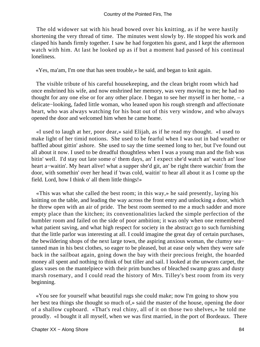The old widower sat with his head bowed over his knitting, as if he were hastily shortening the very thread of time. The minutes went slowly by. He stopped his work and clasped his hands firmly together. I saw he had forgotten his guest, and I kept the afternoon watch with him. At last he looked up as if but a moment had passed of his continual loneliness.

«Yes, ma'am, I'm one that has seen trouble,» he said, and began to knit again.

 The visible tribute of his careful housekeeping, and the clean bright room which had once enshrined his wife, and now enshrined her memory, was very moving to me; he had no thought for any one else or for any other place. I began to see her myself in her home, – a delicate−looking, faded little woman, who leaned upon his rough strength and affectionate heart, who was always watching for his boat out of this very window, and who always opened the door and welcomed him when he came home.

 «I used to laugh at her, poor dear,» said Elijah, as if he read my thought. «I used to make light of her timid notions. She used to be fearful when I was out in bad weather or baffled about gittin' ashore. She used to say the time seemed long to her, but I've found out all about it now. I used to be dreadful thoughtless when I was a young man and the fish was bitin' well. I'd stay out late some o' them days, an' I expect she'd watch an' watch an' lose heart a−waitin'. My heart alive! what a supper she'd git, an' be right there watchin' from the door, with somethin' over her head if 'twas cold, waitin' to hear all about it as I come up the field. Lord, how I think o' all them little things!»

 «This was what she called the best room; in this way,» he said presently, laying his knitting on the table, and leading the way across the front entry and unlocking a door, which he threw open with an air of pride. The best room seemed to me a much sadder and more empty place than the kitchen; its conventionalities lacked the simple perfection of the humbler room and failed on the side of poor ambition; it was only when one remembered what patient saving, and what high respect for society in the abstract go to such furnishing that the little parlor was interesting at all. I could imagine the great day of certain purchases, the bewildering shops of the next large town, the aspiring anxious woman, the clumsy sea− tanned man in his best clothes, so eager to be pleased, but at ease only when they were safe back in the sailboat again, going down the bay with their precious freight, the hoarded money all spent and nothing to think of but tiller and sail. I looked at the unworn carpet, the glass vases on the mantelpiece with their prim bunches of bleached swamp grass and dusty marsh rosemary, and I could read the history of Mrs. Tilley's best room from its very beginning.

 «You see for yourself what beautiful rugs she could make; now I'm going to show you her best tea things she thought so much of,» said the master of the house, opening the door of a shallow cupboard. «That's real chiny, all of it on those two shelves,» he told me proudly. «I bought it all myself, when we was first married, in the port of Bordeaux. There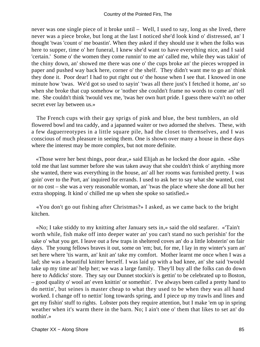never was one single piece of it broke until – Well, I used to say, long as she lived, there never was a piece broke, but long at the last I noticed she'd look kind o' distressed, an' I thought 'twas 'count o' me boastin'. When they asked if they should use it when the folks was here to supper, time o' her funeral, I knew she'd want to have everything nice, and I said 'certain.' Some o' the women they come runnin' to me an' called me, while they was takin' of the chiny down, an' showed me there was one o' the cups broke an' the pieces wropped in paper and pushed way back here, corner o' the shelf. They didn't want me to go an' think they done it. Poor dear! I had to put right out o' the house when I see that. I knowed in one minute how 'twas. We'd got so used to sayin' 'twas all there just's I fetched it home, an' so when she broke that cup somehow or 'nother she couldn't frame no words to come an' tell me. She couldn't think 'twould vex me, 'twas her own hurt pride. I guess there wa'n't no other secret ever lay between us.»

 The French cups with their gay sprigs of pink and blue, the best tumblers, an old flowered bowl and tea caddy, and a japanned waiter or two adorned the shelves. These, with a few daguerreotypes in a little square pile, had the closet to themselves, and I was conscious of much pleasure in seeing them. One is shown over many a house in these days where the interest may be more complex, but not more definite.

 «Those were her best things, poor dear,» said Elijah as he locked the door again. «She told me that last summer before she was taken away that she couldn't think o' anything more she wanted, there was everything in the house, an' all her rooms was furnished pretty. I was goin' over to the Port, an' inquired for errands. I used to ask her to say what she wanted, cost or no cost – she was a very reasonable woman, an' 'twas the place where she done all but her extra shopping. It kind o' chilled me up when she spoke so satisfied.»

 «You don't go out fishing after Christmas?» I asked, as we came back to the bright kitchen.

 «No; I take stiddy to my knitting after January sets in,» said the old seafarer. «'Tain't worth while, fish make off into deeper water an' you can't stand no such perishin' for the sake o' what you get. I leave out a few traps in sheltered coves an' do a little lobsterin' on fair days. The young fellows braves it out, some on 'em; but, for me, I lay in my winter's yarn an' set here where 'tis warm, an' knit an' take my comfort. Mother learnt me once when I was a lad; she was a beautiful knitter herself. I was laid up with a bad knee, an' she said 'twould take up my time an' help her; we was a large family. They'll buy all the folks can do down here to Addicks' store. They say our Dunnet stockin's is gettin' to be celebrated up to Boston, – good quality o' wool an' even knittin' or somethin'. I've always been called a pretty hand to do nettin', but seines is master cheap to what they used to be when they was all hand worked. I change off to nettin' long towards spring, and I piece up my trawls and lines and get my fishin' stuff to rights. Lobster pots they require attention, but I make 'em up in spring weather when it's warm there in the barn. No; I ain't one o' them that likes to set an' do nothin'.»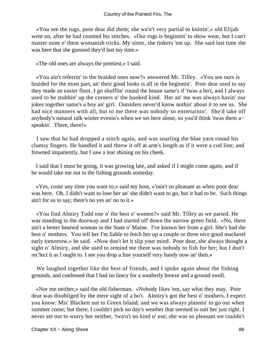«You see the rugs, poor dear did them; she wa'n't very partial to knittin',» old Elijah went on, after he had counted his stitches. «Our rugs is beginnin' to show wear, but I can't master none o' them womanish tricks. My sister, she tinkers 'em up. She said last time she was here that she guessed they'd last my time.»

«The old ones are always the prettiest,» I said.

 «You ain't referrin' to the braided ones now?» answered Mr. Tilley. «You see ours is braided for the most part, an' their good looks is all in the beginnin'. Poor dear used to say they made an easier floor. I go shufflin' round the house same's if 'twas a bo't, and I always used to be stubbin' up the corners o' the hooked kind. Her an' me was always havin' our jokes together same's a boy an' girl. Outsiders never'd know nothin' about it to see us. She had nice manners with all, but to me there was nobody so entertainin'. She'd take off anybody's natural talk winter evenin's when we set here alone, so you'd think 'twas them a− speakin'. There, there!»

 I saw that he had dropped a stitch again, and was snarling the blue yarn round his clumsy fingers. He handled it and threw it off at arm's length as if it were a cod line; and frowned impatiently, but I saw a tear shining on his cheek.

 I said that I must be going, it was growing late, and asked if I might come again, and if he would take me out to the fishing grounds someday.

 «Yes, come any time you want to,» said my host, «'tain't so pleasant as when poor dear was here. Oh, I didn't want to lose her an' she didn't want to go, but it had to be. Such things ain't for us to say; there's no yes an' no to it.»

 «You find Almiry Todd one o' the best o' women?» said Mr. Tilley as we parted. He was standing in the doorway and I had started off down the narrow green field. «No, there ain't a better hearted woman in the State o' Maine. I've known her from a girl. She's had the best o' mothers. You tell her I'm liable to fetch her up a couple or three nice good mackerel early tomorrow,» he said. «Now don't let it slip your mind. Poor dear, she always thought a sight o' Almiry, and she used to remind me there was nobody to fish for her; but I don't rec'lect it as I ought to. I see you drop a line yourself very handy now an' then.»

We laughed together like the best of friends, and I spoke again about the fishing grounds, and confessed that I had no fancy for a southerly breeze and a ground swell.

 «Nor me neither,» said the old fisherman. «Nobody likes 'em, say what they may. Poor dear was disobliged by the mere sight of a bo't. Almiry's got the best o' mothers, I expect you know; Mis' Blackett out to Green Island; and we was always plannin' to go out when summer come; but there, I couldn't pick no day's weather that seemed to suit her just right. I never set out to worry her neither, 'twa'n't no kind o' use; she was so pleasant we couldn't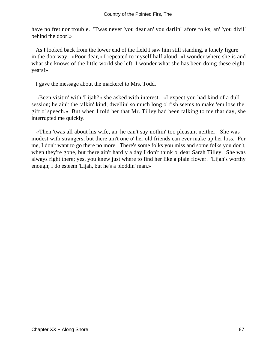have no fret nor trouble. 'Twas never 'you dear an' you darlin'' afore folks, an' 'you divil' behind the door!»

 As I looked back from the lower end of the field I saw him still standing, a lonely figure in the doorway. «Poor dear,» I repeated to myself half aloud; «I wonder where she is and what she knows of the little world she left. I wonder what she has been doing these eight years!»

I gave the message about the mackerel to Mrs. Todd.

 «Been visitin' with 'Lijah?» she asked with interest. «I expect you had kind of a dull session; he ain't the talkin' kind; dwellin' so much long o' fish seems to make 'em lose the gift o' speech.» But when I told her that Mr. Tilley had been talking to me that day, she interrupted me quickly.

 «Then 'twas all about his wife, an' he can't say nothin' too pleasant neither. She was modest with strangers, but there ain't one o' her old friends can ever make up her loss. For me, I don't want to go there no more. There's some folks you miss and some folks you don't, when they're gone, but there ain't hardly a day I don't think o' dear Sarah Tilley. She was always right there; yes, you knew just where to find her like a plain flower. 'Lijah's worthy enough; I do esteem 'Lijah, but he's a ploddin' man.»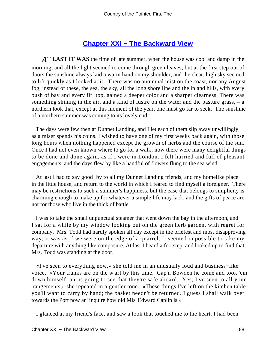## **[Chapter XXI − The Backward View](#page-92-0)**

<span id="page-88-0"></span>*A*T **LAST IT WAS** the time of late summer, when the house was cool and damp in the morning, and all the light seemed to come through green leaves; but at the first step out of doors the sunshine always laid a warm hand on my shoulder, and the clear, high sky seemed to lift quickly as I looked at it. There was no autumnal mist on the coast, nor any August fog; instead of these, the sea, the sky, all the long shore line and the inland hills, with every bush of bay and every fir−top, gained a deeper color and a sharper clearness. There was something shining in the air, and a kind of lustre on the water and the pasture grass, – a northern look that, except at this moment of the year, one must go far to seek. The sunshine of a northern summer was coming to its lovely end.

 The days were few then at Dunnet Landing, and I let each of them slip away unwillingly as a miser spends his coins. I wished to have one of my first weeks back again, with those long hours when nothing happened except the growth of herbs and the course of the sun. Once I had not even known where to go for a walk; now there were many delightful things to be done and done again, as if I were in London. I felt hurried and full of pleasant engagements, and the days flew by like a handful of flowers flung to the sea wind.

 At last I had to say good−by to all my Dunnet Landing friends, and my homelike place in the little house, and return to the world in which I feared to find myself a foreigner. There may be restrictions to such a summer's happiness, but the ease that belongs to simplicity is charming enough to make up for whatever a simple life may lack, and the gifts of peace are not for those who live in the thick of battle.

 I was to take the small unpunctual steamer that went down the bay in the afternoon, and I sat for a while by my window looking out on the green herb garden, with regret for company. Mrs. Todd had hardly spoken all day except in the briefest and most disapproving way; it was as if we were on the edge of a quarrel. It seemed impossible to take my departure with anything like composure. At last I heard a footstep, and looked up to find that Mrs. Todd was standing at the door.

 «I've seen to everything now,» she told me in an unusually loud and business−like voice. «Your trunks are on the w'arf by this time. Cap'n Bowden he come and took 'em down himself, an' is going to see that they're safe aboard. Yes, I've seen to all your 'rangements,» she repeated in a gentler tone. «These things I've left on the kitchen table you'll want to carry by hand; the basket needn't be returned. I guess I shall walk over towards the Port now an' inquire how old Mis' Edward Caplin is.»

I glanced at my friend's face, and saw a look that touched me to the heart. I had been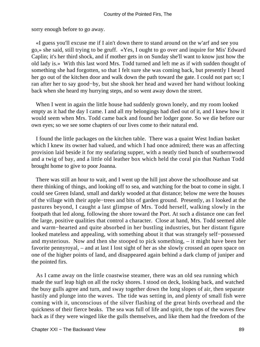sorry enough before to go away.

 «I guess you'll excuse me if I ain't down there to stand around on the w'arf and see you go,» she said, still trying to be gruff. «Yes, I ought to go over and inquire for Mis' Edward Caplin; it's her third shock, and if mother gets in on Sunday she'll want to know just how the old lady is.» With this last word Mrs. Todd turned and left me as if with sudden thought of something she had forgotten, so that I felt sure she was coming back, but presently I heard her go out of the kitchen door and walk down the path toward the gate. I could not part so; I ran after her to say good−by, but she shook her head and waved her hand without looking back when she heard my hurrying steps, and so went away down the street.

When I went in again the little house had suddenly grown lonely, and my room looked empty as it had the day I came. I and all my belongings had died out of it, and I knew how it would seem when Mrs. Todd came back and found her lodger gone. So we die before our own eyes; so we see some chapters of our lives come to their natural end.

 I found the little packages on the kitchen table. There was a quaint West Indian basket which I knew its owner had valued, and which I had once admired; there was an affecting provision laid beside it for my seafaring supper, with a neatly tied bunch of southernwood and a twig of bay, and a little old leather box which held the coral pin that Nathan Todd brought home to give to poor Joanna.

 There was still an hour to wait, and I went up the hill just above the schoolhouse and sat there thinking of things, and looking off to sea, and watching for the boat to come in sight. I could see Green Island, small and darkly wooded at that distance; below me were the houses of the village with their apple−trees and bits of garden ground. Presently, as I looked at the pastures beyond, I caught a last glimpse of Mrs. Todd herself, walking slowly in the footpath that led along, following the shore toward the Port. At such a distance one can feel the large, positive qualities that control a character. Close at hand, Mrs. Todd seemed able and warm−hearted and quite absorbed in her bustling industries, but her distant figure looked mateless and appealing, with something about it that was strangely self−possessed and mysterious. Now and then she stooped to pick something, – it might have been her favorite pennyroyal, – and at last I lost sight of her as she slowly crossed an open space on one of the higher points of land, and disappeared again behind a dark clump of juniper and the pointed firs.

 As I came away on the little coastwise steamer, there was an old sea running which made the surf leap high on all the rocky shores. I stood on deck, looking back, and watched the busy gulls agree and turn, and sway together down the long slopes of air, then separate hastily and plunge into the waves. The tide was setting in, and plenty of small fish were coming with it, unconscious of the silver flashing of the great birds overhead and the quickness of their fierce beaks. The sea was full of life and spirit, the tops of the waves flew back as if they were winged like the gulls themselves, and like them had the freedom of the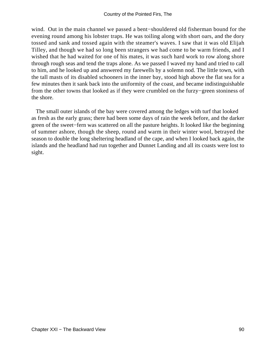wind. Out in the main channel we passed a bent−shouldered old fisherman bound for the evening round among his lobster traps. He was toiling along with short oars, and the dory tossed and sank and tossed again with the steamer's waves. I saw that it was old Elijah Tilley, and though we had so long been strangers we had come to be warm friends, and I wished that he had waited for one of his mates, it was such hard work to row along shore through rough seas and tend the traps alone. As we passed I waved my hand and tried to call to him, and he looked up and answered my farewells by a solemn nod. The little town, with the tall masts of its disabled schooners in the inner bay, stood high above the flat sea for a few minutes then it sank back into the uniformity of the coast, and became indistinguishable from the other towns that looked as if they were crumbled on the furzy−green stoniness of the shore.

 The small outer islands of the bay were covered among the ledges with turf that looked as fresh as the early grass; there had been some days of rain the week before, and the darker green of the sweet−fern was scattered on all the pasture heights. It looked like the beginning of summer ashore, though the sheep, round and warm in their winter wool, betrayed the season to double the long sheltering headland of the cape, and when I looked back again, the islands and the headland had run together and Dunnet Landing and all its coasts were lost to sight.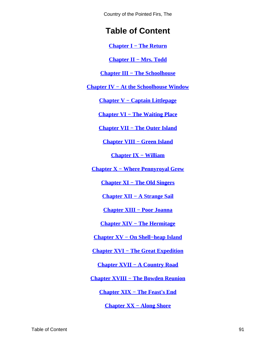<span id="page-91-0"></span>Country of the Pointed Firs, The

# **Table of Content**

**[Chapter I − The Return](#page-3-0)**

**[Chapter II − Mrs. Todd](#page-4-0)**

**[Chapter III − The Schoolhouse](#page-7-0)**

**[Chapter IV − At the Schoolhouse Window](#page-9-0)**

**[Chapter V − Captain Littlepage](#page-11-0)**

**[Chapter VI − The Waiting Place](#page-16-0)**

**[Chapter VII − The Outer Island](#page-20-0)**

**[Chapter VIII − Green Island](#page-23-0)**

**[Chapter IX − William](#page-30-0)**

**[Chapter X − Where Pennyroyal Grew](#page-32-0)**

**[Chapter XI − The Old Singers](#page-35-0)**

**[Chapter XII − A Strange Sail](#page-38-0)**

**[Chapter XIII − Poor Joanna](#page-43-0)**

**[Chapter XIV − The Hermitage](#page-50-0)**

**[Chapter XV − On Shell−heap Island](#page-55-0)**

**[Chapter XVI − The Great Expedition](#page-58-0)**

**[Chapter XVII − A Country Road](#page-62-0)**

**[Chapter XVIII − The Bowden Reunion](#page-67-0)**

**[Chapter XIX − The Feast's End](#page-75-0)**

**[Chapter XX − Along Shore](#page-79-0)**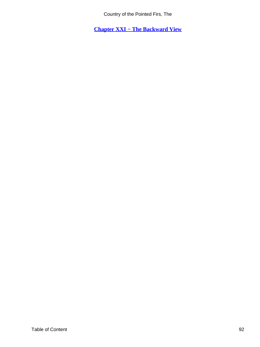Country of the Pointed Firs, The

<span id="page-92-0"></span>**[Chapter XXI − The Backward View](#page-88-0)**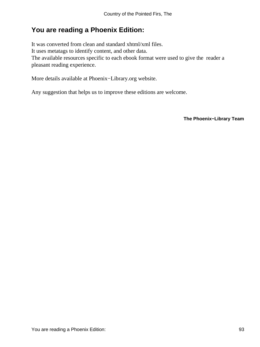## **You are reading a Phoenix Edition:**

It was converted from clean and standard xhtml/xml files. It uses metatags to identify content, and other data. The available resources specific to each ebook format were used to give the reader a pleasant reading experience.

More details available at Phoenix−Library.org website.

Any suggestion that helps us to improve these editions are welcome.

**The Phoenix−Library Team**